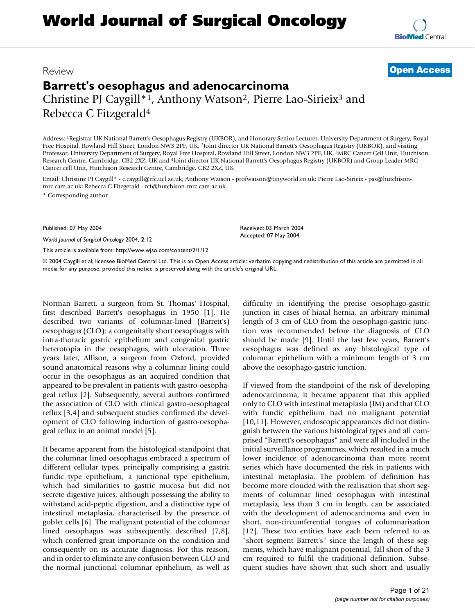# Review **[Open Access](http://www.biomedcentral.com/info/about/charter/)**

# **Barrett's oesophagus and adenocarcinoma** Christine PJ Caygill\*1, Anthony Watson2, Pierre Lao-Sirieix3 and

Rebecca C Fitzgerald4

Address: 1Registrar UK National Barrett's Oesophagus Registry (UKBOR), and Honorary Senior Lecturer, University Department of Surgery, Royal Free Hospital, Rowland Hill Street, London NW3 2PF, UK, 2Joint director UK National Barrett's Oesophagus Registry (UKBOR), and visiting Professor, University Department of Surgery, Royal Free Hospital, Rowland Hill Street, London NW3 2PF, UK, 3MRC Cancer Cell Unit, Hutchison Research Centre, Cambridge, CB2 2XZ, UK and 4Joint director UK National Barrett's Oesophagus Registry (UKBOR) and Group Leader MRC Cancer cell Unit, Hutchison Research Centre, Cambridge, CB2 2XZ, UK

Email: Christine PJ Caygill\* - c.caygill@rfc.ucl.ac.uk; Anthony Watson - profwatson@tinyworld.co.uk; Pierre Lao-Sirieix - pss@hutchisonmrc.cam.ac.uk; Rebecca C Fitzgerald - rcf@hutchison-mrc.cam.ac.uk

\* Corresponding author

Published: 07 May 2004

*World Journal of Surgical Oncology* 2004, **2**:12

[This article is available from: http://www.wjso.com/content/2/1/12](http://www.wjso.com/content/2/1/12)

© 2004 Caygill et al; licensee BioMed Central Ltd. This is an Open Access article: verbatim copying and redistribution of this article are permitted in all media for any purpose, provided this notice is preserved along with the article's original URL.

Received: 03 March 2004 Accepted: 07 May 2004

Norman Barrett, a surgeon from St. Thomas' Hospital, first described Barrett's oesophagus in 1950 [1]. He described two variants of columnar-lined (Barrett's) oesophagus (CLO): a congenitally short oesophagus with intra-thoracic gastric epithelium and congenital gastric heterotopia in the oesophagus, with ulceration. Three years later, Allison, a surgeon from Oxford, provided sound anatomical reasons why a columnar lining could occur in the oesophagus as an acquired condition that appeared to be prevalent in patients with gastro-oesophageal reflux [2]. Subsequently, several authors confirmed the association of CLO with clinical gastro-oesophageal reflux [3,4] and subsequent studies confirmed the development of CLO following induction of gastro-oesophageal reflux in an animal model [5].

It became apparent from the histological standpoint that the columnar lined oesophagus embraced a spectrum of different cellular types, principally comprising a gastric fundic type epithelium, a junctional type epithelium, which had similarities to gastric mucosa but did not secrete digestive juices, although possessing the ability to withstand acid-peptic digestion, and a distinctive type of intestinal metaplasia, characterised by the presence of goblet cells [6]. The malignant potential of the columnar lined oesophagus was subsequently described [7,8], which conferred great importance on the condition and consequently on its accurate diagnosis. For this reason, and in order to eliminate any confusion between CLO and the normal junctional columnar epithelium, as well as difficulty in identifying the precise oesophago-gastric junction in cases of hiatal hernia, an arbitrary minimal length of 3 cm of CLO from the oesophago-gastric junction was recommended before the diagnosis of CLO should be made [9]. Until the last few years, Barrett's oesophagus was defined as any histological type of columnar epithelium with a minimum length of 3 cm above the oesophago-gastric junction.

If viewed from the standpoint of the risk of developing adenocarcinoma, it became apparent that this applied only to CLO with intestinal metaplasia (IM) and that CLO with fundic epithelium had no malignant potential [10,11]. However, endoscopic appearances did not distinguish between the various histological types and all comprised "Barrett's oesophagus" and were all included in the initial surveillance programmes, which resulted in a much lower incidence of adenocarcinoma than more recent series which have documented the risk in patients with intestinal metaplasia. The problem of definition has become more clouded with the realisation that short segments of columnar lined oesophagus with intestinal metaplasia, less than 3 cm in length, can be associated with the development of adenocarcinoma and even in short, non-circumferential tongues of columnarisation [12]. These two entities have each been referred to as "short segment Barrett's" since the length of these segments, which have malignant potential, fall short of the 3 cm required to fulfil the traditional definition. Subsequent studies have shown that such short and usually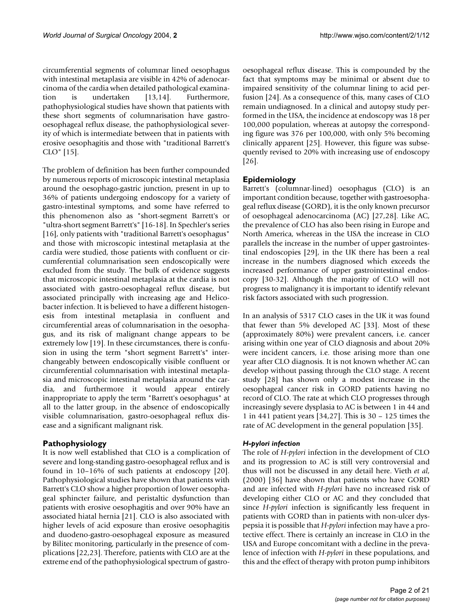circumferential segments of columnar lined oesophagus with intestinal metaplasia are visible in 42% of adenocarcinoma of the cardia when detailed pathological examination is undertaken [13,14]. Furthermore, pathophysiological studies have shown that patients with these short segments of columnarisation have gastrooesophageal reflux disease, the pathophysiological severity of which is intermediate between that in patients with erosive oesophagitis and those with "traditional Barrett's CLO" [15].

The problem of definition has been further compounded by numerous reports of microscopic intestinal metaplasia around the oesophago-gastric junction, present in up to 36% of patients undergoing endoscopy for a variety of gastro-intestinal symptoms, and some have referred to this phenomenon also as "short-segment Barrett's or "ultra-short segment Barrett's" [16-18]. In Spechler's series [16], only patients with "traditional Barrett's oesophagus" and those with microscopic intestinal metaplasia at the cardia were studied, those patients with confluent or circumferential columnarisation seen endoscopically were excluded from the study. The bulk of evidence suggests that microscopic intestinal metaplasia at the cardia is not associated with gastro-oesophageal reflux disease, but associated principally with increasing age and Helicobacter infection. It is believed to have a different histogenesis from intestinal metaplasia in confluent and circumferential areas of columnarisation in the oesophagus, and its risk of malignant change appears to be extremely low [19]. In these circumstances, there is confusion in using the term "short segment Barrett's" interchangeably between endoscopically visible confluent or circumferential columnarisation with intestinal metaplasia and microscopic intestinal metaplasia around the cardia, and furthermore it would appear entirely inappropriate to apply the term "Barrett's oesophagus" at all to the latter group, in the absence of endoscopically visible columnarisation, gastro-oesophageal reflux disease and a significant malignant risk.

# **Pathophysiology**

It is now well established that CLO is a complication of severe and long-standing gastro-oesophageal reflux and is found in 10–16% of such patients at endoscopy [20]. Pathophysiological studies have shown that patients with Barrett's CLO show a higher proportion of lower oesophageal sphincter failure, and peristaltic dysfunction than patients with erosive oesophagitis and over 90% have an associated hiatal hernia [21]. CLO is also associated with higher levels of acid exposure than erosive oesophagitis and duodeno-gastro-oesophageal exposure as measured by Bilitec monitoring, particularly in the presence of complications [22,23]. Therefore, patients with CLO are at the extreme end of the pathophysiological spectrum of gastrooesophageal reflux disease. This is compounded by the fact that symptoms may be minimal or absent due to impaired sensitivity of the columnar lining to acid perfusion [24]. As a consequence of this, many cases of CLO remain undiagnosed. In a clinical and autopsy study performed in the USA, the incidence at endoscopy was 18 per 100,000 population, whereas at autopsy the corresponding figure was 376 per 100,000, with only 5% becoming clinically apparent [25]. However, this figure was subsequently revised to 20% with increasing use of endoscopy [26].

# **Epidemiology**

Barrett's (columnar-lined) oesophagus (CLO) is an important condition because, together with gastroesophageal reflux disease (GORD), it is the only known precursor of oesophageal adenocarcinoma (AC) [27,28]. Like AC, the prevalence of CLO has also been rising in Europe and North America, whereas in the USA the increase in CLO parallels the increase in the number of upper gastrointestinal endoscopies [29], in the UK there has been a real increase in the numbers diagnosed which exceeds the increased performance of upper gastrointestinal endoscopy [30-32]. Although the majority of CLO will not progress to malignancy it is important to identify relevant risk factors associated with such progression.

In an analysis of 5317 CLO cases in the UK it was found that fewer than 5% developed AC [33]. Most of these (approximately 80%) were prevalent cancers, i.e. cancer arising within one year of CLO diagnosis and about 20% were incident cancers, i.e. those arising more than one year after CLO diagnosis. It is not known whether AC can develop without passing through the CLO stage. A recent study [28] has shown only a modest increase in the oesophageal cancer risk in GORD patients having no record of CLO. The rate at which CLO progresses through increasingly severe dysplasia to AC is between 1 in 44 and 1 in 441 patient years [34,27]. This is 30 – 125 times the rate of AC development in the general population [35].

### *H-pylori infection*

The role of *H-pylori* infection in the development of CLO and its progression to AC is still very controversial and thus will not be discussed in any detail here. Vieth *et al*, (2000) [[36\]](#page-15-0) have shown that patients who have GORD and are infected with *H-pylori* have no increased risk of developing either CLO or AC and they concluded that since *H-pylori* infection is significantly less frequent in patients with GORD than in patients with non-ulcer dyspepsia it is possible that *H-pylori* infection may have a protective effect. There is certainly an increase in CLO in the USA and Europe concomitant with a decline in the prevalence of infection with *H-pylori* in these populations, and this and the effect of therapy with proton pump inhibitors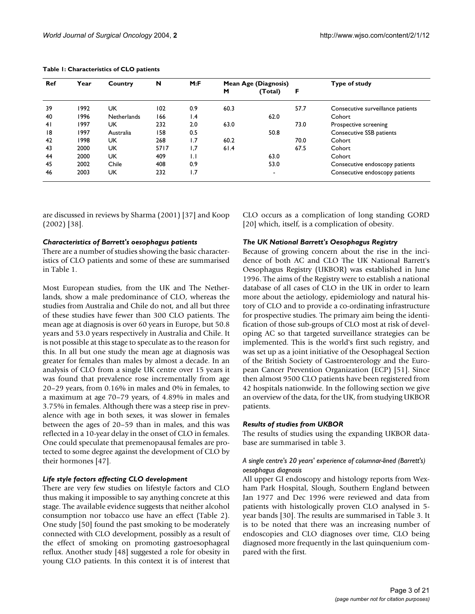| Ref | Year | Country     | N    | M: F            |      | <b>Mean Age (Diagnosis)</b> |      | Type of study                     |  |
|-----|------|-------------|------|-----------------|------|-----------------------------|------|-----------------------------------|--|
|     |      |             |      |                 | м    | (Total)                     | F    |                                   |  |
| 39  | 1992 | UK          | 102  | 0.9             | 60.3 |                             | 57.7 | Consecutive surveillance patients |  |
| 40  | 1996 | Netherlands | 166  | $\mathsf{I}$ .4 |      | 62.0                        |      | Cohort                            |  |
| 41  | 1997 | UK          | 232  | 2.0             | 63.0 |                             | 73.0 | Prospective screening             |  |
| 18  | 1997 | Australia   | 158  | 0.5             |      | 50.8                        |      | Consecutive SSB patients          |  |
| 42  | 1998 | UK          | 268  | 1.7             | 60.2 |                             | 70.0 | Cohort                            |  |
| 43  | 2000 | UK          | 5717 | 1,7             | 61.4 |                             | 67.5 | Cohort                            |  |
| 44  | 2000 | UK          | 409  | $\mathsf{L}$    |      | 63.0                        |      | Cohort                            |  |
| 45  | 2002 | Chile       | 408  | 0.9             |      | 53.0                        |      | Consecutive endoscopy patients    |  |
| 46  | 2003 | UK          | 232  | 1.7             |      | $\blacksquare$              |      | Consecutive endoscopy patients    |  |

<span id="page-2-0"></span>**Table 1: Characteristics of CLO patients**

are discussed in reviews by Sharma (2001) [\[37](#page-15-1)] and Koop (2002) [38].

#### *Characteristics of Barrett's oesophagus patients*

There are a number of studies showing the basic characteristics of CLO patients and some of these are summarised in Table [1](#page-2-0).

Most European studies, from the UK and The Netherlands, show a male predominance of CLO, whereas the studies from Australia and Chile do not, and all but three of these studies have fewer than 300 CLO patients. The mean age at diagnosis is over 60 years in Europe, but 50.8 years and 53.0 years respectively in Australia and Chile. It is not possible at this stage to speculate as to the reason for this. In all but one study the mean age at diagnosis was greater for females than males by almost a decade. In an analysis of CLO from a single UK centre over 15 years it was found that prevalence rose incrementally from age 20–29 years, from 0.16% in males and 0% in females, to a maximum at age 70–79 years, of 4.89% in males and 3.75% in females. Although there was a steep rise in prevalence with age in both sexes, it was slower in females between the ages of 20–59 than in males, and this was reflected in a 10-year delay in the onset of CLO in females. One could speculate that premenopausal females are protected to some degree against the development of CLO by their hormones [47].

#### *Life style factors affecting CLO development*

There are very few studies on lifestyle factors and CLO thus making it impossible to say anything concrete at this stage. The available evidence suggests that neither alcohol consumption nor tobacco use have an effect (Table [2\)](#page-3-0). One study [50] found the past smoking to be moderately connected with CLO development, possibly as a result of the effect of smoking on promoting gastroesophageal reflux. Another study [48] suggested a role for obesity in young CLO patients. In this context it is of interest that CLO occurs as a complication of long standing GORD [20] which, itself, is a complication of obesity.

### *The UK National Barrett's Oesophagus Registry*

Because of growing concern about the rise in the incidence of both AC and CLO The UK National Barrett's Oesophagus Registry (UKBOR) was established in June 1996. The aims of the Registry were to establish a national database of all cases of CLO in the UK in order to learn more about the aetiology, epidemiology and natural history of CLO and to provide a co-ordinating infrastructure for prospective studies. The primary aim being the identification of those sub-groups of CLO most at risk of developing AC so that targeted surveillance strategies can be implemented. This is the world's first such registry, and was set up as a joint initiative of the Oesophageal Section of the British Society of Gastroenterology and the European Cancer Prevention Organization (ECP) [51]. Since then almost 9500 CLO patients have been registered from 42 hospitals nationwide. In the following section we give an overview of the data, for the UK, from studying UKBOR patients.

#### *Results of studies from UKBOR*

The results of studies using the expanding UKBOR database are summarised in table 3.

### *A single centre's 20 years' experience of columnar-lined (Barrett's) oesophagus diagnosis*

All upper GI endoscopy and histology reports from Wexham Park Hospital, Slough, Southern England between Jan 1977 and Dec 1996 were reviewed and data from patients with histologically proven CLO analysed in 5 year bands [30]. The results are summarised in Table 3. It is to be noted that there was an increasing number of endoscopies and CLO diagnoses over time, CLO being diagnosed more frequently in the last quinquenium compared with the first.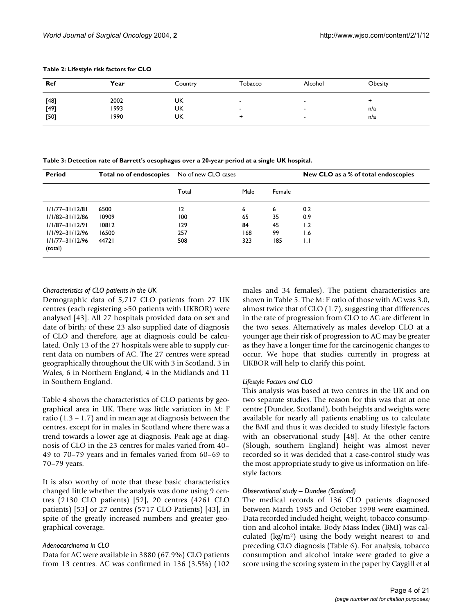| Ref              | Year         | Country  | Tobacco                       | Alcohol                                              | Obesity |
|------------------|--------------|----------|-------------------------------|------------------------------------------------------|---------|
| $[48]$<br>$[49]$ | 2002<br>1993 | UK<br>UK | -<br>$\overline{\phantom{0}}$ | $\overline{\phantom{a}}$<br>$\overline{\phantom{0}}$ | n/a     |
| $[50]$           | 1990         | UK       |                               | $\overline{\phantom{a}}$                             | n/a     |

#### <span id="page-3-0"></span>**Table 2: Lifestyle risk factors for CLO**

**Table 3: Detection rate of Barrett's oesophagus over a 20-year period at a single UK hospital.**

| Period                         | Total no of endoscopies | No of new CLO cases |      |        | New CLO as a % of total endoscopies |  |  |
|--------------------------------|-------------------------|---------------------|------|--------|-------------------------------------|--|--|
|                                |                         | Total               | Male | Female |                                     |  |  |
| $1/1/77-31/12/81$              | 6500                    | 12                  | 6    | 6      | 0.2                                 |  |  |
| $1/1/82 - 31/12/86$            | 10909                   | 100                 | 65   | 35     | 0.9                                 |  |  |
| $1/1/87 - 31/12/91$            | 10812                   | 129                 | 84   | 45     | $\overline{1.2}$                    |  |  |
| $1/1/92 - 31/12/96$            | 16500                   | 257                 | 168  | 99     | 1.6                                 |  |  |
| $1/1/77 - 31/12/96$<br>(total) | 44721                   | 508                 | 323  | 185    | $\mathsf{L}$                        |  |  |

#### *Characteristics of CLO patients in the UK*

Demographic data of 5,717 CLO patients from 27 UK centres (each registering >50 patients with UKBOR) were analysed [43]. All 27 hospitals provided data on sex and date of birth; of these 23 also supplied date of diagnosis of CLO and therefore, age at diagnosis could be calculated. Only 13 of the 27 hospitals were able to supply current data on numbers of AC. The 27 centres were spread geographically throughout the UK with 3 in Scotland, 3 in Wales, 6 in Northern England, 4 in the Midlands and 11 in Southern England.

Table [4](#page-4-0) shows the characteristics of CLO patients by geographical area in UK. There was little variation in M: F ratio (1.3 – 1.7) and in mean age at diagnosis between the centres, except for in males in Scotland where there was a trend towards a lower age at diagnosis. Peak age at diagnosis of CLO in the 23 centres for males varied from 40– 49 to 70–79 years and in females varied from 60–69 to 70–79 years.

It is also worthy of note that these basic characteristics changed little whether the analysis was done using 9 centres (2130 CLO patients) [52], 20 centres (4261 CLO patients) [53] or 27 centres (5717 CLO Patients) [43], in spite of the greatly increased numbers and greater geographical coverage.

#### *Adenocarcinoma in CLO*

Data for AC were available in 3880 (67.9%) CLO patients from 13 centres. AC was confirmed in 136 (3.5%) (102

males and 34 females). The patient characteristics are shown in Table [5.](#page-4-1) The M: F ratio of those with AC was 3.0, almost twice that of CLO (1.7), suggesting that differences in the rate of progression from CLO to AC are different in the two sexes. Alternatively as males develop CLO at a younger age their risk of progression to AC may be greater as they have a longer time for the carcinogenic changes to occur. We hope that studies currently in progress at UKBOR will help to clarify this point.

#### *Lifestyle Factors and CLO*

This analysis was based at two centres in the UK and on two separate studies. The reason for this was that at one centre (Dundee, Scotland), both heights and weights were available for nearly all patients enabling us to calculate the BMI and thus it was decided to study lifestyle factors with an observational study [48]. At the other centre (Slough, southern England) height was almost never recorded so it was decided that a case-control study was the most appropriate study to give us information on lifestyle factors.

#### *Observational study – Dundee (Scotland)*

The medical records of 136 CLO patients diagnosed between March 1985 and October 1998 were examined. Data recorded included height, weight, tobacco consumption and alcohol intake. Body Mass Index (BMI) was calculated  $(kg/m<sup>2</sup>)$  using the body weight nearest to and preceding CLO diagnosis (Table [6\)](#page-4-2). For analysis, tobacco consumption and alcohol intake were graded to give a score using the scoring system in the paper by Caygill et al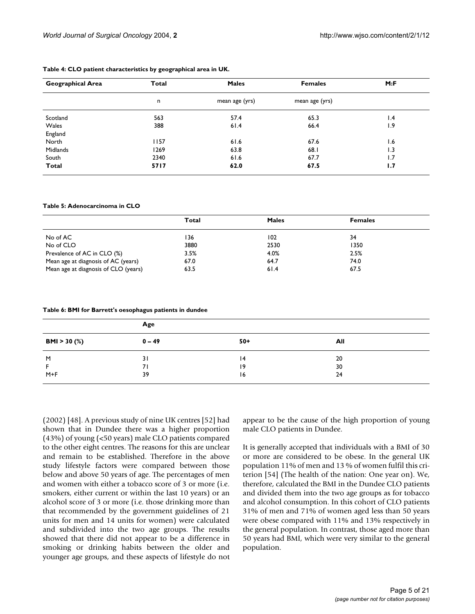| <b>Geographical Area</b> | Total | <b>Males</b>   | <b>Females</b> | M: F            |
|--------------------------|-------|----------------|----------------|-----------------|
|                          | n     | mean age (yrs) | mean age (yrs) |                 |
| Scotland                 | 563   | 57.4           | 65.3           | $\mathsf{I}$ .4 |
| Wales                    | 388   | 61.4           | 66.4           | 1.9             |
| England                  |       |                |                |                 |
| North                    | 1157  | 61.6           | 67.6           | 1.6             |
| Midlands                 | 1269  | 63.8           | 68.1           | 1.3             |
| South                    | 2340  | 61.6           | 67.7           | 1.7             |
| Total                    | 5717  | 62.0           | 67.5           | 1.7             |

#### <span id="page-4-0"></span>**Table 4: CLO patient characteristics by geographical area in UK.**

<span id="page-4-1"></span>**Table 5: Adenocarcinoma in CLO**

|                                      | <b>Total</b> | <b>Males</b> | <b>Females</b> |
|--------------------------------------|--------------|--------------|----------------|
| No of AC                             | 136          | 102          | 34             |
| No of CLO                            | 3880         | 2530         | 1350           |
| Prevalence of AC in CLO (%)          | 3.5%         | 4.0%         | 2.5%           |
| Mean age at diagnosis of AC (years)  | 67.0         | 64.7         | 74.0           |
| Mean age at diagnosis of CLO (years) | 63.5         | 61.4         | 67.5           |

<span id="page-4-2"></span>**Table 6: BMI for Barrett's oesophagus patients in dundee**

|              | Age      |       |     |  |
|--------------|----------|-------|-----|--|
| BMI > 30 (%) | $0 - 49$ | $50+$ | All |  |
| M            | 31       | 14    | 20  |  |
|              |          | 9     | 30  |  |
| $M+F$        | 39       | 16    | 24  |  |

(2002) [48]. A previous study of nine UK centres [52] had shown that in Dundee there was a higher proportion (43%) of young (<50 years) male CLO patients compared to the other eight centres. The reasons for this are unclear and remain to be established. Therefore in the above study lifestyle factors were compared between those below and above 50 years of age. The percentages of men and women with either a tobacco score of 3 or more (i.e. smokers, either current or within the last 10 years) or an alcohol score of 3 or more (i.e. those drinking more than that recommended by the government guidelines of 21 units for men and 14 units for women) were calculated and subdivided into the two age groups. The results showed that there did not appear to be a difference in smoking or drinking habits between the older and younger age groups, and these aspects of lifestyle do not

appear to be the cause of the high proportion of young male CLO patients in Dundee.

It is generally accepted that individuals with a BMI of 30 or more are considered to be obese. In the general UK population 11% of men and 13 % of women fulfil this criterion [54] (The health of the nation: One year on). We, therefore, calculated the BMI in the Dundee CLO patients and divided them into the two age groups as for tobacco and alcohol consumption. In this cohort of CLO patients 31% of men and 71% of women aged less than 50 years were obese compared with 11% and 13% respectively in the general population. In contrast, those aged more than 50 years had BMI, which were very similar to the general population.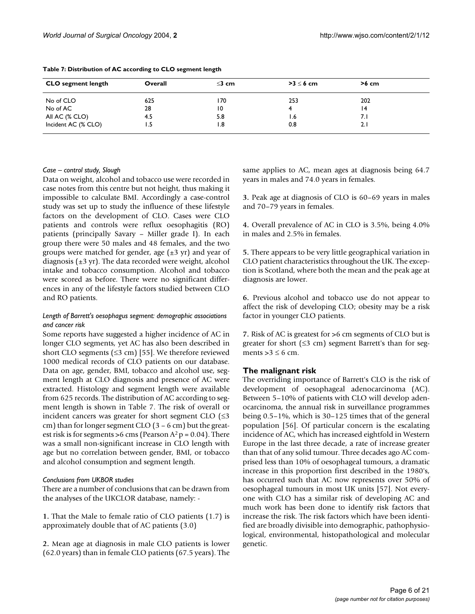| <b>CLO</b> segment length | Overall | $\leq$ 3 cm | $>3 \leq 6$ cm | >6 cm |  |
|---------------------------|---------|-------------|----------------|-------|--|
| No of CLO                 | 625     | 170         | 253            | 202   |  |
| No of AC                  | 28      | 10          |                | 14    |  |
| All AC (% CLO)            | 4.5     | 5.8         | l.6            | 7.I   |  |
| Incident AC (% CLO)       | 1.5     | l.8         | 0.8            | 2.I   |  |

<span id="page-5-0"></span>**Table 7: Distribution of AC according to CLO segment length**

### *Case – control study, Slough*

Data on weight, alcohol and tobacco use were recorded in case notes from this centre but not height, thus making it impossible to calculate BMI. Accordingly a case-control study was set up to study the influence of these lifestyle factors on the development of CLO. Cases were CLO patients and controls were reflux oesophagitis (RO) patients (principally Savary – Miller grade I). In each group there were 50 males and 48 females, and the two groups were matched for gender, age  $(\pm 3 \text{ yr})$  and year of diagnosis  $(\pm 3 \text{ yr})$ . The data recorded were weight, alcohol intake and tobacco consumption. Alcohol and tobacco were scored as before. There were no significant differences in any of the lifestyle factors studied between CLO and RO patients.

### *Length of Barrett's oesophagus segment: demographic associations and cancer risk*

Some reports have suggested a higher incidence of AC in longer CLO segments, yet AC has also been described in short CLO segments  $(\leq 3$  cm) [55]. We therefore reviewed 1000 medical records of CLO patients on our database. Data on age, gender, BMI, tobacco and alcohol use, segment length at CLO diagnosis and presence of AC were extracted. Histology and segment length were available from 625 records. The distribution of AC according to segment length is shown in Table [7](#page-5-0). The risk of overall or incident cancers was greater for short segment CLO  $(\leq 3)$ cm) than for longer segment CLO  $(3 - 6$  cm) but the greatest risk is for segments >6 cms (Pearson  $A^2 p = 0.04$ ). There was a small non-significant increase in CLO length with age but no correlation between gender, BMI, or tobacco and alcohol consumption and segment length.

#### *Conclusions from UKBOR studies*

There are a number of conclusions that can be drawn from the analyses of the UKCLOR database, namely: -

**1.** That the Male to female ratio of CLO patients (1.7) is approximately double that of AC patients (3.0)

**2.** Mean age at diagnosis in male CLO patients is lower (62.0 years) than in female CLO patients (67.5 years). The same applies to AC, mean ages at diagnosis being 64.7 years in males and 74.0 years in females.

**3.** Peak age at diagnosis of CLO is 60–69 years in males and 70–79 years in females.

**4.** Overall prevalence of AC in CLO is 3.5%, being 4.0% in males and 2.5% in females.

**5.** There appears to be very little geographical variation in CLO patient characteristics throughout the UK. The exception is Scotland, where both the mean and the peak age at diagnosis are lower.

**6.** Previous alcohol and tobacco use do not appear to affect the risk of developing CLO; obesity may be a risk factor in younger CLO patients.

**7.** Risk of AC is greatest for >6 cm segments of CLO but is greater for short ( $\leq$ 3 cm) segment Barrett's than for segments  $>3 \leq 6$  cm.

### **The malignant risk**

The overriding importance of Barrett's CLO is the risk of development of oesophageal adenocarcinoma (AC). Between 5–10% of patients with CLO will develop adenocarcinoma, the annual risk in surveillance programmes being 0.5–1%, which is 30–125 times that of the general population [56]. Of particular concern is the escalating incidence of AC, which has increased eightfold in Western Europe in the last three decade, a rate of increase greater than that of any solid tumour. Three decades ago AC comprised less than 10% of oesophageal tumours, a dramatic increase in this proportion first described in the 1980's, has occurred such that AC now represents over 50% of oesophageal tumours in most UK units [57]. Not everyone with CLO has a similar risk of developing AC and much work has been done to identify risk factors that increase the risk. The risk factors which have been identified are broadly divisible into demographic, pathophysiological, environmental, histopathological and molecular genetic.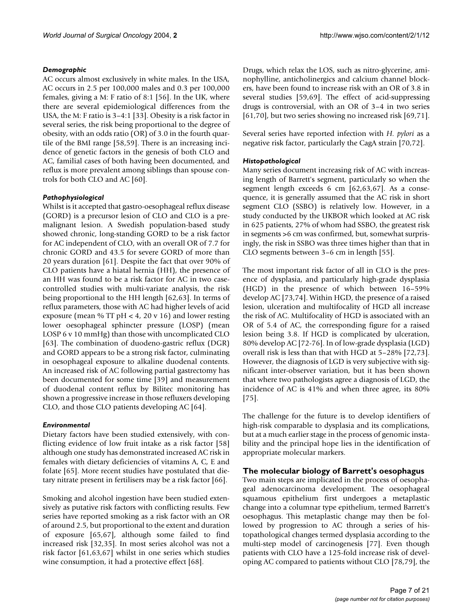### *Demographic*

AC occurs almost exclusively in white males. In the USA, AC occurs in 2.5 per 100,000 males and 0.3 per 100,000 females, giving a M: F ratio of 8:1 [56]. In the UK, where there are several epidemiological differences from the USA, the M: F ratio is 3–4:1 [33]. Obesity is a risk factor in several series, the risk being proportional to the degree of obesity, with an odds ratio (OR) of 3.0 in the fourth quartile of the BMI range [58,59]. There is an increasing incidence of genetic factors in the genesis of both CLO and AC, familial cases of both having been documented, and reflux is more prevalent among siblings than spouse controls for both CLO and AC [60].

### *Pathophysiological*

Whilst is it accepted that gastro-oesophageal reflux disease (GORD) is a precursor lesion of CLO and CLO is a premalignant lesion. A Swedish population-based study showed chronic, long-standing GORD to be a risk factor for AC independent of CLO, with an overall OR of 7.7 for chronic GORD and 43.5 for severe GORD of more than 20 years duration [61]. Despite the fact that over 90% of CLO patients have a hiatal hernia (HH), the presence of an HH was found to be a risk factor for AC in two casecontrolled studies with multi-variate analysis, the risk being proportional to the HH length [62,63]. In terms of reflux parameters, those with AC had higher levels of acid exposure (mean % TT pH  $<$  4, 20 v 16) and lower resting lower oesophageal sphincter pressure (LOSP) (mean LOSP 6 v 10 mmHg) than those with uncomplicated CLO [63]. The combination of duodeno-gastric reflux (DGR) and GORD appears to be a strong risk factor, culminating in oesophageal exposure to alkaline duodenal contents. An increased risk of AC following partial gastrectomy has been documented for some time [39] and measurement of duodenal content reflux by Bilitec monitoring has shown a progressive increase in those refluxers developing CLO, and those CLO patients developing AC [64].

### *Environmental*

Dietary factors have been studied extensively, with conflicting evidence of low fruit intake as a risk factor [58] although one study has demonstrated increased AC risk in females with dietary deficiencies of vitamins A, C, E and folate [65]. More recent studies have postulated that dietary nitrate present in fertilisers may be a risk factor [66].

Smoking and alcohol ingestion have been studied extensively as putative risk factors with conflicting results. Few series have reported smoking as a risk factor with an OR of around 2.5, but proportional to the extent and duration of exposure [65,67], although some failed to find increased risk [32,35]. In most series alcohol was not a risk factor [61,63,67] whilst in one series which studies wine consumption, it had a protective effect [68].

Drugs, which relax the LOS, such as nitro-glycerine, aminophylline, anticholinergics and calcium channel blockers, have been found to increase risk with an OR of 3.8 in several studies [59,69]. The effect of acid-suppressing drugs is controversial, with an OR of 3–4 in two series [61,70], but two series showing no increased risk [69[,71](#page-16-0)].

Several series have reported infection with *H. pylori* as a negative risk factor, particularly the CagA strain [70,72].

### *Histopathological*

Many series document increasing risk of AC with increasing length of Barrett's segment, particularly so when the segment length exceeds 6 cm [62,63,67]. As a consequence, it is generally assumed that the AC risk in short segment CLO (SSBO) is relatively low. However, in a study conducted by the UKBOR which looked at AC risk in 625 patients, 27% of whom had SSBO, the greatest risk in segments >6 cm was confirmed, but, somewhat surprisingly, the risk in SSBO was three times higher than that in CLO segments between 3–6 cm in length [55].

The most important risk factor of all in CLO is the presence of dysplasia, and particularly high-grade dysplasia (HGD) in the presence of which between 16–59% develop AC [73,74]. Within HGD, the presence of a raised lesion, ulceration and multifocality of HGD all increase the risk of AC. Multifocality of HGD is associated with an OR of 5.4 of AC, the corresponding figure for a raised lesion being 3.8. If HGD is complicated by ulceration, 80% develop AC [72-76]. In of low-grade dysplasia (LGD) overall risk is less than that with HGD at 5–28% [72,73]. However, the diagnosis of LGD is very subjective with significant inter-observer variation, but it has been shown that where two pathologists agree a diagnosis of LGD, the incidence of AC is 41% and when three agree, its 80% [75].

The challenge for the future is to develop identifiers of high-risk comparable to dysplasia and its complications, but at a much earlier stage in the process of genomic instability and the principal hope lies in the identification of appropriate molecular markers.

### **The molecular biology of Barrett's oesophagus**

Two main steps are implicated in the process of oesophageal adenocarcinoma development. The oesophageal squamous epithelium first undergoes a metaplastic change into a columnar type epithelium, termed Barrett's oesophagus. This metaplastic change may then be followed by progression to AC through a series of histopathological changes termed dysplasia according to the multi-step model of carcinogenesis [77]. Even though patients with CLO have a 125-fold increase risk of developing AC compared to patients without CLO [78,79], the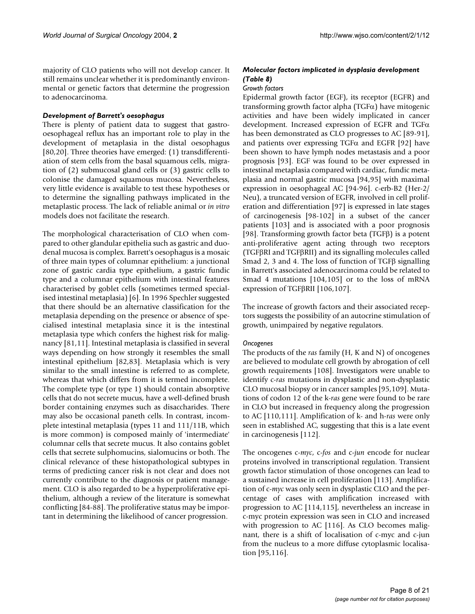majority of CLO patients who will not develop cancer. It still remains unclear whether it is predominantly environmental or genetic factors that determine the progression to adenocarcinoma.

#### *Development of Barrett's oesophagus*

There is plenty of patient data to suggest that gastrooesophageal reflux has an important role to play in the development of metaplasia in the distal oesophagus [80,20]. Three theories have emerged: (1) transdifferentiation of stem cells from the basal squamous cells, migration of (2) submucosal gland cells or (3) gastric cells to colonise the damaged squamous mucosa. Nevertheless, very little evidence is available to test these hypotheses or to determine the signalling pathways implicated in the metaplastic process. The lack of reliable animal or *in vitro* models does not facilitate the research.

The morphological characterisation of CLO when compared to other glandular epithelia such as gastric and duodenal mucosa is complex. Barrett's oesophagus is a mosaic of three main types of columnar epithelium: a junctional zone of gastric cardia type epithelium, a gastric fundic type and a columnar epithelium with intestinal features characterised by goblet cells (sometimes termed specialised intestinal metaplasia) [6]. In 1996 Spechler suggested that there should be an alternative classification for the metaplasia depending on the presence or absence of specialised intestinal metaplasia since it is the intestinal metaplasia type which confers the highest risk for malignancy [81,11]. Intestinal metaplasia is classified in several ways depending on how strongly it resembles the small intestinal epithelium [82,83]. Metaplasia which is very similar to the small intestine is referred to as complete, whereas that which differs from it is termed incomplete. The complete type (or type 1) should contain absorptive cells that do not secrete mucus, have a well-defined brush border containing enzymes such as disaccharides. There may also be occasional paneth cells. In contrast, incomplete intestinal metaplasia (types 11 and 111/11B, which is more common) is composed mainly of 'intermediate' columnar cells that secrete mucus. It also contains goblet cells that secrete sulphomucins, sialomucins or both. The clinical relevance of these histopathological subtypes in terms of predicting cancer risk is not clear and does not currently contribute to the diagnosis or patient management. CLO is also regarded to be a hyperproliferative epithelium, although a review of the literature is somewhat conflicting [84-88]. The proliferative status may be important in determining the likelihood of cancer progression.

### *Molecular factors implicated in dysplasia development (Table [8\)](#page-8-0)*

#### *Growth factors*

Epidermal growth factor (EGF), its receptor (EGFR) and transforming growth factor alpha (TGFα) have mitogenic activities and have been widely implicated in cancer development. Increased expression of EGFR and TGFα has been demonstrated as CLO progresses to AC [89-91], and patients over expressing TGF $\alpha$  and EGFR [92] have been shown to have lymph nodes metastasis and a poor prognosis [93]. EGF was found to be over expressed in intestinal metaplasia compared with cardiac, fundic metaplasia and normal gastric mucosa [94,95] with maximal expression in oesophageal AC [94-96]. c-erb-B2 (Her-2/ Neu), a truncated version of EGFR, involved in cell proliferation and differentiation [97] is expressed in late stages of carcinogenesis [98-102] in a subset of the cancer patients [103] and is associated with a poor prognosis [98]. Transforming growth factor beta (TGFβ) is a potent anti-proliferative agent acting through two receptors (TGFβRI and TGFβRII) and its signalling molecules called Smad 2, 3 and 4. The loss of function of TGFβ signalling in Barrett's associated adenocarcinoma could be related to Smad 4 mutations [104,105] or to the loss of mRNA expression of TGFβRII [106,107].

The increase of growth factors and their associated receptors suggests the possibility of an autocrine stimulation of growth, unimpaired by negative regulators.

#### *Oncogenes*

The products of the *ras* family (H, K and N) of oncogenes are believed to modulate cell growth by abrogation of cell growth requirements [108]. Investigators were unable to identify c-*ras* mutations in dysplastic and non-dysplastic CLO mucosal biopsy or in cancer samples [95,109]. Mutations of codon 12 of the k-*ras* gene were found to be rare in CLO but increased in frequency along the progression to AC [110,111]. Amplification of k- and h-*ras* were only seen in established AC, suggesting that this is a late event in carcinogenesis [112].

The oncogenes c-*myc*, c-*fos* and c-*jun* encode for nuclear proteins involved in transcriptional regulation. Transient growth factor stimulation of those oncogenes can lead to a sustained increase in cell proliferation [113]. Amplification of c-*myc* was only seen in dysplastic CLO and the percentage of cases with amplification increased with progression to AC [114,115], nevertheless an increase in c-myc protein expression was seen in CLO and increased with progression to AC [116]. As CLO becomes malignant, there is a shift of localisation of c-myc and c-jun from the nucleus to a more diffuse cytoplasmic localisation [95,116].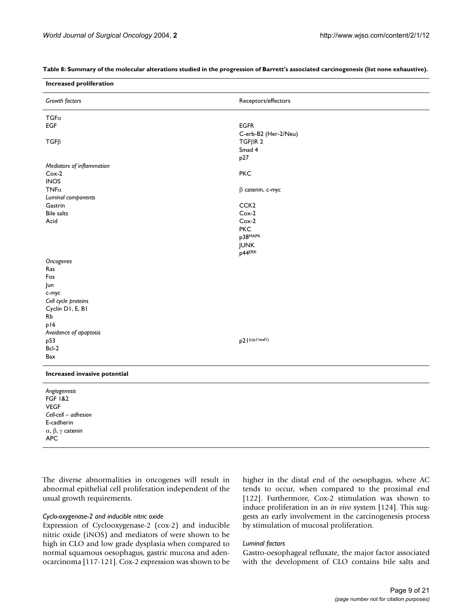**Increased proliferation**

| Growth factors               | Receptors/effectors    |
|------------------------------|------------------------|
| $T$ GF $\alpha$              |                        |
| EGF                          | <b>EGFR</b>            |
|                              | C-erb-B2 (Her-2/Neu)   |
| $TGF\beta$                   | $TGF\beta R$ 2         |
|                              | Smad 4                 |
|                              | p27                    |
| Mediators of inflammation    |                        |
| $Cox-2$                      | <b>PKC</b>             |
| <b>INOS</b>                  |                        |
| $TNF\alpha$                  | $\beta$ catenin, c-myc |
| Luminal components           |                        |
| Gastrin                      | CCK <sub>2</sub>       |
| <b>Bile salts</b>            | $Cox-2$                |
| Acid                         | $Cox-2$                |
|                              | <b>PKC</b>             |
|                              | p38MAPK                |
|                              | <b>JUNK</b>            |
|                              | p44ERK                 |
| Oncogenes                    |                        |
| Ras                          |                        |
| Fos                          |                        |
| Jun                          |                        |
| c-myc                        |                        |
| Cell cycle proteins          |                        |
| Cyclin D1, E, B1             |                        |
| <b>Rb</b>                    |                        |
| p16                          |                        |
| Avoidance of apoptosis       |                        |
| p53                          | p2   (cip I/wafl)      |
| Bcl-2                        |                        |
| Bax                          |                        |
| Increased invasive potential |                        |
|                              |                        |

<span id="page-8-0"></span>**Table 8: Summary of the molecular alterations studied in the progression of Barrett's associated carcinogenesis (list none exhaustive).**

The diverse abnormalities in oncogenes will result in abnormal epithelial cell proliferation independent of the usual growth requirements.

### *Cyclo-oxygenase-2 and inducible nitric oxide*

*Angiogenesis* FGF 1&2 VEGF

*Cell-cell – adhesion* E-cadherin α, β, γ catenin APC

Expression of Cyclooxygenase-2 (cox-2) and inducible nitric oxide (iNOS) and mediators of were shown to be high in CLO and low grade dysplasia when compared to normal squamous oesophagus, gastric mucosa and adenocarcinoma [117-121]. Cox-2 expression was shown to be higher in the distal end of the oesophagus, where AC tends to occur, when compared to the proximal end [122]. Furthermore, Cox-2 stimulation was shown to induce proliferation in an *in vivo* system [124]. This suggests an early involvement in the carcinogenesis process by stimulation of mucosal proliferation.

#### *Luminal factors*

Gastro-oesophageal refluxate, the major factor associated with the development of CLO contains bile salts and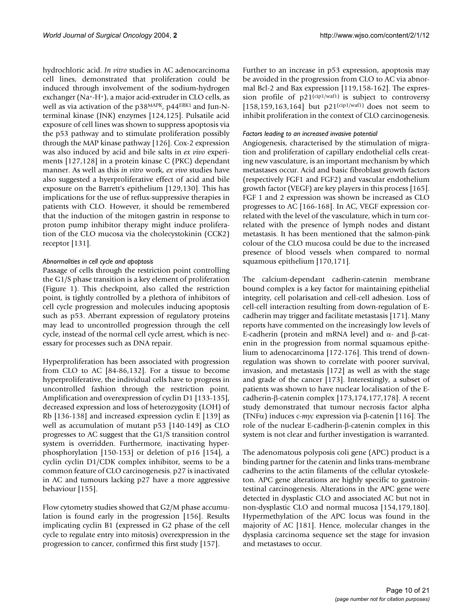hydrochloric acid. *In vitro* studies in AC adenocarcinoma cell lines, demonstrated that proliferation could be induced through involvement of the sodium-hydrogen exchanger (Na+-H+), a major acid-extruder in CLO cells, as well as via activation of the p38<sup>MAPK</sup>, p44<sup>ERK1</sup> and Jun-Nterminal kinase (JNK) enzymes [124,125]. Pulsatile acid exposure of cell lines was shown to suppress apoptosis via the p53 pathway and to stimulate proliferation possibly through the MAP kinase pathway [126]. Cox-2 expression was also induced by acid and bile salts in *ex vivo* experiments [127,128] in a protein kinase C (PKC) dependant manner. As well as this *in vitro* work, *ex vivo* studies have also suggested a hyerproliferative effect of acid and bile exposure on the Barrett's epithelium [129,[130\]](#page-17-0). This has implications for the use of reflux-suppressive therapies in patients with CLO. However, it should be remembered that the induction of the mitogen gastrin in response to proton pump inhibitor therapy might induce proliferation of the CLO mucosa via the cholecystokinin (CCK2) receptor [131].

### *Abnormalities in cell cycle and apoptosis*

Passage of cells through the restriction point controlling the G1/S phase transition is a key element of proliferation (Figure [1](#page-10-0)). This checkpoint, also called the restriction point, is tightly controlled by a plethora of inhibitors of cell cycle progression and molecules inducing apoptosis such as p53. Aberrant expression of regulatory proteins may lead to uncontrolled progression through the cell cycle, instead of the normal cell cycle arrest, which is necessary for processes such as DNA repair.

Hyperproliferation has been associated with progression from CLO to AC [84-86,132]. For a tissue to become hyperproliferative, the individual cells have to progress in uncontrolled fashion through the restriction point. Amplification and overexpression of cyclin D1 [133-135], decreased expression and loss of heterozygosity (LOH) of Rb [136-138] and increased expression cyclin E [139] as well as accumulation of mutant p53 [140-149] as CLO progresses to AC suggest that the G1/S transition control system is overridden. Furthermore, inactivating hyperphosphorylation [150-153] or deletion of p16 [154], a cyclin cyclin D1/CDK complex inhibitor, seems to be a common feature of CLO carcinogenesis. p27 is inactivated in AC and tumours lacking p27 have a more aggressive behaviour [155].

Flow cytometry studies showed that G2/M phase accumulation is found early in the progression [156]. Results implicating cyclin B1 (expressed in G2 phase of the cell cycle to regulate entry into mitosis) overexpression in the progression to cancer, confirmed this first study [157].

Further to an increase in p53 expression, apoptosis may be avoided in the progression from CLO to AC via abnormal Bcl-2 and Bax expression [119,158-162]. The expression profile of p21(cip1/waf1) is subject to controversy [158,159,163,164] but  $p21^{(cip1/waf1)}$  does not seem to inhibit proliferation in the context of CLO carcinogenesis.

### *Factors leading to an increased invasive potential*

Angiogenesis, characterised by the stimulation of migration and proliferation of capillary endothelial cells creating new vasculature, is an important mechanism by which metastases occur. Acid and basic fibroblast growth factors (respectively FGF1 and FGF2) and vascular endothelium growth factor (VEGF) are key players in this process [165]. FGF 1 and 2 expression was shown be increased as CLO progresses to AC [166-168]. In AC, VEGF expression correlated with the level of the vasculature, which in turn correlated with the presence of lymph nodes and distant metastasis. It has been mentioned that the salmon-pink colour of the CLO mucosa could be due to the increased presence of blood vessels when compared to normal squamous epithelium [170,171].

The calcium-dependant cadherin-catenin membrane bound complex is a key factor for maintaining epithelial integrity, cell polarisation and cell-cell adhesion. Loss of cell-cell interaction resulting from down-regulation of Ecadherin may trigger and facilitate metastasis [171]. Many reports have commented on the increasingly low levels of E-cadherin (protein and mRNA level) and α- and β-catenin in the progression from normal squamous epithelium to adenocarcinoma [172-176]. This trend of downregulation was shown to correlate with poorer survival, invasion, and metastasis [172] as well as with the stage and grade of the cancer [173]. Interestingly, a subset of patients was shown to have nuclear localisation of the Ecadherin-β-catenin complex [173,174,177,178]. A recent study demonstrated that tumour necrosis factor alpha (TNFα) induces c-*myc* expression via β-catenin [116]. The role of the nuclear E-cadherin-β-catenin complex in this system is not clear and further investigation is warranted.

The adenomatous polyposis coli gene (APC) product is a binding partner for the catenin and links trans-membrane cadherins to the actin filaments of the cellular cytoskeleton. APC gene alterations are highly specific to gastrointestinal carcinogenesis. Alterations in the APC gene were detected in dysplastic CLO and associated AC but not in non-dysplastic CLO and normal mucosa [154,179,180]. Hypermethylation of the APC locus was found in the majority of AC [181]. Hence, molecular changes in the dysplasia carcinoma sequence set the stage for invasion and metastases to occur.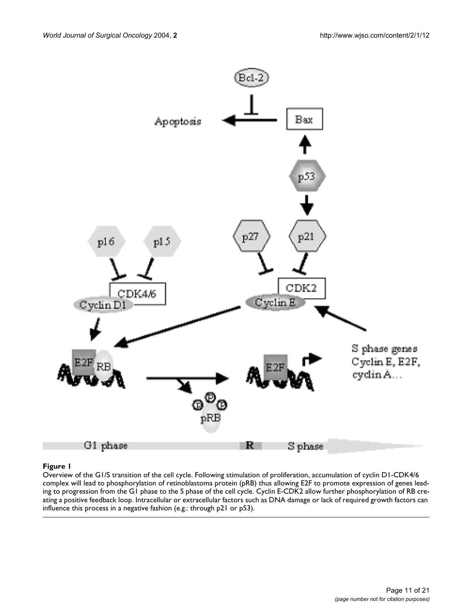<span id="page-10-0"></span>

### Figure 1

Overview of the G1/S transition of the cell cycle. Following stimulation of proliferation, accumulation of cyclin D1-CDK4/6 complex will lead to phosphorylation of retinoblastoma protein (pRB) thus allowing E2F to promote expression of genes leading to progression from the G1 phase to the S phase of the cell cycle. Cyclin E-CDK2 allow further phosphorylation of RB creating a positive feedback loop. Intracellular or extracellular factors such as DNA damage or lack of required growth factors can influence this process in a negative fashion (e.g.: through p21 or p53).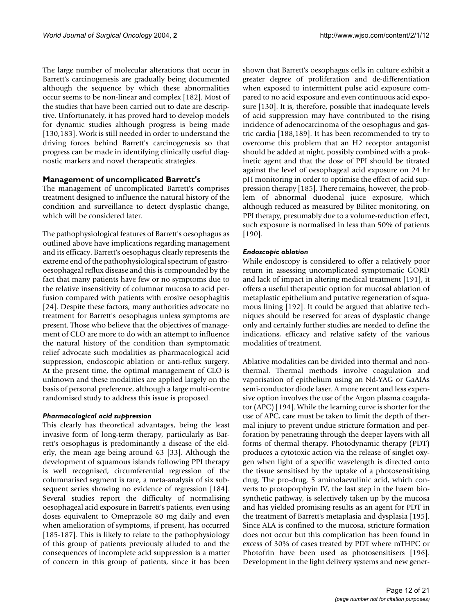The large number of molecular alterations that occur in Barrett's carcinogenesis are gradually being documented although the sequence by which these abnormalities occur seems to be non-linear and complex [182]. Most of the studies that have been carried out to date are descriptive. Unfortunately, it has proved hard to develop models for dynamic studies although progress is being made [[130,](#page-17-0)183]. Work is still needed in order to understand the driving forces behind Barrett's carcinogenesis so that progress can be made in identifying clinically useful diagnostic markers and novel therapeutic strategies.

### **Management of uncomplicated Barrett's**

The management of uncomplicated Barrett's comprises treatment designed to influence the natural history of the condition and surveillance to detect dysplastic change, which will be considered later.

The pathophysiological features of Barrett's oesophagus as outlined above have implications regarding management and its efficacy. Barrett's oesophagus clearly represents the extreme end of the pathophysiological spectrum of gastrooesophageal reflux disease and this is compounded by the fact that many patients have few or no symptoms due to the relative insensitivity of columnar mucosa to acid perfusion compared with patients with erosive oesophagitis [24]. Despite these factors, many authorities advocate no treatment for Barrett's oesophagus unless symptoms are present. Those who believe that the objectives of management of CLO are more to do with an attempt to influence the natural history of the condition than symptomatic relief advocate such modalities as pharmacological acid suppression, endoscopic ablation or anti-reflux surgery. At the present time, the optimal management of CLO is unknown and these modalities are applied largely on the basis of personal preference, although a large multi-centre randomised study to address this issue is proposed.

### *Pharmacological acid suppression*

This clearly has theoretical advantages, being the least invasive form of long-term therapy, particularly as Barrett's oesophagus is predominantly a disease of the elderly, the mean age being around 63 [33]. Although the development of squamous islands following PPI therapy is well recognised, circumferential regression of the columnarised segment is rare, a meta-analysis of six subsequent series showing no evidence of regression [184]. Several studies report the difficulty of normalising oesophageal acid exposure in Barrett's patients, even using doses equivalent to Omeprazole 80 mg daily and even when amelioration of symptoms, if present, has occurred [185-187]. This is likely to relate to the pathophysiology of this group of patients previously alluded to and the consequences of incomplete acid suppression is a matter of concern in this group of patients, since it has been

shown that Barrett's oesophagus cells in culture exhibit a greater degree of proliferation and de-differentiation when exposed to intermittent pulse acid exposure compared to no acid exposure and even continuous acid exposure [\[130\]](#page-17-0). It is, therefore, possible that inadequate levels of acid suppression may have contributed to the rising incidence of adenocarcinoma of the oesophagus and gastric cardia [188,189]. It has been recommended to try to overcome this problem that an H2 receptor antagonist should be added at night, possibly combined with a prokinetic agent and that the dose of PPI should be titrated against the level of oesophageal acid exposure on 24 hr pH monitoring in order to optimise the effect of acid suppression therapy [185]. There remains, however, the problem of abnormal duodenal juice exposure, which although reduced as measured by Bilitec monitoring, on PPI therapy, presumably due to a volume-reduction effect, such exposure is normalised in less than 50% of patients [190].

### *Endoscopic ablation*

While endoscopy is considered to offer a relatively poor return in assessing uncomplicated symptomatic GORD and lack of impact in altering medical treatment [191], it offers a useful therapeutic option for mucosal ablation of metaplastic epithelium and putative regeneration of squamous lining [192]. It could be argued that ablative techniques should be reserved for areas of dysplastic change only and certainly further studies are needed to define the indications, efficacy and relative safety of the various modalities of treatment.

Ablative modalities can be divided into thermal and nonthermal. Thermal methods involve coagulation and vaporisation of epithelium using an Nd-YAG or GaAIAs semi-conductor diode laser. A more recent and less expensive option involves the use of the Argon plasma coagulator (APC) [194]. While the learning curve is shorter for the use of APC, care must be taken to limit the depth of thermal injury to prevent undue stricture formation and perforation by penetrating through the deeper layers with all forms of thermal therapy. Photodynamic therapy (PDT) produces a cytotoxic action via the release of singlet oxygen when light of a specific wavelength is directed onto the tissue sensitised by the uptake of a photosensitising drug. The pro-drug, 5 aminolaevulinic acid, which converts to protoporphyin IV, the last step in the haem biosynthetic pathway, is selectively taken up by the mucosa and has yielded promising results as an agent for PDT in the treatment of Barrett's metaplasia and dysplasia [195]. Since ALA is confined to the mucosa, stricture formation does not occur but this complication has been found in excess of 30% of cases treated by PDT where mTHPC or Photofrin have been used as photosensitisers [196]. Development in the light delivery systems and new gener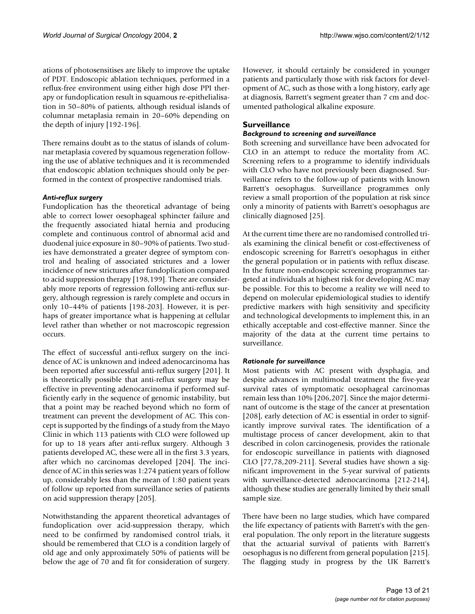ations of photosensitises are likely to improve the uptake of PDT. Endoscopic ablation techniques, performed in a reflux-free environment using either high dose PPI therapy or fundoplication result in squamous re-epithelialisation in 50–80% of patients, although residual islands of columnar metaplasia remain in 20–60% depending on the depth of injury [192-196].

There remains doubt as to the status of islands of columnar metaplasia covered by squamous regeneration following the use of ablative techniques and it is recommended that endoscopic ablation techniques should only be performed in the context of prospective randomised trials.

### *Anti-reflux surgery*

Fundoplication has the theoretical advantage of being able to correct lower oesophageal sphincter failure and the frequently associated hiatal hernia and producing complete and continuous control of abnormal acid and duodenal juice exposure in 80–90% of patients. Two studies have demonstrated a greater degree of symptom control and healing of associated strictures and a lower incidence of new strictures after fundoplication compared to acid suppression therapy [198,199]. There are considerably more reports of regression following anti-reflux surgery, although regression is rarely complete and occurs in only 10–44% of patients [198-203]. However, it is perhaps of greater importance what is happening at cellular level rather than whether or not macroscopic regression occurs.

The effect of successful anti-reflux surgery on the incidence of AC is unknown and indeed adenocarcinoma has been reported after successful anti-reflux surgery [201]. It is theoretically possible that anti-reflux surgery may be effective in preventing adenocarcinoma if performed sufficiently early in the sequence of genomic instability, but that a point may be reached beyond which no form of treatment can prevent the development of AC. This concept is supported by the findings of a study from the Mayo Clinic in which 113 patients with CLO were followed up for up to 18 years after anti-reflux surgery. Although 3 patients developed AC, these were all in the first 3.3 years, after which no carcinomas developed [204]. The incidence of AC in this series was 1:274 patient years of follow up, considerably less than the mean of 1:80 patient years of follow up reported from surveillance series of patients on acid suppression therapy [205].

Notwithstanding the apparent theoretical advantages of fundoplication over acid-suppression therapy, which need to be confirmed by randomised control trials, it should be remembered that CLO is a condition largely of old age and only approximately 50% of patients will be below the age of 70 and fit for consideration of surgery. However, it should certainly be considered in younger patients and particularly those with risk factors for development of AC, such as those with a long history, early age at diagnosis, Barrett's segment greater than 7 cm and documented pathological alkaline exposure.

### **Surveillance**

### *Background to screening and surveillance*

Both screening and surveillance have been advocated for CLO in an attempt to reduce the mortality from AC. Screening refers to a programme to identify individuals with CLO who have not previously been diagnosed. Surveillance refers to the follow-up of patients with known Barrett's oesophagus. Surveillance programmes only review a small proportion of the population at risk since only a minority of patients with Barrett's oesophagus are clinically diagnosed [25].

At the current time there are no randomised controlled trials examining the clinical benefit or cost-effectiveness of endoscopic screening for Barrett's oesophagus in either the general population or in patients with reflux disease. In the future non-endoscopic screening programmes targeted at individuals at highest risk for developing AC may be possible. For this to become a reality we will need to depend on molecular epidemiological studies to identify predictive markers with high sensitivity and specificity and technological developments to implement this, in an ethically acceptable and cost-effective manner. Since the majority of the data at the current time pertains to surveillance.

### *Rationale for surveillance*

Most patients with AC present with dysphagia, and despite advances in multimodal treatment the five-year survival rates of symptomatic oesophageal carcinomas remain less than 10% [206,207]. Since the major determinant of outcome is the stage of the cancer at presentation [208], early detection of AC is essential in order to significantly improve survival rates. The identification of a multistage process of cancer development, akin to that described in colon carcinogenesis, provides the rationale for endoscopic surveillance in patients with diagnosed CLO [77,78,209-211]. Several studies have shown a significant improvement in the 5-year survival of patients with surveillance-detected adenocarcinoma [212-214], although these studies are generally limited by their small sample size.

There have been no large studies, which have compared the life expectancy of patients with Barrett's with the general population. The only report in the literature suggests that the actuarial survival of patients with Barrett's oesophagus is no different from general population [215]. The flagging study in progress by the UK Barrett's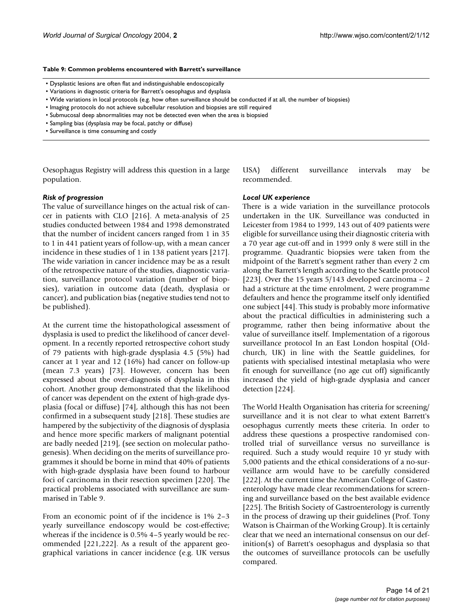#### <span id="page-13-0"></span>**Table 9: Common problems encountered with Barrett's surveillance**

- Dysplastic lesions are often flat and indistinguishable endoscopically
- Variations in diagnostic criteria for Barrett's oesophagus and dysplasia
- Wide variations in local protocols (e.g. how often surveillance should be conducted if at all, the number of biopsies)
- Imaging protocols do not achieve subcellular resolution and biopsies are still required
- Submucosal deep abnormalities may not be detected even when the area is biopsied
- Sampling bias (dysplasia may be focal, patchy or diffuse)
- Surveillance is time consuming and costly

Oesophagus Registry will address this question in a large population.

#### *Risk of progression*

The value of surveillance hinges on the actual risk of cancer in patients with CLO [216]. A meta-analysis of 25 studies conducted between 1984 and 1998 demonstrated that the number of incident cancers ranged from 1 in 35 to 1 in 441 patient years of follow-up, with a mean cancer incidence in these studies of 1 in 138 patient years [217]. The wide variation in cancer incidence may be as a result of the retrospective nature of the studies, diagnostic variation, surveillance protocol variation (number of biopsies), variation in outcome data (death, dysplasia or cancer), and publication bias (negative studies tend not to be published).

At the current time the histopathological assessment of dysplasia is used to predict the likelihood of cancer development. In a recently reported retrospective cohort study of 79 patients with high-grade dysplasia 4.5 (5%) had cancer at 1 year and 12 (16%) had cancer on follow-up (mean 7.3 years) [73]. However, concern has been expressed about the over-diagnosis of dysplasia in this cohort. Another group demonstrated that the likelihood of cancer was dependent on the extent of high-grade dysplasia (focal or diffuse) [74], although this has not been confirmed in a subsequent study [218]. These studies are hampered by the subjectivity of the diagnosis of dysplasia and hence more specific markers of malignant potential are badly needed [219], (see section on molecular pathogenesis). When deciding on the merits of surveillance programmes it should be borne in mind that 40% of patients with high-grade dysplasia have been found to harbour foci of carcinoma in their resection specimen [220]. The practical problems associated with surveillance are summarised in Table [9](#page-13-0).

From an economic point of if the incidence is 1% 2–3 yearly surveillance endoscopy would be cost-effective; whereas if the incidence is 0.5% 4–5 yearly would be recommended [221,222]. As a result of the apparent geographical variations in cancer incidence (e.g. UK versus

USA) different surveillance intervals may be recommended.

#### *Local UK experience*

There is a wide variation in the surveillance protocols undertaken in the UK. Surveillance was conducted in Leicester from 1984 to 1999, 143 out of 409 patients were eligible for surveillance using their diagnostic criteria with a 70 year age cut-off and in 1999 only 8 were still in the programme. Quadrantic biopsies were taken from the midpoint of the Barrett's segment rather than every 2 cm along the Barrett's length according to the Seattle protocol [223]. Over the 15 years  $5/143$  developed carcinoma – 2 had a stricture at the time enrolment, 2 were programme defaulters and hence the programme itself only identified one subject [44]. This study is probably more informative about the practical difficulties in administering such a programme, rather then being informative about the value of surveillance itself. Implementation of a rigorous surveillance protocol In an East London hospital (Oldchurch, UK) in line with the Seattle guidelines, for patients with specialised intestinal metaplasia who were fit enough for surveillance (no age cut off) significantly increased the yield of high-grade dysplasia and cancer detection [224].

The World Health Organisation has criteria for screening/ surveillance and it is not clear to what extent Barrett's oesophagus currently meets these criteria. In order to address these questions a prospective randomised controlled trial of surveillance versus no surveillance is required. Such a study would require 10 yr study with 5,000 patients and the ethical considerations of a no-surveillance arm would have to be carefully considered [222]. At the current time the American College of Gastroenterology have made clear recommendations for screening and surveillance based on the best available evidence [225]. The British Society of Gastroenterology is currently in the process of drawing up their guidelines (Prof. Tony Watson is Chairman of the Working Group). It is certainly clear that we need an international consensus on our definition(s) of Barrett's oesophagus and dysplasia so that the outcomes of surveillance protocols can be usefully compared.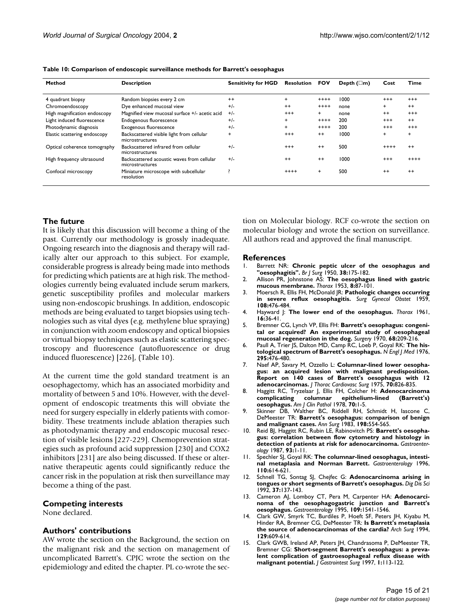| Method<br><b>Description</b> |                                                               | <b>Sensitivity for HGD</b> | Resolution | <b>FOV</b> | Depth $(\Box m)$ | Cost      | Time      |
|------------------------------|---------------------------------------------------------------|----------------------------|------------|------------|------------------|-----------|-----------|
|                              |                                                               |                            |            |            |                  |           |           |
| 4 quadrant biopsy            | Random biopsies every 2 cm                                    | $^{++}$                    | $\ddot{}$  | $^{++++}$  | 1000             | $^{+++}$  | $^{++}$   |
| Chromoendoscopy              | Dye enhanced mucosal view                                     | $+/-$                      | $^{++}$    | $^{++++}$  | none             | $^{+}$    | $^{++}$   |
| High magnification endoscopy | Magnified view mucosal surface +/- acetic acid                | $+/-$                      | $^{+++}$   | $\ddot{}$  | none             | $^{++}$   | $^{+++}$  |
| Light induced fluorescence   | Endogenous fluorescence                                       | $+/-$                      | $\ddot{}$  | $^{++++}$  | 200              | $^{++}$   | $^{++}$   |
| Photodynamic diagnosis       | Exogenous fluorescence                                        | $+/-$                      | $\ddot{}$  | $^{++++}$  | 200              | $^{++}$   | $^{+++}$  |
| Elastic scattering endoscopy | Backscattered visible light from cellular<br>microstructures  | $\ddot{}$                  | $^{+++}$   | $^{++}$    | 1000             | $^{+}$    | $\ddot{}$ |
| Optical coherence tomography | Backscattered infrared from cellular<br>microstructures       | $+/-$                      | $^{+++}$   | $^{++}$    | 500              | $^{++++}$ | $^{++}$   |
| High frequency ultrasound    | Backscattered acoustic waves from cellular<br>microstructures | $+/-$                      | $++$       | $^{++}$    | 1000             | $^{+++}$  | $++++$    |
| Confocal microscopy          | Miniature microscope with subcellular<br>resolution           |                            | $++++$     | $\ddot{}$  | 500              | $^{++}$   | $^{++}$   |

#### <span id="page-14-0"></span>**Table 10: Comparison of endoscopic surveillance methods for Barrett's oesophagus**

#### **The future**

It is likely that this discussion will become a thing of the past. Currently our methodology is grossly inadequate. Ongoing research into the diagnosis and therapy will radically alter our approach to this subject. For example, considerable progress is already being made into methods for predicting which patients are at high risk. The methodologies currently being evaluated include serum markers, genetic susceptibility profiles and molecular markers using non-endoscopic brushings. In addition, endoscopic methods are being evaluated to target biopsies using technologies such as vital dyes (e.g. methylene blue spraying) in conjunction with zoom endoscopy and optical biopsies or virtual biopsy techniques such as elastic scattering spectroscopy and fluorescence (autofluorescence or drug induced fluorescence) [226], (Table [10](#page-14-0)).

At the current time the gold standard treatment is an oesophagectomy, which has an associated morbidity and mortality of between 5 and 10%. However, with the development of endoscopic treatments this will obviate the need for surgery especially in elderly patients with comorbidity. These treatments include ablation therapies such as photodynamic therapy and endoscopic mucosal resection of visible lesions [227-229]. Chemoprevention strategies such as profound acid suppression [230] and COX2 inhibitors [231] are also being discussed. If these or alternative therapeutic agents could significantly reduce the cancer risk in the population at risk then surveillance may become a thing of the past.

#### **Competing interests**

None declared.

#### **Authors' contributions**

AW wrote the section on the Background, the section on the malignant risk and the section on management of uncomplicated Barrett's. CPJC wrote the section on the epidemiology and edited the chapter. PL co-wrote the section on Molecular biology. RCF co-wrote the section on molecular biology and wrote the section on surveillance. All authors read and approved the final manuscript.

#### **References**

- 1. Barrett NR: **[Chronic peptic ulcer of the oesophagus and](http://www.ncbi.nlm.nih.gov/entrez/query.fcgi?cmd=Retrieve&db=PubMed&dopt=Abstract&list_uids=14791960) ["oesophagitis".](http://www.ncbi.nlm.nih.gov/entrez/query.fcgi?cmd=Retrieve&db=PubMed&dopt=Abstract&list_uids=14791960)** *Br J Surg* 1950, **38:**175-182.
- 2. Allison PR, Johnstone AS: **[The oesophagus lined with gastric](http://www.ncbi.nlm.nih.gov/entrez/query.fcgi?cmd=Retrieve&db=PubMed&dopt=Abstract&list_uids=13077502) [mucous membrane.](http://www.ncbi.nlm.nih.gov/entrez/query.fcgi?cmd=Retrieve&db=PubMed&dopt=Abstract&list_uids=13077502)** *Thorax* 1953, **8:**87-101.
- 3. Moersch R, Ellis FH, McDonald JR: **[Pathologic changes occurring](http://www.ncbi.nlm.nih.gov/entrez/query.fcgi?cmd=Retrieve&db=PubMed&dopt=Abstract&list_uids=13635268) [in severe reflux oesophagitis.](http://www.ncbi.nlm.nih.gov/entrez/query.fcgi?cmd=Retrieve&db=PubMed&dopt=Abstract&list_uids=13635268)** *Surg Gynecol Obstet* 1959, **108:**476-484.
- 4. Hayward J: **[The lower end of the oesophagus.](http://www.ncbi.nlm.nih.gov/entrez/query.fcgi?cmd=Retrieve&db=PubMed&dopt=Abstract&list_uids=13712529)** *Thorax* 1961, **16:**36-41.
- 5. Bremner CG, Lynch VP, Ellis FH: **[Barrett's oesophagus: congeni](http://www.ncbi.nlm.nih.gov/entrez/query.fcgi?cmd=Retrieve&db=PubMed&dopt=Abstract&list_uids=10483471)[tal or acquired? An experimental study of oesophageal](http://www.ncbi.nlm.nih.gov/entrez/query.fcgi?cmd=Retrieve&db=PubMed&dopt=Abstract&list_uids=10483471) [mucosal regeneration in the dog.](http://www.ncbi.nlm.nih.gov/entrez/query.fcgi?cmd=Retrieve&db=PubMed&dopt=Abstract&list_uids=10483471)** *Surgery* 1970, **68:**209-216.
- 6. Paull A, Trier JS, Dalton MD, Camp RC, Loeb P, Goyal RK: **[The his](http://www.ncbi.nlm.nih.gov/entrez/query.fcgi?cmd=Retrieve&db=PubMed&dopt=Abstract&list_uids=940579)[tological spectrum of Barrett's oesophagus.](http://www.ncbi.nlm.nih.gov/entrez/query.fcgi?cmd=Retrieve&db=PubMed&dopt=Abstract&list_uids=940579)** *N Engl J Med* 1976, **295:**476-480.
- 7. Naef AP, Savary M, Ozzello L: **[Columnar-lined lower oesopha](http://www.ncbi.nlm.nih.gov/entrez/query.fcgi?cmd=Retrieve&db=PubMed&dopt=Abstract&list_uids=1186274)gus: an acquired lesion with malignant predisposition. [Report on 140 cases of Barrett's oesophagus with 12](http://www.ncbi.nlm.nih.gov/entrez/query.fcgi?cmd=Retrieve&db=PubMed&dopt=Abstract&list_uids=1186274) [adenocarcinomas.](http://www.ncbi.nlm.nih.gov/entrez/query.fcgi?cmd=Retrieve&db=PubMed&dopt=Abstract&list_uids=1186274)** *J Thorac Cardiovasc Surg* 1975, **70:**826-835.
- 8. Haggitt RC, Tryzelaar J, Ellis FH, Colcher H: **[Adenocarcinoma](http://www.ncbi.nlm.nih.gov/entrez/query.fcgi?cmd=Retrieve&db=PubMed&dopt=Abstract&list_uids=696666) [complicating columnar epithelium-lined \(Barrett's\)](http://www.ncbi.nlm.nih.gov/entrez/query.fcgi?cmd=Retrieve&db=PubMed&dopt=Abstract&list_uids=696666) [oesophagus.](http://www.ncbi.nlm.nih.gov/entrez/query.fcgi?cmd=Retrieve&db=PubMed&dopt=Abstract&list_uids=696666)** *Am J Clin Pathol* 1978, **70:**1-5.
- 9. Skinner DB, Walther BC, Riddell RH, Schmidt H, Iascone C, DeMeester TR: **[Barrett's oesophagus: comparison of benign](http://www.ncbi.nlm.nih.gov/entrez/query.fcgi?cmd=Retrieve&db=PubMed&dopt=Abstract&list_uids=6625723) [and malignant cases.](http://www.ncbi.nlm.nih.gov/entrez/query.fcgi?cmd=Retrieve&db=PubMed&dopt=Abstract&list_uids=6625723)** *Ann Surg* 1983, **198:**554-565.
- 10. Reid BJ, Haggitt RC, Rubin LE, Rabinovitch PS: **[Barrett's oesopha](http://www.ncbi.nlm.nih.gov/entrez/query.fcgi?cmd=Retrieve&db=PubMed&dopt=Abstract&list_uids=3582897)[gus: correlation between flow cytometry and histology in](http://www.ncbi.nlm.nih.gov/entrez/query.fcgi?cmd=Retrieve&db=PubMed&dopt=Abstract&list_uids=3582897) [detection of patients at risk for adenocarcinoma.](http://www.ncbi.nlm.nih.gov/entrez/query.fcgi?cmd=Retrieve&db=PubMed&dopt=Abstract&list_uids=3582897)** *Gastroenterology* 1987, **93:**1-11.
- 11. Spechler SJ, Goyal RK: **[The columnar-lined oesophagus, intesti](http://www.ncbi.nlm.nih.gov/entrez/query.fcgi?cmd=Retrieve&db=PubMed&dopt=Abstract&list_uids=8566611)[nal metaplasia and Norman Barrett.](http://www.ncbi.nlm.nih.gov/entrez/query.fcgi?cmd=Retrieve&db=PubMed&dopt=Abstract&list_uids=8566611)** *Gastroenterology* 1996, **110:**614-621.
- 12. Schnell TG, Sontag SJ, Chejfec G: **[Adenocarcinoma arising in](http://www.ncbi.nlm.nih.gov/entrez/query.fcgi?cmd=Retrieve&db=PubMed&dopt=Abstract&list_uids=1728519) [tongues or short segments of Barrett's oesophagus.](http://www.ncbi.nlm.nih.gov/entrez/query.fcgi?cmd=Retrieve&db=PubMed&dopt=Abstract&list_uids=1728519)** *Dig Dis Sci* 1992, **37:**137-143.
- 13. Cameron AJ, Lomboy CT, Pera M, Carpenter HA: **[Adenocarci](http://www.ncbi.nlm.nih.gov/entrez/query.fcgi?cmd=Retrieve&db=PubMed&dopt=Abstract&list_uids=7557137)[noma of the oesophagogastric junction and Barrett's](http://www.ncbi.nlm.nih.gov/entrez/query.fcgi?cmd=Retrieve&db=PubMed&dopt=Abstract&list_uids=7557137) [oesophagus.](http://www.ncbi.nlm.nih.gov/entrez/query.fcgi?cmd=Retrieve&db=PubMed&dopt=Abstract&list_uids=7557137)** *Gastroenterology* 1995, **109:**1541-1546.
- 14. Clark GW, Smyrk TC, Burdiles P, Hoeft SF, Peters JH, Kiyabu M, Hinder RA, Bremner CG, DeMeester TR: **[Is Barrett's metaplasia](http://www.ncbi.nlm.nih.gov/entrez/query.fcgi?cmd=Retrieve&db=PubMed&dopt=Abstract&list_uids=8204035) [the source of adenocarcinomas of the cardia?](http://www.ncbi.nlm.nih.gov/entrez/query.fcgi?cmd=Retrieve&db=PubMed&dopt=Abstract&list_uids=8204035)** *Arch Surg* 1994, **129:**609-614.
- 15. Clark GWB, Ireland AP, Peters JH, Chandrasoma P, DeMeester TR, Bremner CG: **[Short-segment Barrett's oesophagus: a preva](http://www.ncbi.nlm.nih.gov/entrez/query.fcgi?cmd=Retrieve&db=PubMed&dopt=Abstract&list_uids=10.1016/S1091-255X(97)80098-4)[lent complication of gastroesophageal reflux disease with](http://www.ncbi.nlm.nih.gov/entrez/query.fcgi?cmd=Retrieve&db=PubMed&dopt=Abstract&list_uids=10.1016/S1091-255X(97)80098-4) [malignant potential](http://www.ncbi.nlm.nih.gov/entrez/query.fcgi?cmd=Retrieve&db=PubMed&dopt=Abstract&list_uids=10.1016/S1091-255X(97)80098-4)[.](http://www.ncbi.nlm.nih.gov/entrez/query.fcgi?cmd=Retrieve&db=PubMed&dopt=Abstract&list_uids=9834337)** *J Gastrointest Surg* 1997, **1:**113-122.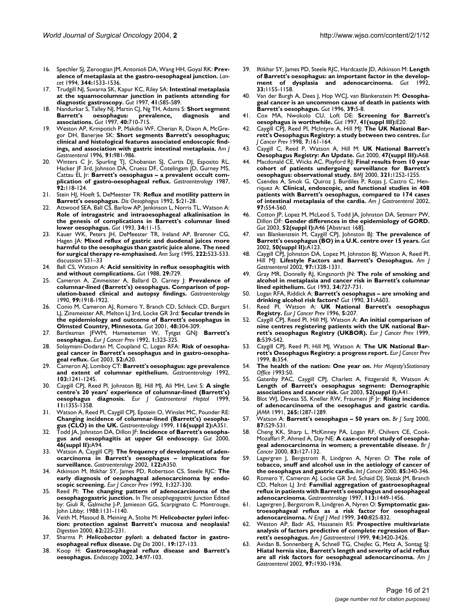- 16. Spechler SJ, Zeroogian JM, Antonioli DA, Wang HH, Goyal RK: **[Prev](http://www.ncbi.nlm.nih.gov/entrez/query.fcgi?cmd=Retrieve&db=PubMed&dopt=Abstract&list_uids=10.1016/S0140-6736(94)90349-2)[alence of metaplasia at the gastro-oesophageal junction](http://www.ncbi.nlm.nih.gov/entrez/query.fcgi?cmd=Retrieve&db=PubMed&dopt=Abstract&list_uids=10.1016/S0140-6736(94)90349-2)[.](http://www.ncbi.nlm.nih.gov/entrez/query.fcgi?cmd=Retrieve&db=PubMed&dopt=Abstract&list_uids=7983953)** *Lancet* 1994, **344:**1533-1536.
- 17. Trudgill NJ, Suvarna SK, Kapur KC, Riley SA: **[Intestinal metaplasia](http://www.ncbi.nlm.nih.gov/entrez/query.fcgi?cmd=Retrieve&db=PubMed&dopt=Abstract&list_uids=9414961) [at the squamocolumnar junction in patients attending for](http://www.ncbi.nlm.nih.gov/entrez/query.fcgi?cmd=Retrieve&db=PubMed&dopt=Abstract&list_uids=9414961) [diagnostic gastroscopy.](http://www.ncbi.nlm.nih.gov/entrez/query.fcgi?cmd=Retrieve&db=PubMed&dopt=Abstract&list_uids=9414961)** *Gut* 1997, **41:**585-589.
- 18. Nandurkar S, Talley NJ, Martin CJ, Ng TH, Adams S: **[Short segment](http://www.ncbi.nlm.nih.gov/entrez/query.fcgi?cmd=Retrieve&db=PubMed&dopt=Abstract&list_uids=9245922) [Barrett's oesophagus: prevalence, diagnosis and](http://www.ncbi.nlm.nih.gov/entrez/query.fcgi?cmd=Retrieve&db=PubMed&dopt=Abstract&list_uids=9245922) [associations.](http://www.ncbi.nlm.nih.gov/entrez/query.fcgi?cmd=Retrieve&db=PubMed&dopt=Abstract&list_uids=9245922)** *Gut* 1997, **40:**710-715.
- Weston AP, Krmpotich P, Makdisi WF, Cherian R, Dixon A, McGregor DH, Banerjee SK: **[Short segments Barrett's oesophagus;](http://www.ncbi.nlm.nih.gov/entrez/query.fcgi?cmd=Retrieve&db=PubMed&dopt=Abstract&list_uids=8633592) [clinical and histological features associated endoscopic find](http://www.ncbi.nlm.nih.gov/entrez/query.fcgi?cmd=Retrieve&db=PubMed&dopt=Abstract&list_uids=8633592)[ings, and association with gastric intestinal metaplasia.](http://www.ncbi.nlm.nih.gov/entrez/query.fcgi?cmd=Retrieve&db=PubMed&dopt=Abstract&list_uids=8633592)** *Am J Gastroenterol* 1996, **91:**981-986.
- 20. Winters C Jr, Spurling TJ, Chobanian SJ, Curtis DJ, Esposito RL, Hacker JF 3rd, Johnson DA, Cruess DF, Cotelingam JD, Gurney MS, Cattau EL Jr: **[Barrett's oesophagus – a prevalent occult com](http://www.ncbi.nlm.nih.gov/entrez/query.fcgi?cmd=Retrieve&db=PubMed&dopt=Abstract&list_uids=3781178)[plication of gastro-oesophageal reflux.](http://www.ncbi.nlm.nih.gov/entrez/query.fcgi?cmd=Retrieve&db=PubMed&dopt=Abstract&list_uids=3781178)** *Gastroenterology* 1987, **92:**118-124.
- 21. Stein HJ, Hoeft S, DeMeester TR: **Reflux and motility pattern in Barrett's oesophagus.** *Dis Oesophagus* 1992, **5:**21-28.
- 22. Attwood SEA, Ball CS, Barlow AP, Jenkinson L, Norris TL, Watson A: **[Role of intragastric and intraoesophageal alkalinisation in](http://www.ncbi.nlm.nih.gov/entrez/query.fcgi?cmd=Retrieve&db=PubMed&dopt=Abstract&list_uids=8432439) the genesis of complications in Barrett's columnar lined [lower oesophagus.](http://www.ncbi.nlm.nih.gov/entrez/query.fcgi?cmd=Retrieve&db=PubMed&dopt=Abstract&list_uids=8432439)** *Gut* 1993, **34:**11-15.
- 23. Kauer WK, Peters JH, DeMeester TR, Ireland AP, Bremner CG, Hagen JA: **Mixed reflux of gastric and duodenal juices more harmful to the oesophagus than gastric juice alone. The need for surgical therapy re-emphasised.** *Ann Surg* 1995, **222:**523-533. discussion 531–33
- 24. Ball CS, Watson A: **Acid sensitivity in reflux oesophagitis with and without complications.** *Gut* 1988, **29:**729.
- 25. Cameron A, Zinmeister A, Ballard D, Carney J: **Prevalence of columnar-lined (Barrett's) oesophagus. Comparison of population-based clinical and autopsy findings.** *Gastroenterology* 1990, **99:**1918-1922.
- 26. Conio M, Cameron AJ, Romero Y, Branch CD, Schleck CD, Burgart LJ, Zinsmeister AR, Melton LJ 3rd, Locke GR 3rd: **[Secular trends in](http://www.ncbi.nlm.nih.gov/entrez/query.fcgi?cmd=Retrieve&db=PubMed&dopt=Abstract&list_uids=10.1136/gut.48.3.304) [the epidemiology and outcome of Barrett's oesophagus in](http://www.ncbi.nlm.nih.gov/entrez/query.fcgi?cmd=Retrieve&db=PubMed&dopt=Abstract&list_uids=10.1136/gut.48.3.304) [Olmsted Country, Minnesota](http://www.ncbi.nlm.nih.gov/entrez/query.fcgi?cmd=Retrieve&db=PubMed&dopt=Abstract&list_uids=10.1136/gut.48.3.304)[.](http://www.ncbi.nlm.nih.gov/entrez/query.fcgi?cmd=Retrieve&db=PubMed&dopt=Abstract&list_uids=11171817)** *Gut* 2001, **48:**304-309.
- 27. Bartlesman JFWM, Hameeteman W, Tytgat GNJ: **[Barrett's](http://www.ncbi.nlm.nih.gov/entrez/query.fcgi?cmd=Retrieve&db=PubMed&dopt=Abstract&list_uids=1467782) [oesophagus.](http://www.ncbi.nlm.nih.gov/entrez/query.fcgi?cmd=Retrieve&db=PubMed&dopt=Abstract&list_uids=1467782)** *Eur J Cancer Prev* 1992, **1:**323-325.
- 28. Solaymani-Dodaran M, Coupland C, Logan RFA: **Risk of oesophageal cancer in Barrett's oesophagus and in gastro-oesophageal reflux.** *Gut* 2003, **52:**A20.
- 29. Cameron AJ, Lomboy CT: **[Barrett's oesophagus: age prevalence](http://www.ncbi.nlm.nih.gov/entrez/query.fcgi?cmd=Retrieve&db=PubMed&dopt=Abstract&list_uids=1397881) [and extent of columnar epithelium.](http://www.ncbi.nlm.nih.gov/entrez/query.fcgi?cmd=Retrieve&db=PubMed&dopt=Abstract&list_uids=1397881)** *Gastroenterology* 1992, **103:**1241-1245.
- 30. Caygill CPJ, Reed PI, Johnston BJ, Hill MJ, Ali MH, Levi S: **A single centre's 20 years' experience of columnar-lined (Barrett's) oesophagus diagnosis.** *Eur J Gastroenterol Heptol* 1999, **11:**1355-1358.
- 31. Watson A, Reed PI, Caygill CPJ, Epstein O, Winslet MC, Pounder RE: **Changing incidence of columnar-lined (Barrett's) oesophagus (CLO) in the UK.** *Gastroenterology* 1999, **116(suppl 2):**A351.
- Todd JA, Johnston DA, Dillon JF: **Incidence of Barrett's oesophagus and oesophagitis at upper GI endoscopy.** *Gut* 2000, **46(suppl II):**A94.
- 33. Watson A, Caygill CPJ: **The frequency of development of adenocarcinoma in Barrett's oesophagus – implications for surveillance.** *Gastroenterology* 2002, **122:**A350.
- 34. Atkinson M, Iftikhar SY, James PD, Robertson CS, Steele RJC: **[The](http://www.ncbi.nlm.nih.gov/entrez/query.fcgi?cmd=Retrieve&db=PubMed&dopt=Abstract&list_uids=1467783) [early diagnosis of oesophageal adenocarcinoma by endo](http://www.ncbi.nlm.nih.gov/entrez/query.fcgi?cmd=Retrieve&db=PubMed&dopt=Abstract&list_uids=1467783)[scopic screening.](http://www.ncbi.nlm.nih.gov/entrez/query.fcgi?cmd=Retrieve&db=PubMed&dopt=Abstract&list_uids=1467783)** *Eur J Cancer Prev* 1992, **1:**327-330.
- 35. Reed PI: **The changing pattern of adenocarcinoma of the oesophagogastric junction.** In *The oesophagogastric Junction* Edited by: Giuli R, Galmiche J-P, Jamieson GG, Scarpignato C. Montrouge, John Libby; 1988:1131-1140.
- <span id="page-15-0"></span>36. Veith M, Masoud B, Meining A, Stolte M: *Helicobacter pylori* **[infec](http://www.ncbi.nlm.nih.gov/entrez/query.fcgi?cmd=Retrieve&db=PubMed&dopt=Abstract&list_uids=10.1159/000007820)[tion: protection against Barrett's mucosa and neoplasia?](http://www.ncbi.nlm.nih.gov/entrez/query.fcgi?cmd=Retrieve&db=PubMed&dopt=Abstract&list_uids=10.1159/000007820)** *Digestion* 2000, **62:**225-231.
- <span id="page-15-1"></span>37. Sharma P: *Helicobactor pylori***[: a debated factor in gastro](http://www.ncbi.nlm.nih.gov/entrez/query.fcgi?cmd=Retrieve&db=PubMed&dopt=Abstract&list_uids=10.1159/000050667)[esophageal reflux disease](http://www.ncbi.nlm.nih.gov/entrez/query.fcgi?cmd=Retrieve&db=PubMed&dopt=Abstract&list_uids=10.1159/000050667)[.](http://www.ncbi.nlm.nih.gov/entrez/query.fcgi?cmd=Retrieve&db=PubMed&dopt=Abstract&list_uids=11549822)** *Dig Dis* 2001, **19:**127-133.
- 38. Koop H: **[Gastroesophageal reflux disease and Barrett's](http://www.ncbi.nlm.nih.gov/entrez/query.fcgi?cmd=Retrieve&db=PubMed&dopt=Abstract&list_uids=10.1055/s-2002-19851) [oesophagus](http://www.ncbi.nlm.nih.gov/entrez/query.fcgi?cmd=Retrieve&db=PubMed&dopt=Abstract&list_uids=10.1055/s-2002-19851)[.](http://www.ncbi.nlm.nih.gov/entrez/query.fcgi?cmd=Retrieve&db=PubMed&dopt=Abstract&list_uids=11822004)** *Endoscopy* 2002, **34:**97-103.
- 39. Iftikhar SY, James PD, Steele RJC, Hardcastle JD, Atkinson M: **[Length](http://www.ncbi.nlm.nih.gov/entrez/query.fcgi?cmd=Retrieve&db=PubMed&dopt=Abstract&list_uids=1427364) [of Barrett's oesophagus: an important factor in the develop](http://www.ncbi.nlm.nih.gov/entrez/query.fcgi?cmd=Retrieve&db=PubMed&dopt=Abstract&list_uids=1427364)[ment of dysplasia and adenocarcinoma.](http://www.ncbi.nlm.nih.gov/entrez/query.fcgi?cmd=Retrieve&db=PubMed&dopt=Abstract&list_uids=1427364)** *Gut* 1992, **33:**1155-1158.
- 40. Van der Burgh A, Dees J, Hop WCJ, van Blankenstein M: **[Oesopha](http://www.ncbi.nlm.nih.gov/entrez/query.fcgi?cmd=Retrieve&db=PubMed&dopt=Abstract&list_uids=8881798)[geal cancer is an uncommon cause of death in patients with](http://www.ncbi.nlm.nih.gov/entrez/query.fcgi?cmd=Retrieve&db=PubMed&dopt=Abstract&list_uids=8881798) [Barrett's oesophagus.](http://www.ncbi.nlm.nih.gov/entrez/query.fcgi?cmd=Retrieve&db=PubMed&dopt=Abstract&list_uids=8881798)** *Gut* 1996, **39:**5-8.
- 41. Cox MA, Nwokolo CU, Loft DE: **Screening for Barrett's oesophagus is worthwhile.** *Gut* 1997, **41(suppl III):**E20.
- 42. Caygill CPJ, Reed PI, McIntyre A, Hill MJ: **[The UK National Bar](http://www.ncbi.nlm.nih.gov/entrez/query.fcgi?cmd=Retrieve&db=PubMed&dopt=Abstract&list_uids=9818779)[rett's Oesophagus Registry: a study between two centres.](http://www.ncbi.nlm.nih.gov/entrez/query.fcgi?cmd=Retrieve&db=PubMed&dopt=Abstract&list_uids=9818779)** *Eur J Cancer Prev* 1998, **7:**161-164.
- 43. Caygill C, Reed P, Watson A, Hill M: **UK National Barrett's Oesophagus Registry: An Update.** *Gut* 2000, **47(suppl III):**A68.
- 44. Macdonald CE, Wicks AC, Playford RJ: **[Final results from 10 year](http://www.ncbi.nlm.nih.gov/entrez/query.fcgi?cmd=Retrieve&db=PubMed&dopt=Abstract&list_uids=10.1136/bmj.321.7271.1252) [cohort of patients undergoing surveillance for Barrett's](http://www.ncbi.nlm.nih.gov/entrez/query.fcgi?cmd=Retrieve&db=PubMed&dopt=Abstract&list_uids=10.1136/bmj.321.7271.1252) [oesophagus: observational study](http://www.ncbi.nlm.nih.gov/entrez/query.fcgi?cmd=Retrieve&db=PubMed&dopt=Abstract&list_uids=10.1136/bmj.321.7271.1252)[.](http://www.ncbi.nlm.nih.gov/entrez/query.fcgi?cmd=Retrieve&db=PubMed&dopt=Abstract&list_uids=11082084)** *BMJ* 2000, **321:**1252-1255.
- 45. Csendes A, Smok G, Quiroz J, Burdiles P, Rojas J, Castro C, Henriquez A: **[Clinical, endoscopic, and functional studies in 408](http://www.ncbi.nlm.nih.gov/entrez/query.fcgi?cmd=Retrieve&db=PubMed&dopt=Abstract&list_uids=11922546) [patients with Barrett's oesophagus, compared to 174 cases](http://www.ncbi.nlm.nih.gov/entrez/query.fcgi?cmd=Retrieve&db=PubMed&dopt=Abstract&list_uids=11922546) [of intestinal metaplasia of the cardia.](http://www.ncbi.nlm.nih.gov/entrez/query.fcgi?cmd=Retrieve&db=PubMed&dopt=Abstract&list_uids=11922546)** *Am J Gastroenterol* 2002, **97:**554-560.
- 46. Cotton JP, Lopez M, McLeod S, Todd JA, Johnston DA, Setmarr PW, Dillon DF: **Gender differences in the epidemiology of GORD.** *Gut* 2003, **52(suppl I):**A46 [Abstract 168].
- 47. van Blankenstein M, Caygill CPJ, Johnston BJ: **The prevalence of Barrett's oesophagus (BO) in a U.K. centre over 15 years.** *Gut* 2002, **50(suppl II):**A123.
- 48. Caygill CPJ, Johnston DA, Lopez M, Johnston BJ, Watson A, Reed PI, Hill MJ: **[Lifestyle Factors and Barrett's Oesophagus.](http://www.ncbi.nlm.nih.gov/entrez/query.fcgi?cmd=Retrieve&db=PubMed&dopt=Abstract&list_uids=12094845)** *Am J Gastroenterol* 2002, **97:**1328-1331.
- 49. Gray MR, Donnelly RJ, Kingsnorth JN: **[The role of smoking and](http://www.ncbi.nlm.nih.gov/entrez/query.fcgi?cmd=Retrieve&db=PubMed&dopt=Abstract&list_uids=8314502) [alcohol in metaplasia and cancer risk in Barrett's columnar](http://www.ncbi.nlm.nih.gov/entrez/query.fcgi?cmd=Retrieve&db=PubMed&dopt=Abstract&list_uids=8314502) [lined epithelium.](http://www.ncbi.nlm.nih.gov/entrez/query.fcgi?cmd=Retrieve&db=PubMed&dopt=Abstract&list_uids=8314502)** *Gut* 1993, **34:**727-731.
- 50. Logan RFA, Riddick A: **Barrett's oesophagus are smoking and drinking alcohol risk factors?** *Gut* 1990, **31:**A603.
- 51. Reed PI, Watson A: **UK National Barrett's oesophagus Registry.** *Eur J Cancer Prev* 1996, **5:**207.
- 52. Caygill CPJ, Reed PI, Hill MJ, Watson A: **[An initial comparison of](http://www.ncbi.nlm.nih.gov/entrez/query.fcgi?cmd=Retrieve&db=PubMed&dopt=Abstract&list_uids=10643944) [nine centres registering patients with the UK national Bar](http://www.ncbi.nlm.nih.gov/entrez/query.fcgi?cmd=Retrieve&db=PubMed&dopt=Abstract&list_uids=10643944)[rett's oesophagus Registry \(UKBOR\).](http://www.ncbi.nlm.nih.gov/entrez/query.fcgi?cmd=Retrieve&db=PubMed&dopt=Abstract&list_uids=10643944)** *Eur J Cancer Prev* 1999, **8:**539-542.
- 53. Caygill CPJ, Reed PI, Hill MJ, Watson A: **The UK National Barrett's Oesophagus Registry: a progress report.** *Eur J Cancer Prev* 1999, **8:**354.
- 54. **The health of the nation: One year on.** *Her Majesty'sStationary Office* 1993:50.
- 55. Gatenby PAC, Caygill CPJ, Charlett A, Fitzgerald R, Watson A: **Length of Barrett's oesophagus segment: Demographic associations and cancer risk.** *Gut* 2003, **52(suppl I):**A41.
- 56. Blot WJ, Devesa SS, Kneller RW, Fraumeni JF Jr: **[Rising incidence](http://www.ncbi.nlm.nih.gov/entrez/query.fcgi?cmd=Retrieve&db=PubMed&dopt=Abstract&list_uids=10.1001/jama.265.10.1287) [of adenocarcinoma of the oesophagus and gastric cardia](http://www.ncbi.nlm.nih.gov/entrez/query.fcgi?cmd=Retrieve&db=PubMed&dopt=Abstract&list_uids=10.1001/jama.265.10.1287)[.](http://www.ncbi.nlm.nih.gov/entrez/query.fcgi?cmd=Retrieve&db=PubMed&dopt=Abstract&list_uids=1995976)** *JAMA* 1991, **265:**1287-1289.
- 57. Watson A: **[Barrett's oesophagus 50 years on](http://www.ncbi.nlm.nih.gov/entrez/query.fcgi?cmd=Retrieve&db=PubMed&dopt=Abstract&list_uids=10.1046/j.1365-2168.2000.01498.x)[.](http://www.ncbi.nlm.nih.gov/entrez/query.fcgi?cmd=Retrieve&db=PubMed&dopt=Abstract&list_uids=10792304)** *Br J Surg* 2000, **87:**529-531.
- 58. Cheng KK, Sharp L, McKinney PA, Logan RF, Chilvers CE, Cook-Mozaffari P, Ahmed A, Day NE: **[A case-control study of oesopha](http://www.ncbi.nlm.nih.gov/entrez/query.fcgi?cmd=Retrieve&db=PubMed&dopt=Abstract&list_uids=10.1054/bjoc.2000.1121)[geal adenocarcinoma in women; a preventable disease](http://www.ncbi.nlm.nih.gov/entrez/query.fcgi?cmd=Retrieve&db=PubMed&dopt=Abstract&list_uids=10.1054/bjoc.2000.1121)[.](http://www.ncbi.nlm.nih.gov/entrez/query.fcgi?cmd=Retrieve&db=PubMed&dopt=Abstract&list_uids=10883680)** *Br J Cancer* 2000, **83:**127-132.
- 59. Lagergren J, Bergstrom R, Lindgren A, Nyren O: **[The role of](http://www.ncbi.nlm.nih.gov/entrez/query.fcgi?cmd=Retrieve&db=PubMed&dopt=Abstract&list_uids=10.1002/(SICI)1097-0215(20000201)85:3<340::AID-IJC8>3.3.CO;2-E) [tobacco, snuff and alcohol use in the aetiology of cancer of](http://www.ncbi.nlm.nih.gov/entrez/query.fcgi?cmd=Retrieve&db=PubMed&dopt=Abstract&list_uids=10.1002/(SICI)1097-0215(20000201)85:3<340::AID-IJC8>3.3.CO;2-E) [the oesophagus and gastric cardia](http://www.ncbi.nlm.nih.gov/entrez/query.fcgi?cmd=Retrieve&db=PubMed&dopt=Abstract&list_uids=10.1002/(SICI)1097-0215(20000201)85:3<340::AID-IJC8>3.3.CO;2-E)[.](http://www.ncbi.nlm.nih.gov/entrez/query.fcgi?cmd=Retrieve&db=PubMed&dopt=Abstract&list_uids=10652424)** *Int J Cancer* 2000, **85:**340-346.
- Romero Y, Cameron AJ, Locke GR 3rd, Schaid DJ, Slezak JM, Branch CD, Melton LJ 3rd: **[Familial aggregation of gastroesophageal](http://www.ncbi.nlm.nih.gov/entrez/query.fcgi?cmd=Retrieve&db=PubMed&dopt=Abstract&list_uids=9352846) [reflux in patients with Barrett's oesophagus and oesophageal](http://www.ncbi.nlm.nih.gov/entrez/query.fcgi?cmd=Retrieve&db=PubMed&dopt=Abstract&list_uids=9352846) [adenocarcinoma.](http://www.ncbi.nlm.nih.gov/entrez/query.fcgi?cmd=Retrieve&db=PubMed&dopt=Abstract&list_uids=9352846)** *Gastroenterology* 1997, **113:**1449-1456.
- 61. Lagergren J, Bergstrom R, Lindgren A, Nyren O: **[Symptomatic gas](http://www.ncbi.nlm.nih.gov/entrez/query.fcgi?cmd=Retrieve&db=PubMed&dopt=Abstract&list_uids=10.1056/NEJM199903183401101)[troesophageal reflux as a risk factor for oesophageal](http://www.ncbi.nlm.nih.gov/entrez/query.fcgi?cmd=Retrieve&db=PubMed&dopt=Abstract&list_uids=10.1056/NEJM199903183401101) [adenocarcinoma](http://www.ncbi.nlm.nih.gov/entrez/query.fcgi?cmd=Retrieve&db=PubMed&dopt=Abstract&list_uids=10.1056/NEJM199903183401101)[.](http://www.ncbi.nlm.nih.gov/entrez/query.fcgi?cmd=Retrieve&db=PubMed&dopt=Abstract&list_uids=10080844)** *N Engl J Med* 1999, **340:**825-832.
- 62. Weston AP, Badr AS, Hassanein RS: **[Prospective multivariate](http://www.ncbi.nlm.nih.gov/entrez/query.fcgi?cmd=Retrieve&db=PubMed&dopt=Abstract&list_uids=10.1016/S0002-9270(99)00662-0) [analysis of factors predictive of complete regression of Bar](http://www.ncbi.nlm.nih.gov/entrez/query.fcgi?cmd=Retrieve&db=PubMed&dopt=Abstract&list_uids=10.1016/S0002-9270(99)00662-0)[rett's oesophagus](http://www.ncbi.nlm.nih.gov/entrez/query.fcgi?cmd=Retrieve&db=PubMed&dopt=Abstract&list_uids=10.1016/S0002-9270(99)00662-0)[.](http://www.ncbi.nlm.nih.gov/entrez/query.fcgi?cmd=Retrieve&db=PubMed&dopt=Abstract&list_uids=10606297)** *Am J Gastroenterol* 1999, **94:**3420-3426.
- 63. Avidan B, Sonnenberg A, Schnell TG, Chejfec G, Metz A, Sontag SJ: **[Hiatal hernia size, Barrett's length and severity of acid reflux](http://www.ncbi.nlm.nih.gov/entrez/query.fcgi?cmd=Retrieve&db=PubMed&dopt=Abstract&list_uids=12190156) [are all risk factors for oesophageal adenocarcinoma.](http://www.ncbi.nlm.nih.gov/entrez/query.fcgi?cmd=Retrieve&db=PubMed&dopt=Abstract&list_uids=12190156)** *Am J Gastroenterol* 2002, **97:**1930-1936.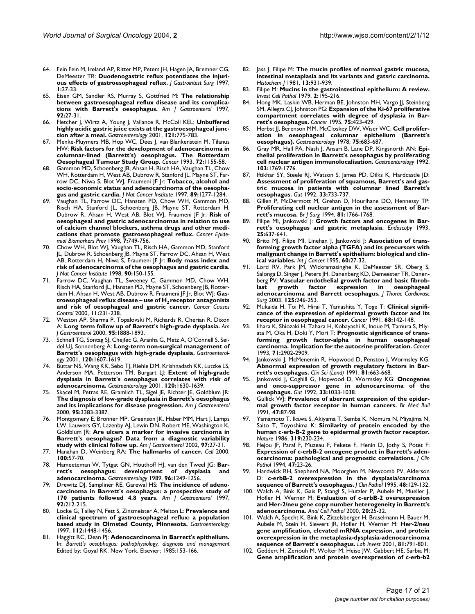- 64. Fein Fein M, Ireland AP, Ritter MP, Peters JH, Hagen JA, Bremner CG, DeMeester TR: **[Duodenogastric reflux potentiates the injuri](http://www.ncbi.nlm.nih.gov/entrez/query.fcgi?cmd=Retrieve&db=PubMed&dopt=Abstract&list_uids=10.1016/S1091-255X(97)80006-6)[ous effects of gastroesophageal reflux](http://www.ncbi.nlm.nih.gov/entrez/query.fcgi?cmd=Retrieve&db=PubMed&dopt=Abstract&list_uids=10.1016/S1091-255X(97)80006-6)[.](http://www.ncbi.nlm.nih.gov/entrez/query.fcgi?cmd=Retrieve&db=PubMed&dopt=Abstract&list_uids=9834327)** *J Gastrointest Surg* 1997, **1:**27-33.
- 65. Eisen GM, Sandler RS, Murray S, Gottfried M: **[The relationship](http://www.ncbi.nlm.nih.gov/entrez/query.fcgi?cmd=Retrieve&db=PubMed&dopt=Abstract&list_uids=8995932) [between gastroesophageal reflux disease and its complica](http://www.ncbi.nlm.nih.gov/entrez/query.fcgi?cmd=Retrieve&db=PubMed&dopt=Abstract&list_uids=8995932)[tions with Barrett's oesophagus.](http://www.ncbi.nlm.nih.gov/entrez/query.fcgi?cmd=Retrieve&db=PubMed&dopt=Abstract&list_uids=8995932)** *Am J Gastroenterol* 1997, **92:**27-31.
- 66. Fletcher J, Wirtz A, Young J, Vallance R, McColl KEL: **[Unbuffered](http://www.ncbi.nlm.nih.gov/entrez/query.fcgi?cmd=Retrieve&db=PubMed&dopt=Abstract&list_uids=11606490) [highly acidic gastric juice exists at the gastroesophageal junc](http://www.ncbi.nlm.nih.gov/entrez/query.fcgi?cmd=Retrieve&db=PubMed&dopt=Abstract&list_uids=11606490)[tion after a meal.](http://www.ncbi.nlm.nih.gov/entrez/query.fcgi?cmd=Retrieve&db=PubMed&dopt=Abstract&list_uids=11606490)** *Gastroenterology* 2001, **121:**775-783.
- 67. Menke-Pluymers MB, Hop WC, Dees J, van Blankenstein M, Tilanus HW: **[Risk factors for the development of adenocarcinoma in](http://www.ncbi.nlm.nih.gov/entrez/query.fcgi?cmd=Retrieve&db=PubMed&dopt=Abstract&list_uids=8339208) [columnar-lined \(Barrett's\) oesophagus. The Rotterdam](http://www.ncbi.nlm.nih.gov/entrez/query.fcgi?cmd=Retrieve&db=PubMed&dopt=Abstract&list_uids=8339208) [Oesophageal Tumour Study Group.](http://www.ncbi.nlm.nih.gov/entrez/query.fcgi?cmd=Retrieve&db=PubMed&dopt=Abstract&list_uids=8339208)** *Cancer* 1993, **72:**1155-58.
- 68. Gammon MD, Schoenberg JB, Ahsan H, Risch HA, Vaughan TL, Chow WH, Rotterdam H, West AB, Dubrow R, Stanford JL, Mayne ST, Farrow DC, Niwa S, Blot WJ, Fraumeni JF Jr: **[Tobacco, alcohol and](http://www.ncbi.nlm.nih.gov/entrez/query.fcgi?cmd=Retrieve&db=PubMed&dopt=Abstract&list_uids=10.1093/jnci/89.17.1277) [socio-economic status and adenocarcinoma of the oesopha](http://www.ncbi.nlm.nih.gov/entrez/query.fcgi?cmd=Retrieve&db=PubMed&dopt=Abstract&list_uids=10.1093/jnci/89.17.1277)[gus and gastric cardia.](http://www.ncbi.nlm.nih.gov/entrez/query.fcgi?cmd=Retrieve&db=PubMed&dopt=Abstract&list_uids=10.1093/jnci/89.17.1277)** *J Nat Cancer Institute* 1997, **89:**1277-1284.
- 69. Vaughan TL, Farrow DC, Hansten PD, Chow WH, Gammon MD, Risch HA, Stanford JL, Schoenberg JB, Mayne ST, Rotterdam H, Dubrow R, Ahsan H, West AB, Blot WJ, Fraumeni JF Jr: **[Risk of](http://www.ncbi.nlm.nih.gov/entrez/query.fcgi?cmd=Retrieve&db=PubMed&dopt=Abstract&list_uids=9752982) oesophageal and gastric adenocarcinomas in relation to use [of calcium channel blockers, asthma drugs and other medi](http://www.ncbi.nlm.nih.gov/entrez/query.fcgi?cmd=Retrieve&db=PubMed&dopt=Abstract&list_uids=9752982)[cations that promote gastroesophageal reflux.](http://www.ncbi.nlm.nih.gov/entrez/query.fcgi?cmd=Retrieve&db=PubMed&dopt=Abstract&list_uids=9752982)** *Cancer Epidemiol Biomarkers Prev* 1998, **7:**749-756.
- 70. Chow WH, Blot WJ, Vaughan TL, Risch HA, Gammon MD, Stanford JL, Dubrow R, Schoenberg JB, Mayne ST, Farrow DC, Ahsan H, West AB, Rotterdam H, Niwa S, Fraumeni JF Jr: **[Body mass index and](http://www.ncbi.nlm.nih.gov/entrez/query.fcgi?cmd=Retrieve&db=PubMed&dopt=Abstract&list_uids=10.1093/jnci/90.2.150) [risk of adenocarcinoma of the oesophagus and gastric cardia.](http://www.ncbi.nlm.nih.gov/entrez/query.fcgi?cmd=Retrieve&db=PubMed&dopt=Abstract&list_uids=10.1093/jnci/90.2.150)** *J Nat Cancer Institute* 1998, **90:**150-155.
- <span id="page-16-0"></span>71. Farrow DC, Vaughan TL, Sweeney C, Gammon MD, Chow WH, Risch HA, Stanford JL, Hansten PD, Mayne ST, Schoenberg JB, Rotterdam H, Ahsan H, West AB, Dubrow R, Fraumeni JF Jr, Blot WJ: **Gas**troesophageal reflux disease - use of H<sub>2</sub> [receptor antagonists](http://www.ncbi.nlm.nih.gov/entrez/query.fcgi?cmd=Retrieve&db=PubMed&dopt=Abstract&list_uids=10.1023/A:1008913828105) **[and risk of oesophageal and gastric cancer](http://www.ncbi.nlm.nih.gov/entrez/query.fcgi?cmd=Retrieve&db=PubMed&dopt=Abstract&list_uids=10.1023/A:1008913828105)[.](http://www.ncbi.nlm.nih.gov/entrez/query.fcgi?cmd=Retrieve&db=PubMed&dopt=Abstract&list_uids=10782657)** *Cancer Causes Control* 2000, **11:**231-238.
- 72. Weston AP, Sharma P, Topalovski M, Richards R, Cherian R, Dixon A: **[Long term follow up of Barrett's high-grade dysplasia.](http://www.ncbi.nlm.nih.gov/entrez/query.fcgi?cmd=Retrieve&db=PubMed&dopt=Abstract&list_uids=10950031)** *Am J Gastroenterol* 2000, **95:**1888-1893.
- 73. Schnell TG, Sontag SJ, Chejfec G, Aranha G, Metz A, O'Connell S, Seidel UJ, Sonnenberg A: **[Long-term non-surgical management of](http://www.ncbi.nlm.nih.gov/entrez/query.fcgi?cmd=Retrieve&db=PubMed&dopt=Abstract&list_uids=11375943) [Barrett's oesophagus with high-grade dysplasia.](http://www.ncbi.nlm.nih.gov/entrez/query.fcgi?cmd=Retrieve&db=PubMed&dopt=Abstract&list_uids=11375943)** *Gastroenterology* 2001, **120:**1607-1619.
- 74. Buttar NS, Wang KK, Sebo TJ, Riehle DM, Krishnadath KK, Lutzke LS, Anderson MA, Petterson TM, Burgart L|: [Extent of high-grade](http://www.ncbi.nlm.nih.gov/entrez/query.fcgi?cmd=Retrieve&db=PubMed&dopt=Abstract&list_uids=11375945) **[dysplasia in Barrett's oesophagus correlates with risk of](http://www.ncbi.nlm.nih.gov/entrez/query.fcgi?cmd=Retrieve&db=PubMed&dopt=Abstract&list_uids=11375945) [adenocarcinoma.](http://www.ncbi.nlm.nih.gov/entrez/query.fcgi?cmd=Retrieve&db=PubMed&dopt=Abstract&list_uids=11375945)** *Gastroenterology* 2001, **120:**1630-1639.
- 75. Skacel M, Petras RE, Gramlich TL, Sigel JE, Richter JE, Goldblum JR: **[The diagnosis of low-grade dysplasia in Barrett's oesophagus](http://www.ncbi.nlm.nih.gov/entrez/query.fcgi?cmd=Retrieve&db=PubMed&dopt=Abstract&list_uids=11151865) [and its implications for disease progression.](http://www.ncbi.nlm.nih.gov/entrez/query.fcgi?cmd=Retrieve&db=PubMed&dopt=Abstract&list_uids=11151865)** *Am J Gastroenterol* 2000, **95:**3383-3387.
- 76. Montgomery E, Bronner MP, Greenson JK, Haber MM, Hart J, Lamps LW, Lauwers GY, Lazenby AJ, Lewin DN, Robert ME, Washington K, Goldblum JR: **[Are ulcers a marker for invasive carcinoma in](http://www.ncbi.nlm.nih.gov/entrez/query.fcgi?cmd=Retrieve&db=PubMed&dopt=Abstract&list_uids=11808966) [Barrett's oesophagus? Data from a diagnostic variability](http://www.ncbi.nlm.nih.gov/entrez/query.fcgi?cmd=Retrieve&db=PubMed&dopt=Abstract&list_uids=11808966) [study with clinical follow up.](http://www.ncbi.nlm.nih.gov/entrez/query.fcgi?cmd=Retrieve&db=PubMed&dopt=Abstract&list_uids=11808966)** *Am J Gastroenterol* 2002, **97:**27-31.
- 77. Hanahan D, Weinberg RA: **[The hallmarks of cancer](http://www.ncbi.nlm.nih.gov/entrez/query.fcgi?cmd=Retrieve&db=PubMed&dopt=Abstract&list_uids=10.1016/S0092-8674(00)81683-9)[.](http://www.ncbi.nlm.nih.gov/entrez/query.fcgi?cmd=Retrieve&db=PubMed&dopt=Abstract&list_uids=10647931)** *Cell* 2000, **100:**57-70.
- 78. Hameeteman W, Tytgat GN, Houthoff HJ, van den Tweel JG: **[Bar](http://www.ncbi.nlm.nih.gov/entrez/query.fcgi?cmd=Retrieve&db=PubMed&dopt=Abstract&list_uids=2703113)[rett's oesophagus: development of dysplasia and](http://www.ncbi.nlm.nih.gov/entrez/query.fcgi?cmd=Retrieve&db=PubMed&dopt=Abstract&list_uids=2703113) [adenocarcinoma.](http://www.ncbi.nlm.nih.gov/entrez/query.fcgi?cmd=Retrieve&db=PubMed&dopt=Abstract&list_uids=2703113)** *Gastroenterology* 1989, **96:**1249-1256.
- 79. Drewitz DJ, Sampliner RE, Garewal HS: **[The incidence of adeno](http://www.ncbi.nlm.nih.gov/entrez/query.fcgi?cmd=Retrieve&db=PubMed&dopt=Abstract&list_uids=9040193)[carcinoma in Barrett's oesophagus: a prospective study of](http://www.ncbi.nlm.nih.gov/entrez/query.fcgi?cmd=Retrieve&db=PubMed&dopt=Abstract&list_uids=9040193) [170 patients followed 4.8 years.](http://www.ncbi.nlm.nih.gov/entrez/query.fcgi?cmd=Retrieve&db=PubMed&dopt=Abstract&list_uids=9040193)** *Am J Gastroenterol* 1997, **92:**212-215.
- 80. Locke G, Talley N, Fett S, Zinsmeister A, Melton L: **[Prevalence and](http://www.ncbi.nlm.nih.gov/entrez/query.fcgi?cmd=Retrieve&db=PubMed&dopt=Abstract&list_uids=9136821) [clinical spectrum of gastroesophageal reflux: a population](http://www.ncbi.nlm.nih.gov/entrez/query.fcgi?cmd=Retrieve&db=PubMed&dopt=Abstract&list_uids=9136821) [based study in Olmsted County, Minnesota.](http://www.ncbi.nlm.nih.gov/entrez/query.fcgi?cmd=Retrieve&db=PubMed&dopt=Abstract&list_uids=9136821)** *Gastroenterology* 1997, **112:**1448-1456.
- 81. Haggitt RC, Dean PJ: **Adenocarcinoma in Barrett's epithelium.** In: *Barrett's oesophagus: pathophysiology, diagnosis and management* Edited by: Goyal RK. New York, Elsevier; 1985:153-166.
- 82. Jass J, Filipe M: **[The mucin profiles of normal gastric mucosa,](http://www.ncbi.nlm.nih.gov/entrez/query.fcgi?cmd=Retrieve&db=PubMed&dopt=Abstract&list_uids=7338482) [intestinal metaplasia and its variants and gatsric carcinoma.](http://www.ncbi.nlm.nih.gov/entrez/query.fcgi?cmd=Retrieve&db=PubMed&dopt=Abstract&list_uids=7338482)** *Histochem J* 1981, **13:**931-939.
- 83. Filipe M: **[Mucins in the gastrointestinal epithelium: A review.](http://www.ncbi.nlm.nih.gov/entrez/query.fcgi?cmd=Retrieve&db=PubMed&dopt=Abstract&list_uids=391781)** *Invest Cell Pathol* 1979, **2:**195-216.
- 84. Hong MK, Laskin WB, Herman BE, Johnston MH, Vargo JJ, Steinberg SM, Allegra CJ, Johnston PG: **[Expansion of the Ki-67 proliferative](http://www.ncbi.nlm.nih.gov/entrez/query.fcgi?cmd=Retrieve&db=PubMed&dopt=Abstract&list_uids=7812911) [compartment correlates with degree of dysplasia in Bar](http://www.ncbi.nlm.nih.gov/entrez/query.fcgi?cmd=Retrieve&db=PubMed&dopt=Abstract&list_uids=7812911)[rett's oesophagus.](http://www.ncbi.nlm.nih.gov/entrez/query.fcgi?cmd=Retrieve&db=PubMed&dopt=Abstract&list_uids=7812911)** *Cancer* 1995, **75:**423-429.
- 85. Herbst JJ, Berenson MM, McCloskey DW, Wiser WC: **[Cell prolifer](http://www.ncbi.nlm.nih.gov/entrez/query.fcgi?cmd=Retrieve&db=PubMed&dopt=Abstract&list_uids=710836)[ation in oesophageal columnar epithelium \(Barrett's](http://www.ncbi.nlm.nih.gov/entrez/query.fcgi?cmd=Retrieve&db=PubMed&dopt=Abstract&list_uids=710836) [oesophagus\).](http://www.ncbi.nlm.nih.gov/entrez/query.fcgi?cmd=Retrieve&db=PubMed&dopt=Abstract&list_uids=710836)** *Gastroenterology* 1978, **75:**683-687.
- 86. Gray MR, Hall PA, Nash J, Ansari B, Lane DP, Kingsnorth AN: **[Epi](http://www.ncbi.nlm.nih.gov/entrez/query.fcgi?cmd=Retrieve&db=PubMed&dopt=Abstract&list_uids=1360434)[thelial proliferation in Barrett's oesophagus by proliferating](http://www.ncbi.nlm.nih.gov/entrez/query.fcgi?cmd=Retrieve&db=PubMed&dopt=Abstract&list_uids=1360434) [cell nuclear antigen immunolocalisation.](http://www.ncbi.nlm.nih.gov/entrez/query.fcgi?cmd=Retrieve&db=PubMed&dopt=Abstract&list_uids=1360434)** *Gastroenterology* 1992, **103:**1769-1776.
- 87. Iftikhar SY, Steele RJ, Watson S, James PD, Dilks K, Hardcastle JD: **Assessment of proliferation of squamous, Barrett's and gas[tric mucosa in patients with columnar lined Barrett's](http://www.ncbi.nlm.nih.gov/entrez/query.fcgi?cmd=Retrieve&db=PubMed&dopt=Abstract&list_uids=1624150) [oesophagus.](http://www.ncbi.nlm.nih.gov/entrez/query.fcgi?cmd=Retrieve&db=PubMed&dopt=Abstract&list_uids=1624150)** *Gut* 1992, **33:**733-737.
- 88. Gillen P, McDermott M, Grehan D, Hourihane DO, Hennessy TP: **[Proliferating cell nuclear antigen in the assessment of Bar](http://www.ncbi.nlm.nih.gov/entrez/query.fcgi?cmd=Retrieve&db=PubMed&dopt=Abstract&list_uids=7827934)[rett's mucosa.](http://www.ncbi.nlm.nih.gov/entrez/query.fcgi?cmd=Retrieve&db=PubMed&dopt=Abstract&list_uids=7827934)** *Br J Surg* 1994, **81:**1766-1768.
- 89. Filipe MI, Jankowski J: **[Growth factors and oncogenes in Bar](http://www.ncbi.nlm.nih.gov/entrez/query.fcgi?cmd=Retrieve&db=PubMed&dopt=Abstract&list_uids=8119221)[rett's oesophagus and gastric metaplasia.](http://www.ncbi.nlm.nih.gov/entrez/query.fcgi?cmd=Retrieve&db=PubMed&dopt=Abstract&list_uids=8119221)** *Endoscopy* 1993, **25:**637-641.
- Brito MJ, Filipe MI, Linehan J, Jankowski J: [Association of trans](http://www.ncbi.nlm.nih.gov/entrez/query.fcgi?cmd=Retrieve&db=PubMed&dopt=Abstract&list_uids=7814148)**[forming growth factor alpha \(TGFA\) and its precursors with](http://www.ncbi.nlm.nih.gov/entrez/query.fcgi?cmd=Retrieve&db=PubMed&dopt=Abstract&list_uids=7814148) malignant change in Barrett's epithelium: biological and clin[ical variables.](http://www.ncbi.nlm.nih.gov/entrez/query.fcgi?cmd=Retrieve&db=PubMed&dopt=Abstract&list_uids=7814148)** *Int J Cancer* 1995, **60:**27-32.
- Lord RV, Park JM, Wickramasinghe K, DeMeester SR, Oberg S, Salonga D, Singer J, Peters JH, Danenberg KD, Demeester TR, Danenberg PV: **[Vascular endothelial growth factor and basic fibrob](http://www.ncbi.nlm.nih.gov/entrez/query.fcgi?cmd=Retrieve&db=PubMed&dopt=Abstract&list_uids=10.1067/mtc.2003.203)[last growth factor expression in oesophageal](http://www.ncbi.nlm.nih.gov/entrez/query.fcgi?cmd=Retrieve&db=PubMed&dopt=Abstract&list_uids=10.1067/mtc.2003.203) [adenocarcinoma and Barrett oesophagus](http://www.ncbi.nlm.nih.gov/entrez/query.fcgi?cmd=Retrieve&db=PubMed&dopt=Abstract&list_uids=10.1067/mtc.2003.203)[.](http://www.ncbi.nlm.nih.gov/entrez/query.fcgi?cmd=Retrieve&db=PubMed&dopt=Abstract&list_uids=12579092)** *J Thorac Cardiovasc Surg* 2003, **125:**246-253.
- 92. Mukaida H, Toi M, Hirai T, Yamashita Y, Toge T: **[Clinical signifi](http://www.ncbi.nlm.nih.gov/entrez/query.fcgi?cmd=Retrieve&db=PubMed&dopt=Abstract&list_uids=2049734)[cance of the expression of epidermal growth factor and its](http://www.ncbi.nlm.nih.gov/entrez/query.fcgi?cmd=Retrieve&db=PubMed&dopt=Abstract&list_uids=2049734) [receptor in oesophageal cancer.](http://www.ncbi.nlm.nih.gov/entrez/query.fcgi?cmd=Retrieve&db=PubMed&dopt=Abstract&list_uids=2049734)** *Cancer* 1991, **68:**142-148.
- 93. Iihara K, Shiozaki H, Tahara H, Kobayashi K, Inoue M, Tamura S, Miyata M, Oka H, Doki Y, Mori T: **[Prognostic significance of trans](http://www.ncbi.nlm.nih.gov/entrez/query.fcgi?cmd=Retrieve&db=PubMed&dopt=Abstract&list_uids=8490817)[forming growth factor-alpha in human oesophageal](http://www.ncbi.nlm.nih.gov/entrez/query.fcgi?cmd=Retrieve&db=PubMed&dopt=Abstract&list_uids=8490817) [carcinoma. Implication for the autocrine proliferation.](http://www.ncbi.nlm.nih.gov/entrez/query.fcgi?cmd=Retrieve&db=PubMed&dopt=Abstract&list_uids=8490817)** *Cancer* 1993, **71:**2902-2909.
- Jankowski J, McMenemin R, Hopwood D, Penston J, Wormsley KG: **[Abnormal expression of growth regulatory factors in Bar](http://www.ncbi.nlm.nih.gov/entrez/query.fcgi?cmd=Retrieve&db=PubMed&dopt=Abstract&list_uids=1661653)[rett's oesophagus.](http://www.ncbi.nlm.nih.gov/entrez/query.fcgi?cmd=Retrieve&db=PubMed&dopt=Abstract&list_uids=1661653)** *Clin Sci (Lond)* 1991, **81:**663-668.
- 95. Jankowski J, Coghill G, Hopwood D, Wormsley KG: **[Oncogenes](http://www.ncbi.nlm.nih.gov/entrez/query.fcgi?cmd=Retrieve&db=PubMed&dopt=Abstract&list_uids=1398227) [and onco-suppressor gene in adenocarcinoma of the](http://www.ncbi.nlm.nih.gov/entrez/query.fcgi?cmd=Retrieve&db=PubMed&dopt=Abstract&list_uids=1398227) [oesophagus.](http://www.ncbi.nlm.nih.gov/entrez/query.fcgi?cmd=Retrieve&db=PubMed&dopt=Abstract&list_uids=1398227)** *Gut* 1992, **33:**1033-1038.
- 96. Gullick WJ: **[Prevalence of aberrant expression of the epider](http://www.ncbi.nlm.nih.gov/entrez/query.fcgi?cmd=Retrieve&db=PubMed&dopt=Abstract&list_uids=1863851)[mal growth factor receptor in human cancers.](http://www.ncbi.nlm.nih.gov/entrez/query.fcgi?cmd=Retrieve&db=PubMed&dopt=Abstract&list_uids=1863851)** *Br Med Bull* 1991, **47:**87-98.
- 97. Yamamoto T, Ikawa S, Akiyama T, Semba K, Nomura N, Miyajima N, Saito T, Toyoshima K: **[Similarity of protein encoded by the](http://www.ncbi.nlm.nih.gov/entrez/query.fcgi?cmd=Retrieve&db=PubMed&dopt=Abstract&list_uids=3003577) [human c-erb-B-2 gene to epidermal growth factor receptor.](http://www.ncbi.nlm.nih.gov/entrez/query.fcgi?cmd=Retrieve&db=PubMed&dopt=Abstract&list_uids=3003577)** *Nature* 1986, **319:**230-234.
- Flejou JF, Paraf F, Muzeau F, Fekete F, Henin D, Jothy S, Potet F: **[Expression of c-erbB-2 oncogene product in Barrett's aden](http://www.ncbi.nlm.nih.gov/entrez/query.fcgi?cmd=Retrieve&db=PubMed&dopt=Abstract&list_uids=7907608)[ocarcinoma: pathological and prognostic correlations.](http://www.ncbi.nlm.nih.gov/entrez/query.fcgi?cmd=Retrieve&db=PubMed&dopt=Abstract&list_uids=7907608)** *J Clin Pathol* 1994, **47:**23-26.
- 99. Hardwick RH, Shepherd NA, Moorghen M, Newcomb PV, Alderson D: **[c-erbB-2 overexpression in the dysplasia/carcinoma](http://www.ncbi.nlm.nih.gov/entrez/query.fcgi?cmd=Retrieve&db=PubMed&dopt=Abstract&list_uids=7745111) [sequence of Barrett's oesophagus.](http://www.ncbi.nlm.nih.gov/entrez/query.fcgi?cmd=Retrieve&db=PubMed&dopt=Abstract&list_uids=7745111)** *J Clin Pathol* 1995, **48:**129-132.
- 100. Walch A, Bink K, Gais P, Stangl S, Hutzler P, Aubele M, Mueller J, Hofler H, Werner M: **[Evaluation of c-erbB-2 overexpression](http://www.ncbi.nlm.nih.gov/entrez/query.fcgi?cmd=Retrieve&db=PubMed&dopt=Abstract&list_uids=11007435) [and Her-2/neu gene copy number heterogeneity in Barrett's](http://www.ncbi.nlm.nih.gov/entrez/query.fcgi?cmd=Retrieve&db=PubMed&dopt=Abstract&list_uids=11007435) [adenocarcinoma.](http://www.ncbi.nlm.nih.gov/entrez/query.fcgi?cmd=Retrieve&db=PubMed&dopt=Abstract&list_uids=11007435)** *Anal Cell Pathol* 2000, **20:**25-32.
- 101. Walch A, Specht K, Bink K, Zitzelsberger H, Braselmann H, Bauer M, Aubele M, Stein H, Siewert JR, Hofler H, Werner M: **[Her-2/neu](http://www.ncbi.nlm.nih.gov/entrez/query.fcgi?cmd=Retrieve&db=PubMed&dopt=Abstract&list_uids=11406641) gene amplification, elevated mRNA expression, and protein [overexpression in the metaplasia-dysplasia-adenocarcinoma](http://www.ncbi.nlm.nih.gov/entrez/query.fcgi?cmd=Retrieve&db=PubMed&dopt=Abstract&list_uids=11406641) [sequence of Barrett's oesophagus.](http://www.ncbi.nlm.nih.gov/entrez/query.fcgi?cmd=Retrieve&db=PubMed&dopt=Abstract&list_uids=11406641)** *Lab Invest* 2001, **81:**791-801.
- 102. Geddert H, Zeriouh M, Wolter M, Heise JW, Gabbert HE, Sarbia M: **[Gene amplification and protein overexpression of c-erb-b2](http://www.ncbi.nlm.nih.gov/entrez/query.fcgi?cmd=Retrieve&db=PubMed&dopt=Abstract&list_uids=10.1309/KG1Y-XNGD-54NK-PP66)**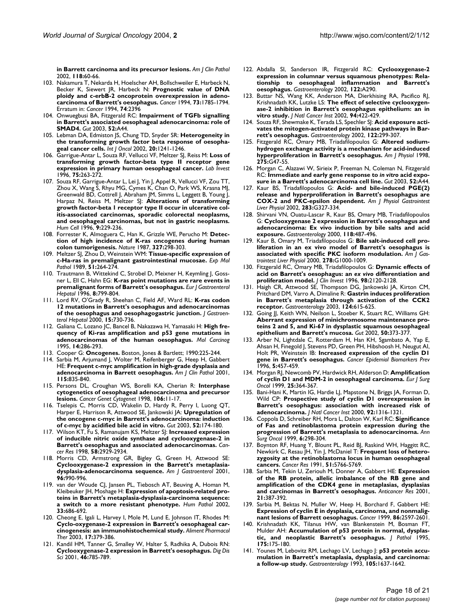**[in Barrett carcinoma and its precursor lesions](http://www.ncbi.nlm.nih.gov/entrez/query.fcgi?cmd=Retrieve&db=PubMed&dopt=Abstract&list_uids=10.1309/KG1Y-XNGD-54NK-PP66)[.](http://www.ncbi.nlm.nih.gov/entrez/query.fcgi?cmd=Retrieve&db=PubMed&dopt=Abstract&list_uids=12109857)** *Am J Clin Pathol* 2002, **118:**60-66.

- 103. Nakamura T, Nekarda H, Hoelscher AH, Bollschweiler E, Harbeck N, Becker K, Siewert JR, Harbeck N: **[Prognostic value of DNA](http://www.ncbi.nlm.nih.gov/entrez/query.fcgi?cmd=Retrieve&db=PubMed&dopt=Abstract&list_uids=7907940) [ploidy and c-erbB-2 oncoprotein overexpression in adeno](http://www.ncbi.nlm.nih.gov/entrez/query.fcgi?cmd=Retrieve&db=PubMed&dopt=Abstract&list_uids=7907940)[carcinoma of Barrett's oesophagus.](http://www.ncbi.nlm.nih.gov/entrez/query.fcgi?cmd=Retrieve&db=PubMed&dopt=Abstract&list_uids=7907940)** *Cancer* 1994, **73:**1785-1794. Erratum in: *Cancer* 1994, **74**:2396
- 104. Onwuegbusi BA, Fitzgerald RC: **Impairment of TGFb signalling in Barrett's associated oesophageal adenocarcinoma: role of SMAD4.** *Gut* 2003, **52:**A44.
- 105. Lebman DA, Edmiston JS, Chung TD, Snyder SR: **[Heterogeneity in](http://www.ncbi.nlm.nih.gov/entrez/query.fcgi?cmd=Retrieve&db=PubMed&dopt=Abstract&list_uids=12012005) [the transforming growth factor beta response of oesopha](http://www.ncbi.nlm.nih.gov/entrez/query.fcgi?cmd=Retrieve&db=PubMed&dopt=Abstract&list_uids=12012005)[geal cancer cells.](http://www.ncbi.nlm.nih.gov/entrez/query.fcgi?cmd=Retrieve&db=PubMed&dopt=Abstract&list_uids=12012005)** *Int J Oncol* 2002, **20:**1241-1246.
- 106. Garrigue-Antar L, Souza RF, Vellucci VF, Meltzer SJ, Reiss M: **[Loss of](http://www.ncbi.nlm.nih.gov/entrez/query.fcgi?cmd=Retrieve&db=PubMed&dopt=Abstract&list_uids=8765326) [transforming growth factor-beta type II receptor gene](http://www.ncbi.nlm.nih.gov/entrez/query.fcgi?cmd=Retrieve&db=PubMed&dopt=Abstract&list_uids=8765326) [expression in primary human oesophageal cancer.](http://www.ncbi.nlm.nih.gov/entrez/query.fcgi?cmd=Retrieve&db=PubMed&dopt=Abstract&list_uids=8765326)** *Lab Invest* 1996, **75:**263-272.
- 107. Souza RF, Garrigue-Antar L, Lei J, Yin J, Appel R, Vellucci VF, Zou TT, Zhou X, Wang S, Rhyu MG, Cymes K, Chan O, Park WS, Krasna MJ, Greenwald BD, Cottrell J, Abraham JM, Simms L, Leggett B, Young J, Harpaz N, Reiss M, Meltzer SJ: **[Alterations of transforming](http://www.ncbi.nlm.nih.gov/entrez/query.fcgi?cmd=Retrieve&db=PubMed&dopt=Abstract&list_uids=9183654) [growth factor-beta 1 receptor type II occur in ulcerative col](http://www.ncbi.nlm.nih.gov/entrez/query.fcgi?cmd=Retrieve&db=PubMed&dopt=Abstract&list_uids=9183654)itis-associated carcinomas, sporadic colorectal neoplasms, and oesophageal carcinomas, but not in gastric neoplasms.** *Hum Cell* 1996, **9:**229-236.
- 108. Forrester K, Almoguera C, Han K, Grizzle WE, Perucho M: **[Detec](http://www.ncbi.nlm.nih.gov/entrez/query.fcgi?cmd=Retrieve&db=PubMed&dopt=Abstract&list_uids=10.1038/327298a0)[tion of high incidence of K-ras oncogenes during human](http://www.ncbi.nlm.nih.gov/entrez/query.fcgi?cmd=Retrieve&db=PubMed&dopt=Abstract&list_uids=10.1038/327298a0) [colon tumorigenesis](http://www.ncbi.nlm.nih.gov/entrez/query.fcgi?cmd=Retrieve&db=PubMed&dopt=Abstract&list_uids=10.1038/327298a0)[.](http://www.ncbi.nlm.nih.gov/entrez/query.fcgi?cmd=Retrieve&db=PubMed&dopt=Abstract&list_uids=2438556)** *Nature* 1987, **327:**298-303.
- 109. Meltzer SJ, Zhou D, Weinstein WM: **[Tissue-specific expression of](http://www.ncbi.nlm.nih.gov/entrez/query.fcgi?cmd=Retrieve&db=PubMed&dopt=Abstract&list_uids=10.1016/0014-4800(89)90024-5) [c-Ha-ras in premalignant gastrointestinal mucosae](http://www.ncbi.nlm.nih.gov/entrez/query.fcgi?cmd=Retrieve&db=PubMed&dopt=Abstract&list_uids=10.1016/0014-4800(89)90024-5)[.](http://www.ncbi.nlm.nih.gov/entrez/query.fcgi?cmd=Retrieve&db=PubMed&dopt=Abstract&list_uids=2557232)** *Exp Mol Pathol* 1989, **51:**264-274.
- 110. Trautmann B, Wittekind C, Strobel D, Meixner H, Keymling J, Gossner L, Ell C, Hahn EG: **[K-ras point mutations are rare events in](http://www.ncbi.nlm.nih.gov/entrez/query.fcgi?cmd=Retrieve&db=PubMed&dopt=Abstract&list_uids=8864678) [premalignant forms of Barrett's oesophagus.](http://www.ncbi.nlm.nih.gov/entrez/query.fcgi?cmd=Retrieve&db=PubMed&dopt=Abstract&list_uids=8864678)** *Eur J Gastroenterol Hepatol* 1996, **8:**799-804.
- 111. Lord RV, O'Grady R, Sheehan C, Field AF, Ward RL: **[K-ras codon](http://www.ncbi.nlm.nih.gov/entrez/query.fcgi?cmd=Retrieve&db=PubMed&dopt=Abstract&list_uids=10.1046/j.1440-1746.2000.02163.x) [12 mutations in Barrett's oesophagus and adenocarcinomas](http://www.ncbi.nlm.nih.gov/entrez/query.fcgi?cmd=Retrieve&db=PubMed&dopt=Abstract&list_uids=10.1046/j.1440-1746.2000.02163.x) [of the oesophagus and oesophagogastric junction](http://www.ncbi.nlm.nih.gov/entrez/query.fcgi?cmd=Retrieve&db=PubMed&dopt=Abstract&list_uids=10.1046/j.1440-1746.2000.02163.x)[.](http://www.ncbi.nlm.nih.gov/entrez/query.fcgi?cmd=Retrieve&db=PubMed&dopt=Abstract&list_uids=10937677)** *J Gastroenterol Hepatol* 2000, **15:**730-736.
- 112. Galiana C, Lozano JC, Bancel B, Nakazawa H, Yamasaki H: **[High fre](http://www.ncbi.nlm.nih.gov/entrez/query.fcgi?cmd=Retrieve&db=PubMed&dopt=Abstract&list_uids=8519418)[quency of Ki-ras amplification and p53 gene mutations in](http://www.ncbi.nlm.nih.gov/entrez/query.fcgi?cmd=Retrieve&db=PubMed&dopt=Abstract&list_uids=8519418) [adenocarcinomas of the human oesophagus.](http://www.ncbi.nlm.nih.gov/entrez/query.fcgi?cmd=Retrieve&db=PubMed&dopt=Abstract&list_uids=8519418)** *Mol Carcinog* 1995, **14:**286-293.
- 113. Cooper G: **[Oncogenes.](http://www.ncbi.nlm.nih.gov/entrez/query.fcgi?cmd=Retrieve&db=PubMed&dopt=Abstract&list_uids=2340646)** Boston, Jones & Bartlett; 1990:225-244.
- 114. Sarbia M, Arjumand J, Wolter M, Reifenberger G, Heep H, Gabbert HE: **[Frequent c-myc amplification in high-grade dysplasia and](http://www.ncbi.nlm.nih.gov/entrez/query.fcgi?cmd=Retrieve&db=PubMed&dopt=Abstract&list_uids=10.1309/MXXH-25N3-UAL2-G7XX) [adenocarcinoma in Barrett oesophagus](http://www.ncbi.nlm.nih.gov/entrez/query.fcgi?cmd=Retrieve&db=PubMed&dopt=Abstract&list_uids=10.1309/MXXH-25N3-UAL2-G7XX)[.](http://www.ncbi.nlm.nih.gov/entrez/query.fcgi?cmd=Retrieve&db=PubMed&dopt=Abstract&list_uids=11392879)** *Am J Clin Pathol* 2001, **115:**835-840.
- 115. Persons DL, Croughan WS, Borelli KA, Cherian R: **[Interphase](http://www.ncbi.nlm.nih.gov/entrez/query.fcgi?cmd=Retrieve&db=PubMed&dopt=Abstract&list_uids=10.1016/S0165-4608(98)00036-3) [cytogenetics of oesophageal adenocarcinoma and precursor](http://www.ncbi.nlm.nih.gov/entrez/query.fcgi?cmd=Retrieve&db=PubMed&dopt=Abstract&list_uids=10.1016/S0165-4608(98)00036-3) [lesions](http://www.ncbi.nlm.nih.gov/entrez/query.fcgi?cmd=Retrieve&db=PubMed&dopt=Abstract&list_uids=10.1016/S0165-4608(98)00036-3)[.](http://www.ncbi.nlm.nih.gov/entrez/query.fcgi?cmd=Retrieve&db=PubMed&dopt=Abstract&list_uids=9772903)** *Cancer Genet Cytogenet* 1998, **106:**11-17.
- 116. Tselepis C, Morris CD, Wakelin D, Hardy R, Perry I, Luong QT, Harper E, Harrison R, Attwood SE, Jankowski JA: **[Upregulation of](http://www.ncbi.nlm.nih.gov/entrez/query.fcgi?cmd=Retrieve&db=PubMed&dopt=Abstract&list_uids=10.1136/gut.52.2.174) [the oncogene c-myc in Barrett's adenocarcinoma: induction](http://www.ncbi.nlm.nih.gov/entrez/query.fcgi?cmd=Retrieve&db=PubMed&dopt=Abstract&list_uids=10.1136/gut.52.2.174) [of c-myc by acidified bile acid in vitro](http://www.ncbi.nlm.nih.gov/entrez/query.fcgi?cmd=Retrieve&db=PubMed&dopt=Abstract&list_uids=10.1136/gut.52.2.174)[.](http://www.ncbi.nlm.nih.gov/entrez/query.fcgi?cmd=Retrieve&db=PubMed&dopt=Abstract&list_uids=12524396)** *Gut* 2003, **52:**174-180.
- 117. Wilson KT, Fu S, Ramanujam KS, Meltzer SJ: **[Increased expression](http://www.ncbi.nlm.nih.gov/entrez/query.fcgi?cmd=Retrieve&db=PubMed&dopt=Abstract&list_uids=9679948) [of inducible nitric oxide synthase and cyclooxygenase-2 in](http://www.ncbi.nlm.nih.gov/entrez/query.fcgi?cmd=Retrieve&db=PubMed&dopt=Abstract&list_uids=9679948) [Barrett's oesophagus and associated adenocarcinomas.](http://www.ncbi.nlm.nih.gov/entrez/query.fcgi?cmd=Retrieve&db=PubMed&dopt=Abstract&list_uids=9679948)** *Cancer Res* 1998, **58:**2929-2934.
- 118. Morris CD, Armstrong GR, Bigley G, Green H, Attwood SE: **[Cyclooxygenase-2 expression in the Barrett's metaplasia](http://www.ncbi.nlm.nih.gov/entrez/query.fcgi?cmd=Retrieve&db=PubMed&dopt=Abstract&list_uids=11316217)[dysplasia-adenocarcinoma sequence.](http://www.ncbi.nlm.nih.gov/entrez/query.fcgi?cmd=Retrieve&db=PubMed&dopt=Abstract&list_uids=11316217)** *Am J Gastroenterol* 2001, **96:**990-996.
- 119. van der Woude CJ, Jansen PL, Tiebosch AT, Beuving A, Homan M, Kleibeuker JH, Moshage H: **[Expression of apoptosis-related pro](http://www.ncbi.nlm.nih.gov/entrez/query.fcgi?cmd=Retrieve&db=PubMed&dopt=Abstract&list_uids=10.1053/hupa.2002.124908)[teins in Barrett's metaplasia-dysplasia-carcinoma sequence:](http://www.ncbi.nlm.nih.gov/entrez/query.fcgi?cmd=Retrieve&db=PubMed&dopt=Abstract&list_uids=10.1053/hupa.2002.124908) [a switch to a more resistant phenotype](http://www.ncbi.nlm.nih.gov/entrez/query.fcgi?cmd=Retrieve&db=PubMed&dopt=Abstract&list_uids=10.1053/hupa.2002.124908)[.](http://www.ncbi.nlm.nih.gov/entrez/query.fcgi?cmd=Retrieve&db=PubMed&dopt=Abstract&list_uids=12196918)** *Hum Pathol* 2002, **33:**686-692.
- 120. Cheong E, Igali L, Harvey I, Mole M, Lund E, Johnson IT, Rhodes M: **[Cyclo-oxygenase-2 expression in Barrett's oesophageal car](http://www.ncbi.nlm.nih.gov/entrez/query.fcgi?cmd=Retrieve&db=PubMed&dopt=Abstract&list_uids=10.1046/j.1365-2036.2003.01432.x)[cinogenesis: an immunohistochemical study](http://www.ncbi.nlm.nih.gov/entrez/query.fcgi?cmd=Retrieve&db=PubMed&dopt=Abstract&list_uids=10.1046/j.1365-2036.2003.01432.x)[.](http://www.ncbi.nlm.nih.gov/entrez/query.fcgi?cmd=Retrieve&db=PubMed&dopt=Abstract&list_uids=12562450)** *Aliment Pharmacol Ther* 2003, **17:**379-386.
- 121. Kandil HM, Tanner G, Smalley W, Halter S, Radhika A, Dubois RN: **[Cyclooxygenase-2 expression in Barrett's oesophagus](http://www.ncbi.nlm.nih.gov/entrez/query.fcgi?cmd=Retrieve&db=PubMed&dopt=Abstract&list_uids=10.1023/A:1010700400960)[.](http://www.ncbi.nlm.nih.gov/entrez/query.fcgi?cmd=Retrieve&db=PubMed&dopt=Abstract&list_uids=11330414)** *Dig Dis Sci* 2001, **46:**785-789.
- 122. Abdalla SI, Sanderson IR, Fitzgerald RC: **Cyclooxygenase-2 expression in columnar versus squamous phenotypes: Relationship to oesophageal inflammation and Barrett's oesophagus.** *Gastroenterology* 2002, **122:**A290.
- 123. Buttar NS, Wang KK, Anderson MA, Dierkhising RA, Pacifico RJ, Krishnadath KK, Lutzke LS: **[The effect of selective cyclooxygen](http://www.ncbi.nlm.nih.gov/entrez/query.fcgi?cmd=Retrieve&db=PubMed&dopt=Abstract&list_uids=10.1093/jnci/94.6.422)[ase-2 inhibition in Barrett's oesophagus epithelium: an in](http://www.ncbi.nlm.nih.gov/entrez/query.fcgi?cmd=Retrieve&db=PubMed&dopt=Abstract&list_uids=10.1093/jnci/94.6.422) [vitro study](http://www.ncbi.nlm.nih.gov/entrez/query.fcgi?cmd=Retrieve&db=PubMed&dopt=Abstract&list_uids=10.1093/jnci/94.6.422)[.](http://www.ncbi.nlm.nih.gov/entrez/query.fcgi?cmd=Retrieve&db=PubMed&dopt=Abstract&list_uids=11904314)** *J Natl Cancer Inst* 2002, **94:**422-429.
- 124. Souza RF, Shewmake K, Terada LS, Spechler SJ: [Acid exposure acti](http://www.ncbi.nlm.nih.gov/entrez/query.fcgi?cmd=Retrieve&db=PubMed&dopt=Abstract&list_uids=11832445)**[vates the mitogen-activated protein kinase pathways in Bar](http://www.ncbi.nlm.nih.gov/entrez/query.fcgi?cmd=Retrieve&db=PubMed&dopt=Abstract&list_uids=11832445)[rett's oesophagus.](http://www.ncbi.nlm.nih.gov/entrez/query.fcgi?cmd=Retrieve&db=PubMed&dopt=Abstract&list_uids=11832445)** *Gastroenterology* 2002, **122:**299-307.
- 125. Fitzgerald RC, Omary MB, Triadafilopoulos G: **[Altered sodium](http://www.ncbi.nlm.nih.gov/entrez/query.fcgi?cmd=Retrieve&db=PubMed&dopt=Abstract&list_uids=9655683)[hydrogen exchange activity is a mechanism for acid-induced](http://www.ncbi.nlm.nih.gov/entrez/query.fcgi?cmd=Retrieve&db=PubMed&dopt=Abstract&list_uids=9655683) [hyperproliferation in Barrett's oesophagus.](http://www.ncbi.nlm.nih.gov/entrez/query.fcgi?cmd=Retrieve&db=PubMed&dopt=Abstract&list_uids=9655683)** *Am J Physiol* 1998, **275:**G47-55.
- 126. Morgan C, Alazawi W, Sirieix P, Freeman N, Coleman N, Fitzgerald RC: **Immediate and early gene response to** *in vitro* **acid exposure in a Barrett's adenocarcinoma cell line.** *Gut* 2003, **52:**A44.
- 127. Kaur BS, Triadafilopoulos G: **[Acid- and bile-induced PGE\(2\)](http://www.ncbi.nlm.nih.gov/entrez/query.fcgi?cmd=Retrieve&db=PubMed&dopt=Abstract&list_uids=12121879) [release and hyperproliferation in Barrett's oesophagus are](http://www.ncbi.nlm.nih.gov/entrez/query.fcgi?cmd=Retrieve&db=PubMed&dopt=Abstract&list_uids=12121879) [COX-2 and PKC-epsilon dependent.](http://www.ncbi.nlm.nih.gov/entrez/query.fcgi?cmd=Retrieve&db=PubMed&dopt=Abstract&list_uids=12121879)** *Am J Physiol Gastrointest Liver Physiol* 2002, **283:**G327-334.
- 128. Shirvani VN, Ouatu-Lascar R, Kaur BS, Omary MB, Triadafilopoulos G: **[Cyclooxygenase 2 expression in Barrett's oesophagus and](http://www.ncbi.nlm.nih.gov/entrez/query.fcgi?cmd=Retrieve&db=PubMed&dopt=Abstract&list_uids=10702199) [adenocarcinoma: Ex vivo induction by bile salts and acid](http://www.ncbi.nlm.nih.gov/entrez/query.fcgi?cmd=Retrieve&db=PubMed&dopt=Abstract&list_uids=10702199) [exposure.](http://www.ncbi.nlm.nih.gov/entrez/query.fcgi?cmd=Retrieve&db=PubMed&dopt=Abstract&list_uids=10702199)** *Gastroenterology* 2000, **118:**487-496.
- 129. Kaur B, Omary M, Triadafilopoulos G: **Bile salt-induced cell proliferation in an ex vivo model of Barrett's oesophagus is associated with specific PKC isoform modulation.** *Am J Gastrointest Liver Physiol* 2000, **278:**G1000-1009.
- <span id="page-17-0"></span>130. Fitzgerald RC, Omary MB, Triadafilopoulos G: **Dynamic effects of acid on Barrett's oesophagus: an** *ex vivo* **[differentiation and](http://www.ncbi.nlm.nih.gov/entrez/query.fcgi?cmd=Retrieve&db=PubMed&dopt=Abstract&list_uids=8903332) [proliferation model.](http://www.ncbi.nlm.nih.gov/entrez/query.fcgi?cmd=Retrieve&db=PubMed&dopt=Abstract&list_uids=8903332)** *J Clin Invest* 1996, **98:**2120-2128.
- 131. Haigh CR, Attwood SE, Thompson DG, Jankowski JA, Kirton CM, Pritchard DM, Varro A, Dimaline R: **[Gastrin induces proliferation](http://www.ncbi.nlm.nih.gov/entrez/query.fcgi?cmd=Retrieve&db=PubMed&dopt=Abstract&list_uids=10.1053/gast.2003.50091) [in Barrett's metaplasia through activation of the CCK2](http://www.ncbi.nlm.nih.gov/entrez/query.fcgi?cmd=Retrieve&db=PubMed&dopt=Abstract&list_uids=10.1053/gast.2003.50091) [receptor](http://www.ncbi.nlm.nih.gov/entrez/query.fcgi?cmd=Retrieve&db=PubMed&dopt=Abstract&list_uids=10.1053/gast.2003.50091)[.](http://www.ncbi.nlm.nih.gov/entrez/query.fcgi?cmd=Retrieve&db=PubMed&dopt=Abstract&list_uids=12612900)** *Gastroenterology* 2003, **124:**615-625.
- 132. Going JJ, Keith WN, Neilson L, Stoeber K, Stuart RC, Williams GH: **Aberrant expression of minichromosome maintenance pro[teins 2 and 5, and Ki-67 in dysplastic squamous oesophageal](http://www.ncbi.nlm.nih.gov/entrez/query.fcgi?cmd=Retrieve&db=PubMed&dopt=Abstract&list_uids=10.1136/gut.50.3.373) [epithelium and Barrett's mucosa](http://www.ncbi.nlm.nih.gov/entrez/query.fcgi?cmd=Retrieve&db=PubMed&dopt=Abstract&list_uids=10.1136/gut.50.3.373)[.](http://www.ncbi.nlm.nih.gov/entrez/query.fcgi?cmd=Retrieve&db=PubMed&dopt=Abstract&list_uids=11839717)** *Gut* 2002, **50:**373-377.
- 133. Arber N, Lightdale C, Rotterdam H, Han KH, Sgambato A, Yap E, Ahsan H, Finegold J, Stevens PD, Green PH, Hibshoosh H, Neugut AI, Holt PR, Weinstein IB: **[Increased expression of the cyclin D1](http://www.ncbi.nlm.nih.gov/entrez/query.fcgi?cmd=Retrieve&db=PubMed&dopt=Abstract&list_uids=8781742) [gene in Barrett's oesophagus.](http://www.ncbi.nlm.nih.gov/entrez/query.fcgi?cmd=Retrieve&db=PubMed&dopt=Abstract&list_uids=8781742)** *Cancer Epidemiol Biomarkers Prev* 1996, **5:**457-459.
- 134. Morgan RJ, Newcomb PV, Hardwick RH, Alderson D: **[Amplification](http://www.ncbi.nlm.nih.gov/entrez/query.fcgi?cmd=Retrieve&db=PubMed&dopt=Abstract&list_uids=10.1053/ejso.1999.0658) [of cyclin D1 and MDM-2 in oesophageal carcinoma](http://www.ncbi.nlm.nih.gov/entrez/query.fcgi?cmd=Retrieve&db=PubMed&dopt=Abstract&list_uids=10.1053/ejso.1999.0658)[.](http://www.ncbi.nlm.nih.gov/entrez/query.fcgi?cmd=Retrieve&db=PubMed&dopt=Abstract&list_uids=10419705)** *Eur J Surg Oncol* 1999, **25:**364-367.
- 135. Bani-Hani K, Martin IG, Hardie LJ, Mapstone N, Briggs JA, Forman D, Wild CP: **[Prospective study of cyclin D1 overexpression in](http://www.ncbi.nlm.nih.gov/entrez/query.fcgi?cmd=Retrieve&db=PubMed&dopt=Abstract&list_uids=10.1093/jnci/92.16.1316) [Barrett's oesophagus: association with increased risk of](http://www.ncbi.nlm.nih.gov/entrez/query.fcgi?cmd=Retrieve&db=PubMed&dopt=Abstract&list_uids=10.1093/jnci/92.16.1316) [adenocarcinoma](http://www.ncbi.nlm.nih.gov/entrez/query.fcgi?cmd=Retrieve&db=PubMed&dopt=Abstract&list_uids=10.1093/jnci/92.16.1316)[.](http://www.ncbi.nlm.nih.gov/entrez/query.fcgi?cmd=Retrieve&db=PubMed&dopt=Abstract&list_uids=10944553)** *J Natl Cancer Inst* 2000, **92:**1316-1321.
- 136. Coppola D, Schreiber RH, Mora L, Dalton W, Karl RC: **[Significance](http://www.ncbi.nlm.nih.gov/entrez/query.fcgi?cmd=Retrieve&db=PubMed&dopt=Abstract&list_uids=10340890) [of Fas and retinoblastoma protein expression during the](http://www.ncbi.nlm.nih.gov/entrez/query.fcgi?cmd=Retrieve&db=PubMed&dopt=Abstract&list_uids=10340890) [progression of Barrett's metaplasia to adenocarcinoma.](http://www.ncbi.nlm.nih.gov/entrez/query.fcgi?cmd=Retrieve&db=PubMed&dopt=Abstract&list_uids=10340890)** *Ann Surg Oncol* 1999, **6:**298-304.
- 137. Boynton RF, Huang Y, Blount PL, Reid BJ, Raskind WH, Haggitt RC, Newkirk C, Resau JH, Yin J, McDaniel T: **[Frequent loss of hetero](http://www.ncbi.nlm.nih.gov/entrez/query.fcgi?cmd=Retrieve&db=PubMed&dopt=Abstract&list_uids=1913694)[zygosity at the retinoblastoma locus in human oesophageal](http://www.ncbi.nlm.nih.gov/entrez/query.fcgi?cmd=Retrieve&db=PubMed&dopt=Abstract&list_uids=1913694) [cancers.](http://www.ncbi.nlm.nih.gov/entrez/query.fcgi?cmd=Retrieve&db=PubMed&dopt=Abstract&list_uids=1913694)** *Cancer Res* 1991, **51:**5766-5769.
- 138. Sarbia M, Tekin U, Zeriouh M, Donner A, Gabbert HE: **[Expression](http://www.ncbi.nlm.nih.gov/entrez/query.fcgi?cmd=Retrieve&db=PubMed&dopt=Abstract&list_uids=11299766) of the RB protein, allelic imbalance of the RB gene and [amplification of the CDK4 gene in metaplasias, dysplasias](http://www.ncbi.nlm.nih.gov/entrez/query.fcgi?cmd=Retrieve&db=PubMed&dopt=Abstract&list_uids=11299766) [and carcinomas in Barrett's oesophagus.](http://www.ncbi.nlm.nih.gov/entrez/query.fcgi?cmd=Retrieve&db=PubMed&dopt=Abstract&list_uids=11299766)** *Anticancer Res* 2001, **21:**387-392.
- 139. Sarbia M, Bektas N, Muller W, Heep H, Borchard F, Gabbert HE: **[Expression of cyclin E in dysplasia, carcinoma, and nonmalig](http://www.ncbi.nlm.nih.gov/entrez/query.fcgi?cmd=Retrieve&db=PubMed&dopt=Abstract&list_uids=10.1002/(SICI)1097-0142(19991215)86:12<2597::AID-CNCR3>3.3.CO;2-S)[nant lesions of Barrett oesophagus](http://www.ncbi.nlm.nih.gov/entrez/query.fcgi?cmd=Retrieve&db=PubMed&dopt=Abstract&list_uids=10.1002/(SICI)1097-0142(19991215)86:12<2597::AID-CNCR3>3.3.CO;2-S)[.](http://www.ncbi.nlm.nih.gov/entrez/query.fcgi?cmd=Retrieve&db=PubMed&dopt=Abstract&list_uids=10594854)** *Cancer* 1999, **86:**2597-2601.
- 140. Krishnadath KK, Tilanus HW, van Blankenstein M, Bosman FT, Mulder AH: **[Accumulation of p53 protein in normal, dysplas](http://www.ncbi.nlm.nih.gov/entrez/query.fcgi?cmd=Retrieve&db=PubMed&dopt=Abstract&list_uids=7738712)[tic, and neoplastic Barrett's oesophagus.](http://www.ncbi.nlm.nih.gov/entrez/query.fcgi?cmd=Retrieve&db=PubMed&dopt=Abstract&list_uids=7738712)** *J Pathol* 1995, **175:**175-180.
- 141. Younes M, Lebovitz RM, Lechago LV, Lechago J: **[p53 protein accu](http://www.ncbi.nlm.nih.gov/entrez/query.fcgi?cmd=Retrieve&db=PubMed&dopt=Abstract&list_uids=8253340)[mulation in Barrett's metaplasia, dysplasia, and carcinoma:](http://www.ncbi.nlm.nih.gov/entrez/query.fcgi?cmd=Retrieve&db=PubMed&dopt=Abstract&list_uids=8253340) [a follow-up study.](http://www.ncbi.nlm.nih.gov/entrez/query.fcgi?cmd=Retrieve&db=PubMed&dopt=Abstract&list_uids=8253340)** *Gastroenterology* 1993, **105:**1637-1642.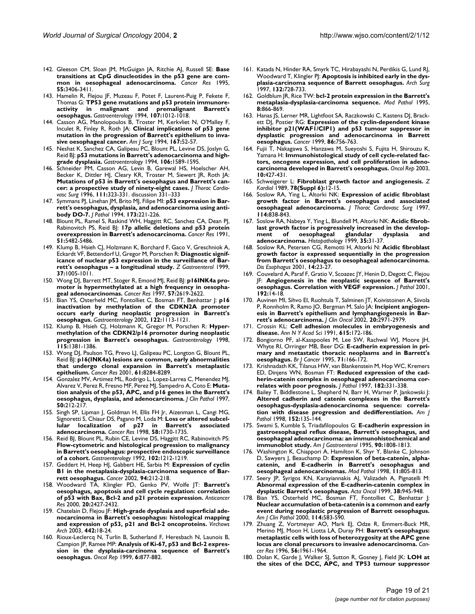- 142. Gleeson CM, Sloan JM, McGuigan JA, Ritchie AJ, Russell SE: **[Base](http://www.ncbi.nlm.nih.gov/entrez/query.fcgi?cmd=Retrieve&db=PubMed&dopt=Abstract&list_uids=7614480) [transitions at CpG dinucleotides in the p53 gene are com](http://www.ncbi.nlm.nih.gov/entrez/query.fcgi?cmd=Retrieve&db=PubMed&dopt=Abstract&list_uids=7614480)[mon in oesophageal adenocarcinoma.](http://www.ncbi.nlm.nih.gov/entrez/query.fcgi?cmd=Retrieve&db=PubMed&dopt=Abstract&list_uids=7614480)** *Cancer Res* 1995, **55:**3406-3411.
- 143. Hamelin R, Flejou JF, Muzeau F, Potet F, Laurent-Puig P, Fekete F, Thomas G: **[TP53 gene mutations and p53 protein immunore](http://www.ncbi.nlm.nih.gov/entrez/query.fcgi?cmd=Retrieve&db=PubMed&dopt=Abstract&list_uids=7523212)[activity in malignant and premalignant Barrett's](http://www.ncbi.nlm.nih.gov/entrez/query.fcgi?cmd=Retrieve&db=PubMed&dopt=Abstract&list_uids=7523212) [oesophagus.](http://www.ncbi.nlm.nih.gov/entrez/query.fcgi?cmd=Retrieve&db=PubMed&dopt=Abstract&list_uids=7523212)** *Gastroenterology* 1994, **107:**1012-1018.
- 144. Casson AG, Manolopoulos B, Troster M, Kerkvliet N, O'Malley F, Inculet R, Finley R, Roth JA: **[Clinical implications of p53 gene](http://www.ncbi.nlm.nih.gov/entrez/query.fcgi?cmd=Retrieve&db=PubMed&dopt=Abstract&list_uids=10.1016/0002-9610(94)90053-1) [mutation in the progression of Barrett's epithelium to inva](http://www.ncbi.nlm.nih.gov/entrez/query.fcgi?cmd=Retrieve&db=PubMed&dopt=Abstract&list_uids=10.1016/0002-9610(94)90053-1)[sive oesophageal cancer](http://www.ncbi.nlm.nih.gov/entrez/query.fcgi?cmd=Retrieve&db=PubMed&dopt=Abstract&list_uids=10.1016/0002-9610(94)90053-1)[.](http://www.ncbi.nlm.nih.gov/entrez/query.fcgi?cmd=Retrieve&db=PubMed&dopt=Abstract&list_uids=8311140)** *Am J Surg* 1994, **167:**52-57.
- 145. Neshat K, Sanchez CA, Galipeau PC, Blount PL, Levine DS, Joslyn G, Reid BJ: **[p53 mutations in Barrett's adenocarcinoma and high](http://www.ncbi.nlm.nih.gov/entrez/query.fcgi?cmd=Retrieve&db=PubMed&dopt=Abstract&list_uids=8194706)[grade dysplasia.](http://www.ncbi.nlm.nih.gov/entrez/query.fcgi?cmd=Retrieve&db=PubMed&dopt=Abstract&list_uids=8194706)** *Gastroenterology* 1994, **106:**1589-1595.
- 146. Schneider PM, Casson AG, Levin B, Garewal HS, Hoelscher AH, Becker K, Dittler HJ, Cleary KR, Troster M, Siewert JR, Roth JA: **[Mutations of p53 in Barrett's oesophagus and Barrett's can](http://www.ncbi.nlm.nih.gov/entrez/query.fcgi?cmd=Retrieve&db=PubMed&dopt=Abstract&list_uids=8583805)[cer: a prospective study of ninety-eight cases.](http://www.ncbi.nlm.nih.gov/entrez/query.fcgi?cmd=Retrieve&db=PubMed&dopt=Abstract&list_uids=8583805)** *J Thorac Cardiovasc Surg* 1996, **111:**323-331. discussion 331–333
- 147. Symmans PJ, Linehan JM, Brito MJ, Filipe MI: **[p53 expression in Bar](http://www.ncbi.nlm.nih.gov/entrez/query.fcgi?cmd=Retrieve&db=PubMed&dopt=Abstract&list_uids=7931842)[rett's oesophagus, dysplasia, and adenocarcinoma using anti](http://www.ncbi.nlm.nih.gov/entrez/query.fcgi?cmd=Retrieve&db=PubMed&dopt=Abstract&list_uids=7931842)[body DO-7.](http://www.ncbi.nlm.nih.gov/entrez/query.fcgi?cmd=Retrieve&db=PubMed&dopt=Abstract&list_uids=7931842)** *J Pathol* 1994, **173:**221-226.
- 148. Blount PL, Ramel S, Raskind WH, Haggitt RC, Sanchez CA, Dean PJ, Rabinovitch PS, Reid BJ: **[17p allelic deletions and p53 protein](http://www.ncbi.nlm.nih.gov/entrez/query.fcgi?cmd=Retrieve&db=PubMed&dopt=Abstract&list_uids=1680552) [overexpression in Barrett's adenocarcinoma.](http://www.ncbi.nlm.nih.gov/entrez/query.fcgi?cmd=Retrieve&db=PubMed&dopt=Abstract&list_uids=1680552)** *Cancer Res* 1991, **51:**5482-5486.
- 149. Klump B, Hsieh CJ, Holzmann K, Borchard F, Gaco V, Greschniok A, Eckardt VF, Bettendorf U, Gregor M, Porschen R: **[Diagnostic signif](http://www.ncbi.nlm.nih.gov/entrez/query.fcgi?cmd=Retrieve&db=PubMed&dopt=Abstract&list_uids=10549095)[icance of nuclear p53 expression in the surveillance of Bar](http://www.ncbi.nlm.nih.gov/entrez/query.fcgi?cmd=Retrieve&db=PubMed&dopt=Abstract&list_uids=10549095)[rett's oesophagus – a longitudinal study.](http://www.ncbi.nlm.nih.gov/entrez/query.fcgi?cmd=Retrieve&db=PubMed&dopt=Abstract&list_uids=10549095)** *Z Gastroenterol* 1999, **37:**1005-1011.
- 150. Wong DJ, Barrett MT, Stoger R, Emond MJ, Reid BJ: **[p16INK4a pro](http://www.ncbi.nlm.nih.gov/entrez/query.fcgi?cmd=Retrieve&db=PubMed&dopt=Abstract&list_uids=9205067)[moter is hypermethylated at a high frequency in oesopha](http://www.ncbi.nlm.nih.gov/entrez/query.fcgi?cmd=Retrieve&db=PubMed&dopt=Abstract&list_uids=9205067)[geal adenocarcinomas.](http://www.ncbi.nlm.nih.gov/entrez/query.fcgi?cmd=Retrieve&db=PubMed&dopt=Abstract&list_uids=9205067)** *Cancer Res* 1997, **57:**2619-2622.
- 151. Bian YS, Osterheld MC, Fontolliet C, Bosman FT, Benhattar J: **[p16](http://www.ncbi.nlm.nih.gov/entrez/query.fcgi?cmd=Retrieve&db=PubMed&dopt=Abstract&list_uids=11910361) [inactivation by methylation of the CDKN2A promoter](http://www.ncbi.nlm.nih.gov/entrez/query.fcgi?cmd=Retrieve&db=PubMed&dopt=Abstract&list_uids=11910361) occurs early during neoplastic progression in Barrett's [oesophagus.](http://www.ncbi.nlm.nih.gov/entrez/query.fcgi?cmd=Retrieve&db=PubMed&dopt=Abstract&list_uids=11910361)** *Gastroenterology* 2002, **122:**1113-1121.
- 152. Klump B, Hsieh CJ, Holzmann K, Gregor M, Porschen R: **[Hyper](http://www.ncbi.nlm.nih.gov/entrez/query.fcgi?cmd=Retrieve&db=PubMed&dopt=Abstract&list_uids=9834265)[methylation of the CDKN2/p16 promoter during neoplastic](http://www.ncbi.nlm.nih.gov/entrez/query.fcgi?cmd=Retrieve&db=PubMed&dopt=Abstract&list_uids=9834265) [progression in Barrett's oesophagus.](http://www.ncbi.nlm.nih.gov/entrez/query.fcgi?cmd=Retrieve&db=PubMed&dopt=Abstract&list_uids=9834265)** *Gastroenterology* 1998, **115:**1381-1386.
- 153. Wong DJ, Paulson TG, Prevo LJ, Galipeau PC, Longton G, Blount PL, Reid BJ: **[p16\(INK4a\) lesions are common, early abnormalities](http://www.ncbi.nlm.nih.gov/entrez/query.fcgi?cmd=Retrieve&db=PubMed&dopt=Abstract&list_uids=11719461) [that undergo clonal expansion in Barrett's metaplastic](http://www.ncbi.nlm.nih.gov/entrez/query.fcgi?cmd=Retrieve&db=PubMed&dopt=Abstract&list_uids=11719461) [epithelium.](http://www.ncbi.nlm.nih.gov/entrez/query.fcgi?cmd=Retrieve&db=PubMed&dopt=Abstract&list_uids=11719461)** *Cancer Res* 2001, **61:**8284-8289.
- 154. Gonzalez MV, Artimez ML, Rodrigo L, Lopez-Larrea C, Menendez MJ, Alvarez V, Perez R, Fresno MF, Perez MJ, Sampedro A, Coto E: **[Muta](http://www.ncbi.nlm.nih.gov/entrez/query.fcgi?cmd=Retrieve&db=PubMed&dopt=Abstract&list_uids=9155671)[tion analysis of the p53, APC, and p16 genes in the Barrett's](http://www.ncbi.nlm.nih.gov/entrez/query.fcgi?cmd=Retrieve&db=PubMed&dopt=Abstract&list_uids=9155671) [oesophagus, dysplasia, and adenocarcinoma.](http://www.ncbi.nlm.nih.gov/entrez/query.fcgi?cmd=Retrieve&db=PubMed&dopt=Abstract&list_uids=9155671)** *J Clin Pathol* 1997, **50:**212-217.
- 155. Singh SP, Lipman J, Goldman H, Ellis FH Jr, Aizenman L, Cangi MG, Signoretti S, Chiaur DS, Pagano M, Loda M: **[Loss or altered subcel](http://www.ncbi.nlm.nih.gov/entrez/query.fcgi?cmd=Retrieve&db=PubMed&dopt=Abstract&list_uids=9563491)[lular localization of p27 in Barrett's associated](http://www.ncbi.nlm.nih.gov/entrez/query.fcgi?cmd=Retrieve&db=PubMed&dopt=Abstract&list_uids=9563491) [adenocarcinoma.](http://www.ncbi.nlm.nih.gov/entrez/query.fcgi?cmd=Retrieve&db=PubMed&dopt=Abstract&list_uids=9563491)** *Cancer Res* 1998, **58:**1730-1735.
- 156. Reid BJ, Blount PL, Rubin CE, Levine DS, Haggitt RC, Rabinovitch PS: **[Flow-cytometric and histological progression to malignancy](http://www.ncbi.nlm.nih.gov/entrez/query.fcgi?cmd=Retrieve&db=PubMed&dopt=Abstract&list_uids=1551528) in Barrett's oesophagus: prospective endoscopic surveillance [of a cohort.](http://www.ncbi.nlm.nih.gov/entrez/query.fcgi?cmd=Retrieve&db=PubMed&dopt=Abstract&list_uids=1551528)** *Gastroenterology* 1992, **102:**1212-1219.
- 157. Geddert H, Heep HJ, Gabbert HE, Sarbia M: **[Expression of cyclin](http://www.ncbi.nlm.nih.gov/entrez/query.fcgi?cmd=Retrieve&db=PubMed&dopt=Abstract&list_uids=10.1002/cncr.10152) [B1 in the metaplasia-dysplasia-carcinoma sequence of Bar](http://www.ncbi.nlm.nih.gov/entrez/query.fcgi?cmd=Retrieve&db=PubMed&dopt=Abstract&list_uids=10.1002/cncr.10152)[rett oesophagus](http://www.ncbi.nlm.nih.gov/entrez/query.fcgi?cmd=Retrieve&db=PubMed&dopt=Abstract&list_uids=10.1002/cncr.10152)[.](http://www.ncbi.nlm.nih.gov/entrez/query.fcgi?cmd=Retrieve&db=PubMed&dopt=Abstract&list_uids=11815979)** *Cancer* 2002, **94:**212-218.
- 158. Woodward TA, Klingler PD, Genko PV, Wolfe JT: **[Barrett's](http://www.ncbi.nlm.nih.gov/entrez/query.fcgi?cmd=Retrieve&db=PubMed&dopt=Abstract&list_uids=10953306) [oesophagus, apoptosis and cell cycle regulation: correlation](http://www.ncbi.nlm.nih.gov/entrez/query.fcgi?cmd=Retrieve&db=PubMed&dopt=Abstract&list_uids=10953306) [of p53 with Bax, Bcl-2 and p21 protein expression.](http://www.ncbi.nlm.nih.gov/entrez/query.fcgi?cmd=Retrieve&db=PubMed&dopt=Abstract&list_uids=10953306)** *Anticancer Res* 2000, **20:**2427-2432.
- 159. Chatelain D, Flejou JF: **[High-grade dysplasia and superficial ade](http://www.ncbi.nlm.nih.gov/entrez/query.fcgi?cmd=Retrieve&db=PubMed&dopt=Abstract&list_uids=12536310)[nocarcinoma in Barrett's oesophagus: histological mapping](http://www.ncbi.nlm.nih.gov/entrez/query.fcgi?cmd=Retrieve&db=PubMed&dopt=Abstract&list_uids=12536310) [and expression of p53, p21 and Bcl-2 oncoproteins.](http://www.ncbi.nlm.nih.gov/entrez/query.fcgi?cmd=Retrieve&db=PubMed&dopt=Abstract&list_uids=12536310)** *Virchows Arch* 2003, **442:**18-24.
- 160. Rioux-Leclercq N, Turlin B, Sutherland F, Heresbach N, Launois B, Campion JP, Ramee MP: **[Analysis of Ki-67, p53 and Bcl-2 expres](http://www.ncbi.nlm.nih.gov/entrez/query.fcgi?cmd=Retrieve&db=PubMed&dopt=Abstract&list_uids=10373674)[sion in the dysplasia-carcinoma sequence of Barrett's](http://www.ncbi.nlm.nih.gov/entrez/query.fcgi?cmd=Retrieve&db=PubMed&dopt=Abstract&list_uids=10373674) [oesophagus.](http://www.ncbi.nlm.nih.gov/entrez/query.fcgi?cmd=Retrieve&db=PubMed&dopt=Abstract&list_uids=10373674)** *Oncol Rep* 1999, **6:**877-882.
- 161. Katada N, Hinder RA, Smyrk TC, Hirabayashi N, Perdikis G, Lund RJ, Woodward T, Klingler PJ: **[Apoptosis is inhibited early in the dys](http://www.ncbi.nlm.nih.gov/entrez/query.fcgi?cmd=Retrieve&db=PubMed&dopt=Abstract&list_uids=9230856)[plasia-carcinoma sequence of Barrett oesophagus.](http://www.ncbi.nlm.nih.gov/entrez/query.fcgi?cmd=Retrieve&db=PubMed&dopt=Abstract&list_uids=9230856)** *Arch Surg* 1997, **132:**728-733.
- 162. Goldblum JR, Rice TW: **[bcl-2 protein expression in the Barrett's](http://www.ncbi.nlm.nih.gov/entrez/query.fcgi?cmd=Retrieve&db=PubMed&dopt=Abstract&list_uids=8552577) [metaplasia-dysplasia-carcinoma sequence.](http://www.ncbi.nlm.nih.gov/entrez/query.fcgi?cmd=Retrieve&db=PubMed&dopt=Abstract&list_uids=8552577)** *Mod Pathol* 1995, **8:**866-869.
- 163. Hanas JS, Lerner MR, Lightfoot SA, Raczkowski C, Kastens DJ, Brackett DJ, Postier RG: **[Expression of the cyclin-dependent kinase](http://www.ncbi.nlm.nih.gov/entrez/query.fcgi?cmd=Retrieve&db=PubMed&dopt=Abstract&list_uids=10.1002/(SICI)1097-0142(19990901)86:5<756::AID-CNCR9>3.0.CO;2-X) [inhibitor p21\(WAF1/CIP1\) and p53 tumour suppressor in](http://www.ncbi.nlm.nih.gov/entrez/query.fcgi?cmd=Retrieve&db=PubMed&dopt=Abstract&list_uids=10.1002/(SICI)1097-0142(19990901)86:5<756::AID-CNCR9>3.0.CO;2-X) dysplastic progression and adenocarcinoma in Barrett [oesophagus](http://www.ncbi.nlm.nih.gov/entrez/query.fcgi?cmd=Retrieve&db=PubMed&dopt=Abstract&list_uids=10.1002/(SICI)1097-0142(19990901)86:5<756::AID-CNCR9>3.0.CO;2-X)[.](http://www.ncbi.nlm.nih.gov/entrez/query.fcgi?cmd=Retrieve&db=PubMed&dopt=Abstract&list_uids=10463972)** *Cancer* 1999, **86:**756-763.
- 164. Fujii T, Nakagawa S, Hanzawa M, Sueyoshi S, Fujita H, Shirouzu K, Yamana H: **[Immunohistological study of cell cycle-related fac](http://www.ncbi.nlm.nih.gov/entrez/query.fcgi?cmd=Retrieve&db=PubMed&dopt=Abstract&list_uids=12579284)[tors, oncogene expression, and cell proliferation in adeno](http://www.ncbi.nlm.nih.gov/entrez/query.fcgi?cmd=Retrieve&db=PubMed&dopt=Abstract&list_uids=12579284)[carcinoma developed in Barrett's oesophagus.](http://www.ncbi.nlm.nih.gov/entrez/query.fcgi?cmd=Retrieve&db=PubMed&dopt=Abstract&list_uids=12579284)** *Oncol Rep* 2003, **10:**427-431.
- 165. Schweigerer L: **[Fibroblast growth factor and angiogenesis.](http://www.ncbi.nlm.nih.gov/entrez/query.fcgi?cmd=Retrieve&db=PubMed&dopt=Abstract&list_uids=2482587)** *Z Kardiol* 1989, **78(Suppl 6):**12-15.
- 166. Soslow RA, Ying L, Altorki NK: **[Expression of acidic fibroblast](http://www.ncbi.nlm.nih.gov/entrez/query.fcgi?cmd=Retrieve&db=PubMed&dopt=Abstract&list_uids=9375615) [growth factor in Barrett's oesophagus and associated](http://www.ncbi.nlm.nih.gov/entrez/query.fcgi?cmd=Retrieve&db=PubMed&dopt=Abstract&list_uids=9375615) [oesophageal adenocarcinoma.](http://www.ncbi.nlm.nih.gov/entrez/query.fcgi?cmd=Retrieve&db=PubMed&dopt=Abstract&list_uids=9375615)** *J Thorac Cardiovasc Surg* 1997, **114:**838-843.
- 167. Soslow RA, Nabeya Y, Ying L, Blundell M, Altorki NK: **[Acidic fibrob](http://www.ncbi.nlm.nih.gov/entrez/query.fcgi?cmd=Retrieve&db=PubMed&dopt=Abstract&list_uids=10.1046/j.1365-2559.1999.00657.x)last growth factor is progressively increased in the develop[ment of oesophageal glandular dysplasia and](http://www.ncbi.nlm.nih.gov/entrez/query.fcgi?cmd=Retrieve&db=PubMed&dopt=Abstract&list_uids=10.1046/j.1365-2559.1999.00657.x) [adenocarcinoma](http://www.ncbi.nlm.nih.gov/entrez/query.fcgi?cmd=Retrieve&db=PubMed&dopt=Abstract&list_uids=10.1046/j.1365-2559.1999.00657.x)[.](http://www.ncbi.nlm.nih.gov/entrez/query.fcgi?cmd=Retrieve&db=PubMed&dopt=Abstract&list_uids=10383711)** *Histopathology* 1999, **35:**31-37.
- 168. Soslow RA, Petersen CG, Remotti H, Altorki N: **[Acidic fibroblast](http://www.ncbi.nlm.nih.gov/entrez/query.fcgi?cmd=Retrieve&db=PubMed&dopt=Abstract&list_uids=11422301) growth factor is expressed sequentially in the progression [from Barrett's oesophagus to oesophageal adenocarcinoma.](http://www.ncbi.nlm.nih.gov/entrez/query.fcgi?cmd=Retrieve&db=PubMed&dopt=Abstract&list_uids=11422301)** *Dis Esophagus* 2001, **14:**23-27.
- 169. Couvelard A, Paraf F, Gratio V, Scoazec JY, Henin D, Degott C, Flejou JF: **[Angiogenesis in the neoplastic sequence of Barrett's](http://www.ncbi.nlm.nih.gov/entrez/query.fcgi?cmd=Retrieve&db=PubMed&dopt=Abstract&list_uids=10.1002/1096-9896(2000)9999:9999<::AID-PATH709>3.3.CO;2-6) [oesophagus. Correlation with VEGF expression.](http://www.ncbi.nlm.nih.gov/entrez/query.fcgi?cmd=Retrieve&db=PubMed&dopt=Abstract&list_uids=10.1002/1096-9896(2000)9999:9999<::AID-PATH709>3.3.CO;2-6)** *J Pathol* 2001, **192:**14-18.
- 170. Auvinen MI, Sihvo EI, Ruohtula T, Salminen JT, Koivistoinen A, Siivola P, Ronnholm R, Ramo JO, Bergman M, Salo JA: **[Incipient angiogen](http://www.ncbi.nlm.nih.gov/entrez/query.fcgi?cmd=Retrieve&db=PubMed&dopt=Abstract&list_uids=10.1200/JCO.2002.09.011)[esis in Barrett's epithelium and lymphangiogenesis in Bar](http://www.ncbi.nlm.nih.gov/entrez/query.fcgi?cmd=Retrieve&db=PubMed&dopt=Abstract&list_uids=10.1200/JCO.2002.09.011)[rett's adenocarcinoma](http://www.ncbi.nlm.nih.gov/entrez/query.fcgi?cmd=Retrieve&db=PubMed&dopt=Abstract&list_uids=10.1200/JCO.2002.09.011)[.](http://www.ncbi.nlm.nih.gov/entrez/query.fcgi?cmd=Retrieve&db=PubMed&dopt=Abstract&list_uids=12089227)** *J Clin Oncol* 2002, **20:**2971-2979.
- 171. Crossin KL: **[Cell adhesion molecules in embryogenesis and](http://www.ncbi.nlm.nih.gov/entrez/query.fcgi?cmd=Retrieve&db=PubMed&dopt=Abstract&list_uids=2039143) [disease.](http://www.ncbi.nlm.nih.gov/entrez/query.fcgi?cmd=Retrieve&db=PubMed&dopt=Abstract&list_uids=2039143)** *Ann N Y Acad Sci* 1991, **615:**172-186.
- 172. Bongiorno PF, al-Kasspooles M, Lee SW, Rachwal WJ, Moore JH, Whyte RI, Orringer MB, Beer DG: **[E-cadherin expression in pri](http://www.ncbi.nlm.nih.gov/entrez/query.fcgi?cmd=Retrieve&db=PubMed&dopt=Abstract&list_uids=7819034)[mary and metastatic thoracic neoplasms and in Barrett's](http://www.ncbi.nlm.nih.gov/entrez/query.fcgi?cmd=Retrieve&db=PubMed&dopt=Abstract&list_uids=7819034) [oesophagus.](http://www.ncbi.nlm.nih.gov/entrez/query.fcgi?cmd=Retrieve&db=PubMed&dopt=Abstract&list_uids=7819034)** *Br J Cancer* 1995, **71:**166-172.
- 173. Krishnadath KK, Tilanus HW, van Blankenstein M, Hop WC, Kremers ED, Dinjens WN, Bosman FT: **[Reduced expression of the cad](http://www.ncbi.nlm.nih.gov/entrez/query.fcgi?cmd=Retrieve&db=PubMed&dopt=Abstract&list_uids=10.1002/(SICI)1096-9896(199707)182:3<331::AID-PATH860>3.3.CO;2-4)[herin-catenin complex in oesophageal adenocarcinoma cor](http://www.ncbi.nlm.nih.gov/entrez/query.fcgi?cmd=Retrieve&db=PubMed&dopt=Abstract&list_uids=10.1002/(SICI)1096-9896(199707)182:3<331::AID-PATH860>3.3.CO;2-4)[relates with poor prognosis](http://www.ncbi.nlm.nih.gov/entrez/query.fcgi?cmd=Retrieve&db=PubMed&dopt=Abstract&list_uids=10.1002/(SICI)1096-9896(199707)182:3<331::AID-PATH860>3.3.CO;2-4)[.](http://www.ncbi.nlm.nih.gov/entrez/query.fcgi?cmd=Retrieve&db=PubMed&dopt=Abstract&list_uids=9349237)** *J Pathol* 1997, **182:**331-338.
- 174. Bailey T, Biddlestone L, Shepherd N, Barr H, Warner P, Jankowski J: **[Altered cadherin and catenin complexes in the Barrett's](http://www.ncbi.nlm.nih.gov/entrez/query.fcgi?cmd=Retrieve&db=PubMed&dopt=Abstract&list_uids=9422531) oesophagus-dysplasia-adenocarcinoma sequence: correla[tion with disease progression and dedifferentiation.](http://www.ncbi.nlm.nih.gov/entrez/query.fcgi?cmd=Retrieve&db=PubMed&dopt=Abstract&list_uids=9422531)** *Am J Pathol* 1998, **152:**135-144.
- 175. Swami S, Kumble S, Triadafilopoulos G: **[E-cadherin expression in](http://www.ncbi.nlm.nih.gov/entrez/query.fcgi?cmd=Retrieve&db=PubMed&dopt=Abstract&list_uids=7572899) [gastroesophageal reflux disease, Barrett's oesophagus, and](http://www.ncbi.nlm.nih.gov/entrez/query.fcgi?cmd=Retrieve&db=PubMed&dopt=Abstract&list_uids=7572899) oesophageal adenocarcinoma: an immunohistochemical and [immunoblot study.](http://www.ncbi.nlm.nih.gov/entrez/query.fcgi?cmd=Retrieve&db=PubMed&dopt=Abstract&list_uids=7572899)** *Am J Gastroenterol* 1995, **90:**1808-1813.
- 176. Washington K, Chiappori A, Hamilton K, Shyr Y, Blanke C, Johnson D, Sawyers J, Beauchamp D: **[Expression of beta-catenin, alpha](http://www.ncbi.nlm.nih.gov/entrez/query.fcgi?cmd=Retrieve&db=PubMed&dopt=Abstract&list_uids=9758359)[catenin, and E-cadherin in Barrett's oesophagus and](http://www.ncbi.nlm.nih.gov/entrez/query.fcgi?cmd=Retrieve&db=PubMed&dopt=Abstract&list_uids=9758359) [oesophageal adenocarcinomas.](http://www.ncbi.nlm.nih.gov/entrez/query.fcgi?cmd=Retrieve&db=PubMed&dopt=Abstract&list_uids=9758359)** *Mod Pathol* 1998, **11:**805-813.
- 177. Seery JP, Syrigos KN, Karayiannakis AJ, Valizadeh A, Pignatelli M: **[Abnormal expression of the E-cadherin-catenin complex in](http://www.ncbi.nlm.nih.gov/entrez/query.fcgi?cmd=Retrieve&db=PubMed&dopt=Abstract&list_uids=10.1080/028418699432635) [dysplastic Barrett's oesophagus](http://www.ncbi.nlm.nih.gov/entrez/query.fcgi?cmd=Retrieve&db=PubMed&dopt=Abstract&list_uids=10.1080/028418699432635)[.](http://www.ncbi.nlm.nih.gov/entrez/query.fcgi?cmd=Retrieve&db=PubMed&dopt=Abstract&list_uids=10606424)** *Acta Oncol* 1999, **38:**945-948.
- 178. Bian YS, Osterheld MC, Bosman FT, Fontolliet C, Benhattar J: **[Nuclear accumulation of beta-catenin is a common and early](http://www.ncbi.nlm.nih.gov/entrez/query.fcgi?cmd=Retrieve&db=PubMed&dopt=Abstract&list_uids=10.1309/3QLC-5MF1-JYXU-A5XX) [event during neoplastic progression of Barrett oesophagus](http://www.ncbi.nlm.nih.gov/entrez/query.fcgi?cmd=Retrieve&db=PubMed&dopt=Abstract&list_uids=10.1309/3QLC-5MF1-JYXU-A5XX)[.](http://www.ncbi.nlm.nih.gov/entrez/query.fcgi?cmd=Retrieve&db=PubMed&dopt=Abstract&list_uids=11026105)** *Am J Clin Pathol* 2000, **114:**583-590.
- 179. Zhuang Z, Vortmeyer AO, Mark EJ, Odze R, Emmert-Buck MR, Merino MJ, Moon H, Liotta LA, Duray PH: **[Barrett's oesophagus:](http://www.ncbi.nlm.nih.gov/entrez/query.fcgi?cmd=Retrieve&db=PubMed&dopt=Abstract&list_uids=8616831) [metaplastic cells with loss of heterozygosity at the APC gene](http://www.ncbi.nlm.nih.gov/entrez/query.fcgi?cmd=Retrieve&db=PubMed&dopt=Abstract&list_uids=8616831) [locus are clonal precursors to invasive adenocarcinoma.](http://www.ncbi.nlm.nih.gov/entrez/query.fcgi?cmd=Retrieve&db=PubMed&dopt=Abstract&list_uids=8616831)** *Cancer Res* 1996, **56:**1961-1964.
- 180. Dolan K, Garde J, Walker SJ, Sutton R, Gosney J, Field JK: **[LOH at](http://www.ncbi.nlm.nih.gov/entrez/query.fcgi?cmd=Retrieve&db=PubMed&dopt=Abstract&list_uids=10667431) [the sites of the DCC, APC, and TP53 tumour suppressor](http://www.ncbi.nlm.nih.gov/entrez/query.fcgi?cmd=Retrieve&db=PubMed&dopt=Abstract&list_uids=10667431)**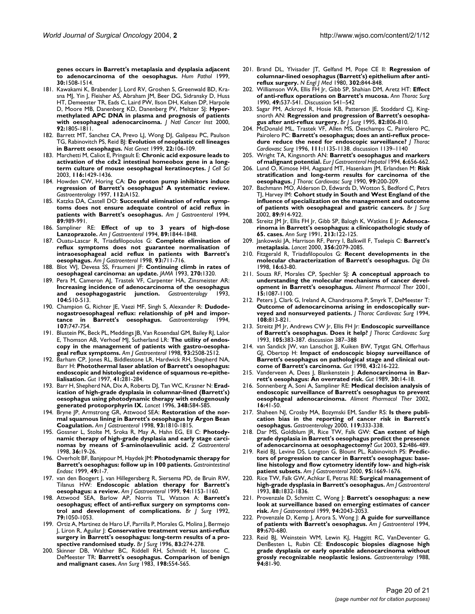**[genes occurs in Barrett's metaplasia and dysplasia adjacent](http://www.ncbi.nlm.nih.gov/entrez/query.fcgi?cmd=Retrieve&db=PubMed&dopt=Abstract&list_uids=10667431) [to adenocarcinoma of the oesophagus.](http://www.ncbi.nlm.nih.gov/entrez/query.fcgi?cmd=Retrieve&db=PubMed&dopt=Abstract&list_uids=10667431)** *Hum Pathol* 1999, **30:**1508-1514.

- 181. Kawakami K, Brabender J, Lord RV, Groshen S, Greenwald BD, Krasna MJ, Yin J, Fleisher AS, Abraham JM, Beer DG, Sidransky D, Huss HT, Demeester TR, Eads C, Laird PW, Ilson DH, Kelsen DP, Harpole D, Moore MB, Danenberg KD, Danenberg PV, Meltzer SJ: **[Hyper](http://www.ncbi.nlm.nih.gov/entrez/query.fcgi?cmd=Retrieve&db=PubMed&dopt=Abstract&list_uids=10.1093/jnci/92.22.1805)[methylated APC DNA in plasma and prognosis of patients](http://www.ncbi.nlm.nih.gov/entrez/query.fcgi?cmd=Retrieve&db=PubMed&dopt=Abstract&list_uids=10.1093/jnci/92.22.1805) [with oesophageal adenocarcinoma](http://www.ncbi.nlm.nih.gov/entrez/query.fcgi?cmd=Retrieve&db=PubMed&dopt=Abstract&list_uids=10.1093/jnci/92.22.1805)[.](http://www.ncbi.nlm.nih.gov/entrez/query.fcgi?cmd=Retrieve&db=PubMed&dopt=Abstract&list_uids=11078757)** *J Natl Cancer Inst* 2000, **92:**1805-1811.
- 182. Barrett MT, Sanchez CA, Prevo LJ, Wong DJ, Galipeau PC, Paulson TG, Rabinovitch PS, Reid BJ: **[Evolution of neoplastic cell lineages](http://www.ncbi.nlm.nih.gov/entrez/query.fcgi?cmd=Retrieve&db=PubMed&dopt=Abstract&list_uids=10.1038/8816) [in Barrett oesophagus](http://www.ncbi.nlm.nih.gov/entrez/query.fcgi?cmd=Retrieve&db=PubMed&dopt=Abstract&list_uids=10.1038/8816)[.](http://www.ncbi.nlm.nih.gov/entrez/query.fcgi?cmd=Retrieve&db=PubMed&dopt=Abstract&list_uids=10319873)** *Nat Genet* 1999, **22:**106-109.
- 183. Marchetti M, Caliot E, Pringault E: **[Chronic acid exposure leads to](http://www.ncbi.nlm.nih.gov/entrez/query.fcgi?cmd=Retrieve&db=PubMed&dopt=Abstract&list_uids=10.1242/jcs.00338) [activation of the cdx2 intestinal homeobox gene in a long](http://www.ncbi.nlm.nih.gov/entrez/query.fcgi?cmd=Retrieve&db=PubMed&dopt=Abstract&list_uids=10.1242/jcs.00338)[term culture of mouse oesophageal keratinocytes](http://www.ncbi.nlm.nih.gov/entrez/query.fcgi?cmd=Retrieve&db=PubMed&dopt=Abstract&list_uids=10.1242/jcs.00338)[.](http://www.ncbi.nlm.nih.gov/entrez/query.fcgi?cmd=Retrieve&db=PubMed&dopt=Abstract&list_uids=12640028)** *J Cell Sci* 2003, **116:**1429-1436.
- 184. Howden CW, Horing CA: **Do proton pump inhibitors induce regression of Barrett's oesophagus? A systematic review.** *Gastroenterology* 1997, **112:**A152.
- 185. Katzka DA, Castell DO: **[Successful elimination of reflux symp](http://www.ncbi.nlm.nih.gov/entrez/query.fcgi?cmd=Retrieve&db=PubMed&dopt=Abstract&list_uids=8017396)[toms does not ensure adequate control of acid reflux in](http://www.ncbi.nlm.nih.gov/entrez/query.fcgi?cmd=Retrieve&db=PubMed&dopt=Abstract&list_uids=8017396) [patients with Barrett's oesophagus.](http://www.ncbi.nlm.nih.gov/entrez/query.fcgi?cmd=Retrieve&db=PubMed&dopt=Abstract&list_uids=8017396)** *Am J Gastroenterol* 1994, **89:**989-991.
- 186. Sampliner RE: **[Effect of up to 3 years of high-dose](http://www.ncbi.nlm.nih.gov/entrez/query.fcgi?cmd=Retrieve&db=PubMed&dopt=Abstract&list_uids=7942680) [Lanzoprazole.](http://www.ncbi.nlm.nih.gov/entrez/query.fcgi?cmd=Retrieve&db=PubMed&dopt=Abstract&list_uids=7942680)** *Am J Gastroenterol* 1994, **89:**1844-1848.
- 187. Ouatu-Lascar R, Triadafilopoulos G: **[Complete elimination of](http://www.ncbi.nlm.nih.gov/entrez/query.fcgi?cmd=Retrieve&db=PubMed&dopt=Abstract&list_uids=10.1016/S0002-9270(98)00091-4) [reflux symptoms does not guarantee normalisation of](http://www.ncbi.nlm.nih.gov/entrez/query.fcgi?cmd=Retrieve&db=PubMed&dopt=Abstract&list_uids=10.1016/S0002-9270(98)00091-4) intraoesophageal acid reflux in patients with Barrett's [oesophagus](http://www.ncbi.nlm.nih.gov/entrez/query.fcgi?cmd=Retrieve&db=PubMed&dopt=Abstract&list_uids=10.1016/S0002-9270(98)00091-4)[.](http://www.ncbi.nlm.nih.gov/entrez/query.fcgi?cmd=Retrieve&db=PubMed&dopt=Abstract&list_uids=9625114)** *Am J Gastroenterol* 1998, **93:**711-716.
- 188. Blot WJ, Devesa SS, Fraumeni JF: **[Continuing climb in rates of](http://www.ncbi.nlm.nih.gov/entrez/query.fcgi?cmd=Retrieve&db=PubMed&dopt=Abstract&list_uids=10.1001/jama.270.11.1320) [oesophageal carcinoma: an update](http://www.ncbi.nlm.nih.gov/entrez/query.fcgi?cmd=Retrieve&db=PubMed&dopt=Abstract&list_uids=10.1001/jama.270.11.1320)[.](http://www.ncbi.nlm.nih.gov/entrez/query.fcgi?cmd=Retrieve&db=PubMed&dopt=Abstract&list_uids=8360967)** *JAMA* 1993, **270:**1320.
- 189. Pera M, Cameron AJ, Trastek VF, Carpenter HA, Zinsmeister AR: **[Increasing incidence of adenocarcinoma of the oesophagus](http://www.ncbi.nlm.nih.gov/entrez/query.fcgi?cmd=Retrieve&db=PubMed&dopt=Abstract&list_uids=8425693) [and oesophagogastric junction.](http://www.ncbi.nlm.nih.gov/entrez/query.fcgi?cmd=Retrieve&db=PubMed&dopt=Abstract&list_uids=8425693)** *Gastroenterology* 1993, **104:**510-513.
- 190. Champion G, Richter JE, Vaezi MF, Singh S, Alexander R: **[Dudode](http://www.ncbi.nlm.nih.gov/entrez/query.fcgi?cmd=Retrieve&db=PubMed&dopt=Abstract&list_uids=8076761)[nogastroesophageal reflux: relationship of pH and impor](http://www.ncbi.nlm.nih.gov/entrez/query.fcgi?cmd=Retrieve&db=PubMed&dopt=Abstract&list_uids=8076761)[tance in Barrett's oesophagus.](http://www.ncbi.nlm.nih.gov/entrez/query.fcgi?cmd=Retrieve&db=PubMed&dopt=Abstract&list_uids=8076761)** *Gastroenterology* 1994, **107:**747-754.
- 191. Blustein PK, Beck PL, Meddings JB, Van Rosendaal GM, Bailey RJ, Lalor E, Thomson AB, Verhoef MJ, Sutherland LR: **[The utility of endos](http://www.ncbi.nlm.nih.gov/entrez/query.fcgi?cmd=Retrieve&db=PubMed&dopt=Abstract&list_uids=10.1016/S0002-9270(98)00475-4)[copy in the management of patients with gastro-oesopha](http://www.ncbi.nlm.nih.gov/entrez/query.fcgi?cmd=Retrieve&db=PubMed&dopt=Abstract&list_uids=10.1016/S0002-9270(98)00475-4)[geal reflux symptoms](http://www.ncbi.nlm.nih.gov/entrez/query.fcgi?cmd=Retrieve&db=PubMed&dopt=Abstract&list_uids=10.1016/S0002-9270(98)00475-4)[.](http://www.ncbi.nlm.nih.gov/entrez/query.fcgi?cmd=Retrieve&db=PubMed&dopt=Abstract&list_uids=9860416)** *Am J Gastroenterol* 1998, **93:**2508-2512.
- 192. Barham CP, Jones RL, Biddlestone LR, Hardwick RH, Shepherd NA, Barr H: **[Photothermal laser ablation of Barrett's oesophagus:](http://www.ncbi.nlm.nih.gov/entrez/query.fcgi?cmd=Retrieve&db=PubMed&dopt=Abstract&list_uids=9378378) [endoscopic and histological evidence of squamous re-epithe](http://www.ncbi.nlm.nih.gov/entrez/query.fcgi?cmd=Retrieve&db=PubMed&dopt=Abstract&list_uids=9378378)[lialisation.](http://www.ncbi.nlm.nih.gov/entrez/query.fcgi?cmd=Retrieve&db=PubMed&dopt=Abstract&list_uids=9378378)** *Gut* 1997, **41:**281-284.
- 193. Barr H, Shepherd NA, Dix A, Roberts DJ, Tan WC, Krasner N: **[Erad](http://www.ncbi.nlm.nih.gov/entrez/query.fcgi?cmd=Retrieve&db=PubMed&dopt=Abstract&list_uids=10.1016/S0140-6736(96)03054-1)[ication of high-grade dysplasia in columnar-lined \(Barrett's\)](http://www.ncbi.nlm.nih.gov/entrez/query.fcgi?cmd=Retrieve&db=PubMed&dopt=Abstract&list_uids=10.1016/S0140-6736(96)03054-1) oesophagus using photodynamic therapy with endogenously [generated protoporphyrin IX](http://www.ncbi.nlm.nih.gov/entrez/query.fcgi?cmd=Retrieve&db=PubMed&dopt=Abstract&list_uids=10.1016/S0140-6736(96)03054-1)[.](http://www.ncbi.nlm.nih.gov/entrez/query.fcgi?cmd=Retrieve&db=PubMed&dopt=Abstract&list_uids=8774572)** *Lancet* 1996, **348:**584-585.
- 194. Bryne JP, Armstrong GR, Attwood SEA: **[Restoration of the nor](http://www.ncbi.nlm.nih.gov/entrez/query.fcgi?cmd=Retrieve&db=PubMed&dopt=Abstract&list_uids=10.1016/S0002-9270(98)00406-7)[mal squamous lining in Barrett's oesophagus by Argon Bean](http://www.ncbi.nlm.nih.gov/entrez/query.fcgi?cmd=Retrieve&db=PubMed&dopt=Abstract&list_uids=10.1016/S0002-9270(98)00406-7) [Coagulation](http://www.ncbi.nlm.nih.gov/entrez/query.fcgi?cmd=Retrieve&db=PubMed&dopt=Abstract&list_uids=10.1016/S0002-9270(98)00406-7)[.](http://www.ncbi.nlm.nih.gov/entrez/query.fcgi?cmd=Retrieve&db=PubMed&dopt=Abstract&list_uids=9772036)** *Am J Gastroenterol* 1998, **93:**1810-1815.
- 195. Gossner L, Stolte M, Sroka R, May A, Hahn EG, Ell C: **[Photody](http://www.ncbi.nlm.nih.gov/entrez/query.fcgi?cmd=Retrieve&db=PubMed&dopt=Abstract&list_uids=9531686)[namic therapy of high-grade dysplasia and early stage carci](http://www.ncbi.nlm.nih.gov/entrez/query.fcgi?cmd=Retrieve&db=PubMed&dopt=Abstract&list_uids=9531686)[nomas by means of 5-aminolaevulinic acid.](http://www.ncbi.nlm.nih.gov/entrez/query.fcgi?cmd=Retrieve&db=PubMed&dopt=Abstract&list_uids=9531686)** *Z Gastroenterol* 1998, **36:**19-26.
- 196. Overholt BF, Banjepour M, Haydek JM: **Photodynamic therapy for Barrett's oesophagus: follow up in 100 patients.** *Gastrointestinal Endosc* 1999, **49:**1-7.
- 197. van den Boogert J, van Hillegersberg R, Siersema PD, de Bruin RW, Tilanus HW: **[Endoscopic ablation therapy for Barrett's](http://www.ncbi.nlm.nih.gov/entrez/query.fcgi?cmd=Retrieve&db=PubMed&dopt=Abstract&list_uids=10.1016/S0002-9270(99)00114-8) [oesophagus: a review](http://www.ncbi.nlm.nih.gov/entrez/query.fcgi?cmd=Retrieve&db=PubMed&dopt=Abstract&list_uids=10.1016/S0002-9270(99)00114-8)[.](http://www.ncbi.nlm.nih.gov/entrez/query.fcgi?cmd=Retrieve&db=PubMed&dopt=Abstract&list_uids=10235186)** *Am J Gastroenterol* 1999, **94:**1153-1160.
- 198. Attwood SEA, Barlow AP, Norris TL, Watson A: **[Barrett's](http://www.ncbi.nlm.nih.gov/entrez/query.fcgi?cmd=Retrieve&db=PubMed&dopt=Abstract&list_uids=1422717) [oesophagus; effect of anti-reflux surgery on symptoms con](http://www.ncbi.nlm.nih.gov/entrez/query.fcgi?cmd=Retrieve&db=PubMed&dopt=Abstract&list_uids=1422717)[trol and development of complications.](http://www.ncbi.nlm.nih.gov/entrez/query.fcgi?cmd=Retrieve&db=PubMed&dopt=Abstract&list_uids=1422717)** *Br J Surg* 1992, **79:**1050-1053.
- 199. Ortiz A, Martinez de Haro LF, Parrilla P, Morales G, Molina J, Bermejo J, Liron R, Aguilar J: **[Conservative treatment versus anti-reflux](http://www.ncbi.nlm.nih.gov/entrez/query.fcgi?cmd=Retrieve&db=PubMed&dopt=Abstract&list_uids=10.1046/j.1365-2168.1996.02129.x) [surgery in Barrett's oesophagus: long-term results of a pro](http://www.ncbi.nlm.nih.gov/entrez/query.fcgi?cmd=Retrieve&db=PubMed&dopt=Abstract&list_uids=10.1046/j.1365-2168.1996.02129.x)[spective randomised study](http://www.ncbi.nlm.nih.gov/entrez/query.fcgi?cmd=Retrieve&db=PubMed&dopt=Abstract&list_uids=10.1046/j.1365-2168.1996.02129.x)[.](http://www.ncbi.nlm.nih.gov/entrez/query.fcgi?cmd=Retrieve&db=PubMed&dopt=Abstract&list_uids=8689188)** *Br J Surg* 1996, **83:**274-278.
- 200. Skinner DB, Walther BC, Riddell RH, Schmidt H, Iascone C, DeMeester TR: **[Barrett's oesophagus. Comparison of benign](http://www.ncbi.nlm.nih.gov/entrez/query.fcgi?cmd=Retrieve&db=PubMed&dopt=Abstract&list_uids=6625723) [and malignant cases.](http://www.ncbi.nlm.nih.gov/entrez/query.fcgi?cmd=Retrieve&db=PubMed&dopt=Abstract&list_uids=6625723)** *Ann Surg* 1983, **198:**554-565.
- 201. Brand DL, Ylvisader JT, Gelfand M, Pope CE II: **[Regression of](http://www.ncbi.nlm.nih.gov/entrez/query.fcgi?cmd=Retrieve&db=PubMed&dopt=Abstract&list_uids=7360162) [columnar-lined oesophagus \(Barrett's\) epithelium after anti](http://www.ncbi.nlm.nih.gov/entrez/query.fcgi?cmd=Retrieve&db=PubMed&dopt=Abstract&list_uids=7360162)[reflux surgery.](http://www.ncbi.nlm.nih.gov/entrez/query.fcgi?cmd=Retrieve&db=PubMed&dopt=Abstract&list_uids=7360162)** *N Engl J Med* 1980, **302:**844-848.
- 202. Williamson WA, Ellis FH Jr, Gibb SP, Shahian DM, Aretz HT: **[Effect](http://www.ncbi.nlm.nih.gov/entrez/query.fcgi?cmd=Retrieve&db=PubMed&dopt=Abstract&list_uids=2322047) [of anti-reflux operations on Barrett's mucosa.](http://www.ncbi.nlm.nih.gov/entrez/query.fcgi?cmd=Retrieve&db=PubMed&dopt=Abstract&list_uids=2322047)** *Ann Thorac Surg* 1990, **49:**537-541. Discussion 541–542
- 203. Sagar PM, Ackroyd R, Hosie KB, Patterson JE, Stoddard CJ, Kingsnorth AN: **[Regression and progression of Barrett's oesopha](http://www.ncbi.nlm.nih.gov/entrez/query.fcgi?cmd=Retrieve&db=PubMed&dopt=Abstract&list_uids=7627517)[gus after anti-reflux surgery.](http://www.ncbi.nlm.nih.gov/entrez/query.fcgi?cmd=Retrieve&db=PubMed&dopt=Abstract&list_uids=7627517)** *Br J Surg* 1995, **82:**806-810.
- 204. McDonald ML, Trastek VF, Allen MS, Deschamps C, Pairolero PC, Pairolero PC: **[Barrett's oesophagus; does an anti-reflux proce](http://www.ncbi.nlm.nih.gov/entrez/query.fcgi?cmd=Retrieve&db=PubMed&dopt=Abstract&list_uids=8642813)[dure reduce the need for endoscopic surveillance?](http://www.ncbi.nlm.nih.gov/entrez/query.fcgi?cmd=Retrieve&db=PubMed&dopt=Abstract&list_uids=8642813)** *J Thorac Cardiovasc Surg* 1996, **111:**1135-1138. discussion 1139–1140
- 205. Wright TA, Kingsnorth AN: **Barrett's oesophagus and markers of malignant potential.** *Eur J Gastroenterol Hepatol* 1994, **6:**656-662.
- 206. Lund O, Kimose HH, Aagaard MT, Hasenkam JM, Erlandsen M: **[Risk](http://www.ncbi.nlm.nih.gov/entrez/query.fcgi?cmd=Retrieve&db=PubMed&dopt=Abstract&list_uids=2299857) [stratification and long-term results for carcinoma of the](http://www.ncbi.nlm.nih.gov/entrez/query.fcgi?cmd=Retrieve&db=PubMed&dopt=Abstract&list_uids=2299857) [oesophagus.](http://www.ncbi.nlm.nih.gov/entrez/query.fcgi?cmd=Retrieve&db=PubMed&dopt=Abstract&list_uids=2299857)** *J Thorac Cardiovasc Surg* 1990, **99:**200-209.
- 207. Bachmann MO, Alderson D, Edwards D, Wotton S, Bedford C, Petrs TJ, Harvey IM: **[Cohort study in South and West England of the](http://www.ncbi.nlm.nih.gov/entrez/query.fcgi?cmd=Retrieve&db=PubMed&dopt=Abstract&list_uids=10.1046/j.1365-2168.2002.02135.x) [influence of specialization on the management and outcome](http://www.ncbi.nlm.nih.gov/entrez/query.fcgi?cmd=Retrieve&db=PubMed&dopt=Abstract&list_uids=10.1046/j.1365-2168.2002.02135.x) [of patients with oesophageal and gastric cancers](http://www.ncbi.nlm.nih.gov/entrez/query.fcgi?cmd=Retrieve&db=PubMed&dopt=Abstract&list_uids=10.1046/j.1365-2168.2002.02135.x)[.](http://www.ncbi.nlm.nih.gov/entrez/query.fcgi?cmd=Retrieve&db=PubMed&dopt=Abstract&list_uids=12081743)** *Br J Surg* 2002, **89:**914-922.
- 208. Streitz JM Jr, Ellis FH Jr, Gibb SP, Balogh K, Watkins E Jr: **[Adenoca](http://www.ncbi.nlm.nih.gov/entrez/query.fcgi?cmd=Retrieve&db=PubMed&dopt=Abstract&list_uids=1992937)[rinoma in Barrett's oesophagus: a clinicopathologic study of](http://www.ncbi.nlm.nih.gov/entrez/query.fcgi?cmd=Retrieve&db=PubMed&dopt=Abstract&list_uids=1992937) [65. cases.](http://www.ncbi.nlm.nih.gov/entrez/query.fcgi?cmd=Retrieve&db=PubMed&dopt=Abstract&list_uids=1992937)** *Ann Surg* 1991, **213:**122-125.
- 209. Jankowski JA, Harrison RF, Perry I, Balkwill F, Tselepis C: **[Barrett's](http://www.ncbi.nlm.nih.gov/entrez/query.fcgi?cmd=Retrieve&db=PubMed&dopt=Abstract&list_uids=10.1016/S0140-6736(00)03411-5) [metaplasia](http://www.ncbi.nlm.nih.gov/entrez/query.fcgi?cmd=Retrieve&db=PubMed&dopt=Abstract&list_uids=10.1016/S0140-6736(00)03411-5)[.](http://www.ncbi.nlm.nih.gov/entrez/query.fcgi?cmd=Retrieve&db=PubMed&dopt=Abstract&list_uids=11145505)** *Lancet* 2000, **356:**2079-2085.
- 210. Fitzgerald R, Triadafilopoulos G: **[Recent developments in the](http://www.ncbi.nlm.nih.gov/entrez/query.fcgi?cmd=Retrieve&db=PubMed&dopt=Abstract&list_uids=10.1159/000016850) [molecular characterization of Barrett's oesophagus](http://www.ncbi.nlm.nih.gov/entrez/query.fcgi?cmd=Retrieve&db=PubMed&dopt=Abstract&list_uids=10.1159/000016850)[.](http://www.ncbi.nlm.nih.gov/entrez/query.fcgi?cmd=Retrieve&db=PubMed&dopt=Abstract&list_uids=9571372)** *Dig Dis* 1998, **16:**63-80.
- 211. Souza RF, Morales CP, Spechler SJ: **[A conceptual approach to](http://www.ncbi.nlm.nih.gov/entrez/query.fcgi?cmd=Retrieve&db=PubMed&dopt=Abstract&list_uids=10.1046/j.1365-2036.2001.01046.x) [understanding the molecular mechanisms of cancer devel](http://www.ncbi.nlm.nih.gov/entrez/query.fcgi?cmd=Retrieve&db=PubMed&dopt=Abstract&list_uids=10.1046/j.1365-2036.2001.01046.x)[opment in Barrett's oesophagus](http://www.ncbi.nlm.nih.gov/entrez/query.fcgi?cmd=Retrieve&db=PubMed&dopt=Abstract&list_uids=10.1046/j.1365-2036.2001.01046.x)[.](http://www.ncbi.nlm.nih.gov/entrez/query.fcgi?cmd=Retrieve&db=PubMed&dopt=Abstract&list_uids=11472311)** *Aliment Pharmacol Ther* 2001, **15:**1087-1100.
- 212. Peters J, Clark G, Ireland A, Chandrasoma P, Smyrk T, DeMeester T: **[Outcome of adenocarcinoma arising in endoscopically sur](http://www.ncbi.nlm.nih.gov/entrez/query.fcgi?cmd=Retrieve&db=PubMed&dopt=Abstract&list_uids=7967662)[veyed and nonsurveyed patients.](http://www.ncbi.nlm.nih.gov/entrez/query.fcgi?cmd=Retrieve&db=PubMed&dopt=Abstract&list_uids=7967662)** *J Thorac Cardiovasc Surg* 1994, **108:**813-821.
- 213. Streitz JM Jr, Andrews CW Jr, Ellis FH Jr: **[Endoscopic surveillance](http://www.ncbi.nlm.nih.gov/entrez/query.fcgi?cmd=Retrieve&db=PubMed&dopt=Abstract&list_uids=8445916) [of Barrett's oesophagus. Does it help?](http://www.ncbi.nlm.nih.gov/entrez/query.fcgi?cmd=Retrieve&db=PubMed&dopt=Abstract&list_uids=8445916)** *J Thorac Cardiovasc Surg* 1993, **105:**383-387. discussion 387–388
- 214. van Sandick JW, van Lanschot JJ, Kuiken BW, Tytgat GN, Offerhaus GJ, Obertop H: **[Impact of endoscopic biopsy surveillance of](http://www.ncbi.nlm.nih.gov/entrez/query.fcgi?cmd=Retrieve&db=PubMed&dopt=Abstract&list_uids=10189847) [Barrett's oesophagus on pathological stage and clinical out](http://www.ncbi.nlm.nih.gov/entrez/query.fcgi?cmd=Retrieve&db=PubMed&dopt=Abstract&list_uids=10189847)[come of Barrett's carcinoma.](http://www.ncbi.nlm.nih.gov/entrez/query.fcgi?cmd=Retrieve&db=PubMed&dopt=Abstract&list_uids=10189847)** *Gut* 1998, **43:**216-222.
- 215. Vanderveen A, Dees J, Blankenstein J: **[Adenocarcinoma in Bar](http://www.ncbi.nlm.nih.gov/entrez/query.fcgi?cmd=Retrieve&db=PubMed&dopt=Abstract&list_uids=2920919)[rett's oesophagus: An overrated risk.](http://www.ncbi.nlm.nih.gov/entrez/query.fcgi?cmd=Retrieve&db=PubMed&dopt=Abstract&list_uids=2920919)** *Gut* 1989, **30:**14-18.
- 216. Sonnenberg A, Soni A, Sampliner RE: **[Medical decision analysis of](http://www.ncbi.nlm.nih.gov/entrez/query.fcgi?cmd=Retrieve&db=PubMed&dopt=Abstract&list_uids=10.1046/j.1365-2036.2002.01146.x) [endoscopic surveillance of Barrett's oesophagus to prevent](http://www.ncbi.nlm.nih.gov/entrez/query.fcgi?cmd=Retrieve&db=PubMed&dopt=Abstract&list_uids=10.1046/j.1365-2036.2002.01146.x) [oesophageal adenocarcinoma](http://www.ncbi.nlm.nih.gov/entrez/query.fcgi?cmd=Retrieve&db=PubMed&dopt=Abstract&list_uids=10.1046/j.1365-2036.2002.01146.x)[.](http://www.ncbi.nlm.nih.gov/entrez/query.fcgi?cmd=Retrieve&db=PubMed&dopt=Abstract&list_uids=11856077)** *Aliment Pharmacol Ther* 2002, **16:**41-50.
- 217. Shaheen NJ, Crosby MA, Bozymski EM, Sandler RS: **[Is there publi](http://www.ncbi.nlm.nih.gov/entrez/query.fcgi?cmd=Retrieve&db=PubMed&dopt=Abstract&list_uids=10930368)[cation bias in the reporting of cancer risk in Barrett's](http://www.ncbi.nlm.nih.gov/entrez/query.fcgi?cmd=Retrieve&db=PubMed&dopt=Abstract&list_uids=10930368) [oesophagus.](http://www.ncbi.nlm.nih.gov/entrez/query.fcgi?cmd=Retrieve&db=PubMed&dopt=Abstract&list_uids=10930368)** *Gastroenterology* 2000, **119:**333-338.
- 218. Dar MS, Goldblum JR, Rice TW, Falk GW: **[Can extent of high](http://www.ncbi.nlm.nih.gov/entrez/query.fcgi?cmd=Retrieve&db=PubMed&dopt=Abstract&list_uids=10.1136/gut.52.4.486) [grade dysplasia in Barrett's oesophagus predict the presence](http://www.ncbi.nlm.nih.gov/entrez/query.fcgi?cmd=Retrieve&db=PubMed&dopt=Abstract&list_uids=10.1136/gut.52.4.486) [of adenocarcinoma at oesophagectomy?](http://www.ncbi.nlm.nih.gov/entrez/query.fcgi?cmd=Retrieve&db=PubMed&dopt=Abstract&list_uids=10.1136/gut.52.4.486)** *Gut* 2003, **52:**486-489.
- 219. Reid BJ, Levine DS, Longton G, Blount PL, Rabinovitch PS: **[Predic](http://www.ncbi.nlm.nih.gov/entrez/query.fcgi?cmd=Retrieve&db=PubMed&dopt=Abstract&list_uids=10.1016/S0002-9270(00)00988-6)[tors of progression to cancer in Barrett's oesophagus: base](http://www.ncbi.nlm.nih.gov/entrez/query.fcgi?cmd=Retrieve&db=PubMed&dopt=Abstract&list_uids=10.1016/S0002-9270(00)00988-6)line histology and flow cytometry identify low- and high-risk [patient subsets](http://www.ncbi.nlm.nih.gov/entrez/query.fcgi?cmd=Retrieve&db=PubMed&dopt=Abstract&list_uids=10.1016/S0002-9270(00)00988-6)[.](http://www.ncbi.nlm.nih.gov/entrez/query.fcgi?cmd=Retrieve&db=PubMed&dopt=Abstract&list_uids=10925966)** *Am J Gastroenterol* 2000, **95:**1669-1676.
- 220. Rice TW, Falk GW, Achkar E, Petras RE: **[Surgical management of](http://www.ncbi.nlm.nih.gov/entrez/query.fcgi?cmd=Retrieve&db=PubMed&dopt=Abstract&list_uids=8237928) [high-grade dysplasia in Barrett's oesophagus.](http://www.ncbi.nlm.nih.gov/entrez/query.fcgi?cmd=Retrieve&db=PubMed&dopt=Abstract&list_uids=8237928)** *Am J Gastroenterol* 1993, **88:**1832-1836.
- 221. Provenzale D, Schmitt C, Wong J: **[Barrett's oesophagus: a new](http://www.ncbi.nlm.nih.gov/entrez/query.fcgi?cmd=Retrieve&db=PubMed&dopt=Abstract&list_uids=10.1016/S0002-9270(99)00332-9) [look at surveillance based on emerging estimates of cancer](http://www.ncbi.nlm.nih.gov/entrez/query.fcgi?cmd=Retrieve&db=PubMed&dopt=Abstract&list_uids=10.1016/S0002-9270(99)00332-9) [risk](http://www.ncbi.nlm.nih.gov/entrez/query.fcgi?cmd=Retrieve&db=PubMed&dopt=Abstract&list_uids=10.1016/S0002-9270(99)00332-9)[.](http://www.ncbi.nlm.nih.gov/entrez/query.fcgi?cmd=Retrieve&db=PubMed&dopt=Abstract&list_uids=10445526)** *Am J Gastroenterol* 1999, **94:**2043-2053.
- 222. Provenzale D, Kemp J, Arora S, Wong J: **[A guide for surveillance](http://www.ncbi.nlm.nih.gov/entrez/query.fcgi?cmd=Retrieve&db=PubMed&dopt=Abstract&list_uids=8172136) [of patients with Barrett's oesophagus.](http://www.ncbi.nlm.nih.gov/entrez/query.fcgi?cmd=Retrieve&db=PubMed&dopt=Abstract&list_uids=8172136)** *Am J Gastroenterol* 1994, **89:**670-680.
- 223. Reid BJ, Weinstein WM, Lewin KJ, Haggitt RC, VanDeventer G, DenBesten L, Rubin CE: **[Endoscopic biopsies diagnose high](http://www.ncbi.nlm.nih.gov/entrez/query.fcgi?cmd=Retrieve&db=PubMed&dopt=Abstract&list_uids=3335302) [grade dysplasia or early operable adenocarcinoma without](http://www.ncbi.nlm.nih.gov/entrez/query.fcgi?cmd=Retrieve&db=PubMed&dopt=Abstract&list_uids=3335302) [grossly recognizable neoplastic lesions.](http://www.ncbi.nlm.nih.gov/entrez/query.fcgi?cmd=Retrieve&db=PubMed&dopt=Abstract&list_uids=3335302)** *Gastroenterology* 1988, **94:**81-90.